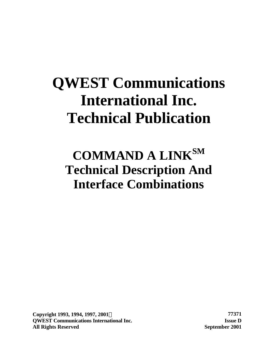# **QWEST Communications International Inc. Technical Publication**

# **COMMAND A LINKSM Technical Description And Interface Combinations**

**Copyright 1993, 1994, 1997, 2001Ó 77371 QWEST Communications International Inc. Issue D All Rights Reserved September 2001**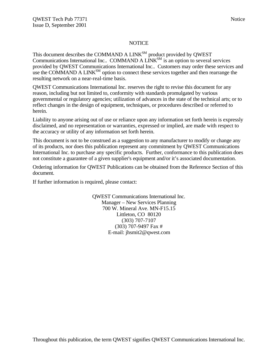#### **NOTICE**

This document describes the COMMAND A  $LINK^{SM}$  product provided by QWEST Communications International Inc.. COMMAND A LINK<sup>SM</sup> is an option to several services provided by QWEST Communications International Inc.. Customers may order these services and use the COMMAND A LINK<sup>SM</sup> option to connect these services together and then rearrange the resulting network on a near-real-time basis.

QWEST Communications International Inc. reserves the right to revise this document for any reason, including but not limited to, conformity with standards promulgated by various governmental or regulatory agencies; utilization of advances in the state of the technical arts; or to reflect changes in the design of equipment, techniques, or procedures described or referred to herein.

Liability to anyone arising out of use or reliance upon any information set forth herein is expressly disclaimed, and no representation or warranties, expressed or implied, are made with respect to the accuracy or utility of any information set forth herein.

This document is not to be construed as a suggestion to any manufacturer to modify or change any of its products, nor does this publication represent any commitment by QWEST Communications International Inc. to purchase any specific products. Further, conformance to this publication does not constitute a guarantee of a given supplier's equipment and/or it's associated documentation.

Ordering information for QWEST Publications can be obtained from the Reference Section of this document.

If further information is required, please contact:

QWEST Communications International Inc. Manager – New Services Planning 700 W. Mineral Ave. MN-F15.15 Littleton, CO 80120 (303) 707-7107 (303) 707-9497 Fax # E-mail: jhsmit2@qwest.com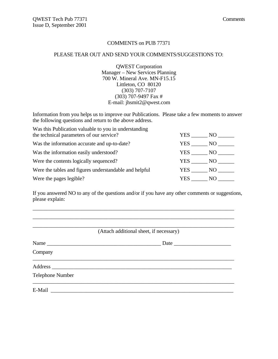#### COMMENTS on PUB 77371

#### PLEASE TEAR OUT AND SEND YOUR COMMENTS/SUGGESTIONS TO:

QWEST Corporation Manager – New Services Planning 700 W. Mineral Ave. MN-F15.15 Littleton, CO 80120 (303) 707-7107 (303) 707-9497 Fax # E-mail: jhsmit2@qwest.com

Information from you helps us to improve our Publications. Please take a few moments to answer the following questions and return to the above address.

| Was this Publication valuable to you in understanding<br>the technical parameters of our service? | YES    | NO -            |
|---------------------------------------------------------------------------------------------------|--------|-----------------|
| Was the information accurate and up-to-date?                                                      | YES    | NO <sub>1</sub> |
| Was the information easily understood?                                                            | YES NO |                 |
| Were the contents logically sequenced?                                                            | YES NO |                 |
| Were the tables and figures understandable and helpful                                            | YES NO |                 |
| Were the pages legible?                                                                           | YES.   | NO.             |

If you answered NO to any of the questions and/or if you have any other comments or suggestions, please explain:

\_\_\_\_\_\_\_\_\_\_\_\_\_\_\_\_\_\_\_\_\_\_\_\_\_\_\_\_\_\_\_\_\_\_\_\_\_\_\_\_\_\_\_\_\_\_\_\_\_\_\_\_\_\_\_\_\_\_\_\_\_\_\_\_\_\_\_\_\_\_\_\_\_\_

|                         | (Attach additional sheet, if necessary) |
|-------------------------|-----------------------------------------|
|                         | Date                                    |
| Company                 |                                         |
|                         |                                         |
| <b>Telephone Number</b> |                                         |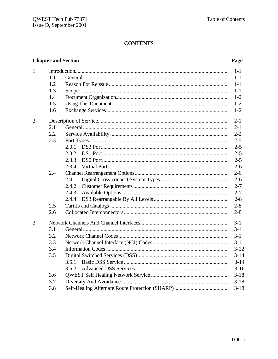# **CONTENTS**

### **Chapter and Section**

### Page

| 1. |     |       | $1-1$    |
|----|-----|-------|----------|
|    | 1.1 |       | $1 - 1$  |
|    | 1.2 |       | $1-1$    |
|    | 1.3 |       | $1 - 1$  |
|    | 1.4 |       | $1 - 2$  |
|    | 1.5 |       | $1 - 2$  |
|    | 1.6 |       | $1 - 2$  |
| 2. |     |       | $2 - 1$  |
|    | 2.1 |       | $2 - 1$  |
|    | 2.2 |       | $2 - 2$  |
|    | 2.3 |       | $2 - 5$  |
|    |     | 2.3.1 | $2 - 5$  |
|    |     | 2.3.2 | $2 - 5$  |
|    |     | 2.3.3 | $2 - 5$  |
|    |     | 2.3.4 | $2 - 6$  |
|    | 2.4 |       | $2 - 6$  |
|    |     | 2.4.1 | $2 - 6$  |
|    |     | 2.4.2 | $2 - 7$  |
|    |     | 2.4.3 | $2 - 7$  |
|    |     | 2.4.4 | $2 - 8$  |
|    | 2.5 |       | $2 - 8$  |
|    | 2.6 |       | $2 - 8$  |
| 3. |     |       | $3-1$    |
|    | 3.1 |       | $3 - 1$  |
|    | 3.2 |       | $3 - 1$  |
|    | 3.3 |       | $3 - 1$  |
|    | 3.4 |       | $3 - 12$ |
|    | 3.5 |       | $3 - 14$ |
|    |     | 3.5.1 | $3 - 14$ |
|    |     | 3.5.2 | $3-16$   |
|    | 3.6 |       | $3 - 18$ |
|    | 3.7 |       | $3 - 18$ |
|    | 3.8 |       | $3 - 18$ |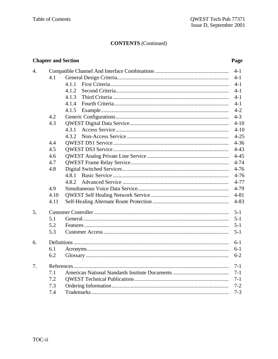# **CONTENTS** (Continued)

### **Chapter and Section**

### Page

|      |       | $4 - 1$  |
|------|-------|----------|
| 4.1  |       | $4 - 1$  |
|      | 4.1.1 | $4-1$    |
|      | 4.1.2 | $4-1$    |
|      | 4.1.3 | $4-1$    |
|      | 4.1.4 | $4 - 1$  |
|      | 4.1.5 | $4 - 2$  |
| 4.2  |       | $4 - 3$  |
| 4.3  |       | $4 - 10$ |
|      | 4.3.1 | $4 - 10$ |
|      |       | $4 - 25$ |
| 4.4  |       | $4 - 36$ |
| 4.5  |       | $4 - 43$ |
| 4.6  |       | $4 - 45$ |
| 4.7  |       | $4 - 74$ |
| 4.8  |       | $4 - 76$ |
|      | 4.8.1 | $4 - 76$ |
|      | 4.8.2 | $4 - 77$ |
| 4.9  |       | $4 - 79$ |
| 4.10 |       | $4 - 81$ |
| 4.11 |       | $4 - 83$ |
|      |       | $5 - 1$  |
| 5.1  |       | $5 - 1$  |
| 5.2  |       | $5 - 1$  |
| 5.3  |       | $5 - 1$  |
|      |       | $6 - 1$  |
| 6.1  |       | $6 - 1$  |
| 6.2  |       | $6 - 2$  |
|      |       | $7 - 1$  |
| 7.1  |       | $7-1$    |
| 7.2  |       | $7 - 1$  |
| 7.3  |       | $7 - 2$  |
| 7.4  |       | $7 - 3$  |
|      |       |          |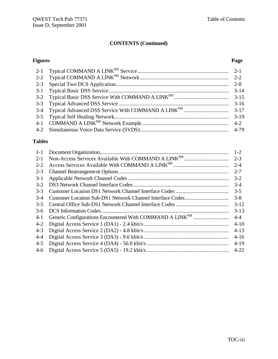# **CONTENTS (Continued)**

#### **Figures Page**

| $3-14$ |
|--------|
|        |
| $3-16$ |
|        |
|        |
|        |
|        |
|        |

# **Tables**

| $1-1$   | $1 - 2$  |
|---------|----------|
| $2 - 1$ | $2 - 3$  |
| $2 - 2$ | $2 - 4$  |
| $2 - 3$ | $2 - 7$  |
| $3-1$   | $3 - 2$  |
| $3 - 2$ | $3-4$    |
| $3 - 3$ | $3 - 5$  |
| $3-4$   | $3 - 8$  |
| $3-5$   | $3 - 12$ |
| $3-6$   | $3-13$   |
| $4-1$   | $4 - 4$  |
| $4 - 2$ | $4 - 10$ |
| $4 - 3$ | $4 - 13$ |
| $4 - 4$ | $4-16$   |
| $4 - 5$ | $4-19$   |
| $4-6$   | $4 - 22$ |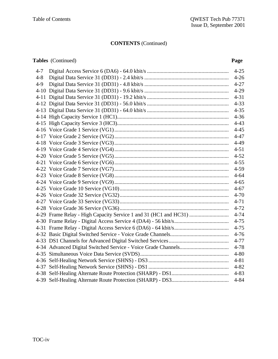# **CONTENTS** (Continued)

### **Tables** (Continued) **Page**

| $4 - 7$ |                                                                  | $4 - 25$ |
|---------|------------------------------------------------------------------|----------|
| $4 - 8$ |                                                                  | $4 - 26$ |
| $4 - 9$ |                                                                  | $4 - 27$ |
|         |                                                                  | $4-29$   |
|         |                                                                  | $4 - 31$ |
|         |                                                                  | $4 - 33$ |
|         |                                                                  | $4 - 35$ |
|         |                                                                  | $4 - 36$ |
|         |                                                                  | $4 - 43$ |
|         |                                                                  | $4 - 45$ |
|         |                                                                  | $4 - 47$ |
|         |                                                                  | $4-49$   |
|         |                                                                  | $4 - 51$ |
|         |                                                                  | $4 - 52$ |
|         |                                                                  | $4 - 55$ |
|         |                                                                  | $4 - 59$ |
|         |                                                                  | $4 - 64$ |
|         |                                                                  | $4 - 65$ |
|         |                                                                  | $4 - 67$ |
|         |                                                                  | $4 - 70$ |
|         |                                                                  | $4 - 71$ |
|         |                                                                  | $4 - 72$ |
|         | 4-29 Frame Relay - High Capacity Service 1 and 31 (HC1 and HC31) | $4 - 74$ |
|         |                                                                  | $4 - 75$ |
|         |                                                                  | $4 - 75$ |
|         |                                                                  | $4 - 76$ |
|         |                                                                  | $4 - 77$ |
|         |                                                                  | $4 - 78$ |
|         |                                                                  | $4 - 80$ |
|         |                                                                  | $4 - 81$ |
|         |                                                                  | $4 - 82$ |
|         |                                                                  | $4 - 83$ |
|         |                                                                  | $4 - 84$ |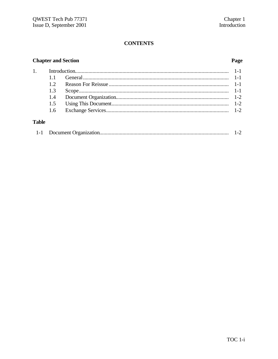# **CONTENTS**

### **Chapter and Section**

### Page

# **Table**

|--|--|--|--|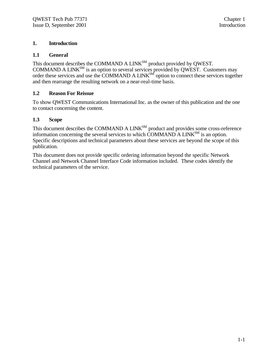#### **1. Introduction**

#### **1.1 General**

This document describes the COMMAND A LINK $^{SM}$  product provided by QWEST. COMMAND A LINK $^{SM}$  is an option to several services provided by QWEST. Customers may order these services and use the COMMAND A LINK<sup>SM</sup> option to connect these services together and then rearrange the resulting network on a near-real-time basis.

#### **1.2 Reason For Reissue**

To show QWEST Communications International Inc. as the owner of this publication and the one to contact concerning the content.

#### **1.3 Scope**

This document describes the COMMAND A LINK<sup>SM</sup> product and provides some cross-reference information concerning the several services to which COMMAND A LINK $^{SM}$  is an option. Specific descriptions and technical parameters about these services are beyond the scope of this publication.

This document does not provide specific ordering information beyond the specific Network Channel and Network Channel Interface Code information included. These codes identify the technical parameters of the service.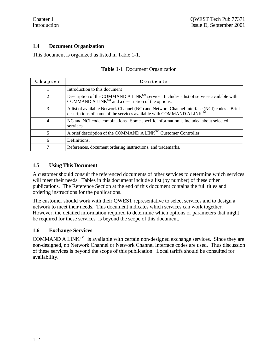#### **1.4 Document Organization**

This document is organized as listed in Table 1-1.

| Chapter        | Contents                                                                                                                                                                         |
|----------------|----------------------------------------------------------------------------------------------------------------------------------------------------------------------------------|
|                | Introduction to this document                                                                                                                                                    |
| $\mathfrak{D}$ | Description of the COMMAND A LINK <sup>SM</sup> service. Includes a list of services available with<br>COMMAND A LINK $^{SM}$ and a description of the options.                  |
| 3              | A list of available Network Channel (NC) and Network Channel Interface (NCI) codes . Brief<br>descriptions of some of the services available with COMMAND A LINK <sup>SM</sup> . |
| 4              | NC and NCI code combinations. Some specific information is included about selected<br>services.                                                                                  |
| 5              | A brief description of the COMMAND A LINK <sup>SM</sup> Customer Controller.                                                                                                     |
| 6              | Definitions.                                                                                                                                                                     |
| ⇁              | References, document ordering instructions, and trademarks.                                                                                                                      |

#### **Table 1-1** Document Organization

#### **1.5 Using This Document**

A customer should consult the referenced documents of other services to determine which services will meet their needs. Tables in this document include a list (by number) of these other publications. The Reference Section at the end of this document contains the full titles and ordering instructions for the publications.

The customer should work with their QWEST representative to select services and to design a network to meet their needs. This document indicates which services can work together. However, the detailed information required to determine which options or parameters that might be required for these services is beyond the scope of this document.

#### **1.6 Exchange Services**

COMMAND A LINK<sup>SM</sup> is available with certain non-designed exchange services. Since they are non-designed, no Network Channel or Network Channel Interface codes are used. Thus discussion of these services is beyond the scope of this publication. Local tariffs should be consulted for availability.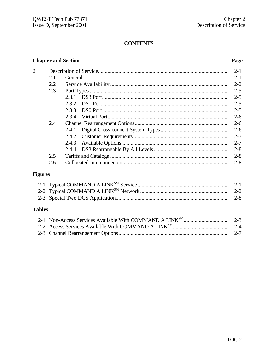# **CONTENTS**

### **Chapter and Section**

#### Page

| 2. |     |       | $2 - 1$ |
|----|-----|-------|---------|
|    | 2.1 |       | $2 - 1$ |
|    | 2.2 |       | $2 - 2$ |
|    | 2.3 |       | $2 - 5$ |
|    |     | 2.3.1 | $2 - 5$ |
|    |     | 2.3.2 | $2 - 5$ |
|    |     | 2.3.3 | $2 - 5$ |
|    |     | 2.3.4 | $2 - 6$ |
|    | 2.4 |       | $2 - 6$ |
|    |     | 2.4.1 | $2 - 6$ |
|    |     |       | $2 - 7$ |
|    |     | 2.4.3 | $2 - 7$ |
|    |     |       | $2 - 8$ |
|    | 2.5 |       | $2 - 8$ |
|    | 2.6 |       | $2 - 8$ |
|    |     |       |         |

# **Figures**

# **Tables**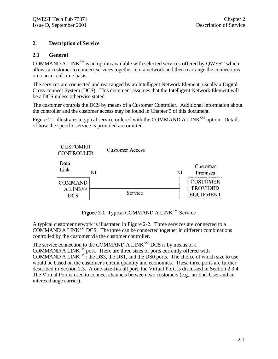#### **2. Description of Service**

#### **2.1 General**

COMMAND A LINK $^{SM}$  is an option available with selected services offered by QWEST which allows a customer to connect services together into a network and then rearrange the connections on a near-real-time basis.

The services are connected and rearranged by an Intelligent Network Element, usually a Digital Cross-connect System (DCS). This document assumes that the Intelligent Network Element will be a DCS unless otherwise stated.

The customer controls the DCS by means of a Customer Controller. Additional information about the controller and the customer access may be found in Chapter 5 of this document.

Figure 2-1 illustrates a typical service ordered with the COMMAND A LINK<sup>SM</sup> option. Details of how the specific service is provided are omitted.



Figure 2-1 Typical COMMAND A LINK<sup>SM</sup> Service

A typical customer network is illustrated in Figure 2-2. Three services are connected to a COMMAND A LINK<sup>SM</sup> DCS. The three can be connected together in different combinations controlled by the customer via the customer controller.

The service connection to the COMMAND A LINK<sup>SM</sup> DCS is by means of a COMMAND A LINK $^{SM}$  port. There are three sizes of ports currently offered with COMMAND A LINK $^{SM}$ : the DS3, the DS1, and the DS0 ports. The choice of which size to use would be based on the customer's circuit quantity and economics. These three ports are further described in Section 2.3. A one-size-fits-all port, the Virtual Port, is discussed in Section 2.3.4. The Virtual Port is used to connect channels between two customers (e.g., an End-User and an interexchange carrier).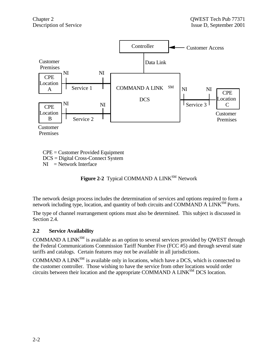

CPE = Customer Provided Equipment DCS = Digital Cross-Connect System  $NI = Network$  Interface

**Figure 2-2** Typical COMMAND A LINK<sup>SM</sup> Network

The network design process includes the determination of services and options required to form a network including type, location, and quantity of both circuits and COMMAND A LINK<sup>SM</sup> Ports.

The type of channel rearrangement options must also be determined. This subject is discussed in Section 2.4.

#### **2.2 Service Availability**

COMMAND A LINK<sup>SM</sup> is available as an option to several services provided by OWEST through the Federal Communications Commission Tariff Number Five (FCC #5) and through several state tariffs and catalogs. Certain features may not be available in all jurisdictions.

COMMAND A LINK $^{SM}$  is available only in locations, which have a DCS, which is connected to the customer controller. Those wishing to have the service from other locations would order circuits between their location and the appropriate COMMAND A LINK<sup>SM</sup> DCS location.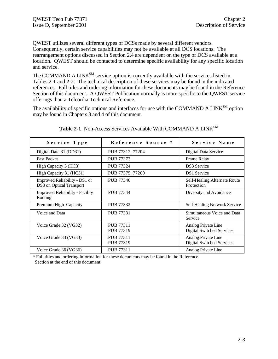QWEST utilizes several different types of DCSs made by several different vendors. Consequently, certain service capabilities may not be available at all DCS locations. The rearrangement options discussed in Section 2.4 are dependent on the type of DCS available at a location. QWEST should be contacted to determine specific availability for any specific location and service.

The COMMAND A LINK<sup>SM</sup> service option is currently available with the services listed in Tables 2-1 and 2-2. The technical description of these services may be found in the indicated references. Full titles and ordering information for these documents may be found in the Reference Section of this document. A QWEST Publication normally is more specific to the QWEST service offerings than a Telcordia Technical Reference.

The availability of specific options and interfaces for use with the COMMAND A LINK<sup>SM</sup> option may be found in Chapters 3 and 4 of this document.

| Service Type                                              | Reference Source *                   | Service Name                                            |
|-----------------------------------------------------------|--------------------------------------|---------------------------------------------------------|
| Digital Data 31 (DD31)                                    | PUB 77312, 77204                     | Digital Data Service                                    |
| <b>Fast Packet</b>                                        | <b>PUB 77372</b>                     | Frame Relay                                             |
| High Capacity 3 (HC3)                                     | <b>PUB 77324</b>                     | <b>DS3</b> Service                                      |
| High Capacity 31 (HC31)                                   | PUB 77375, 77200                     | <b>DS1</b> Service                                      |
| Improved Reliability - DS1 or<br>DS3 on Optical Transport | PUB 77340                            | Self-Healing Alternate Route<br>Protection              |
| <b>Improved Reliability - Facility</b><br>Routing         | PUB 77344                            | Diversity and Avoidance                                 |
| Premium High Capacity                                     | PUB 77332                            | Self Healing Network Service                            |
| Voice and Data                                            | <b>PUB 77331</b>                     | Simultaneous Voice and Data<br>Service                  |
| Voice Grade 32 (VG32)                                     | <b>PUB 77311</b><br><b>PUB 77319</b> | Analog Private Line<br><b>Digital Switched Services</b> |
| Voice Grade 33 (VG33)                                     | PUB 77311<br>PUB 77319               | Analog Private Line<br><b>Digital Switched Services</b> |
| Voice Grade 36 (VG36)                                     | PUB 77311                            | Analog Private Line                                     |

| Table 2-1 Non-Access Services Available With COMMAND A LINK <sup>SM</sup> |  |
|---------------------------------------------------------------------------|--|
|---------------------------------------------------------------------------|--|

\* Full titles and ordering information for these documents may be found in the Reference Section at the end of this document.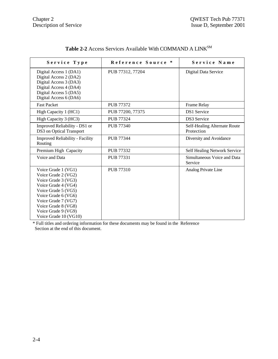| Service Type                                                                                                                                                                                                                         | Reference Source * | Service Name                               |
|--------------------------------------------------------------------------------------------------------------------------------------------------------------------------------------------------------------------------------------|--------------------|--------------------------------------------|
| Digital Access 1 (DA1)<br>Digital Access 2 (DA2)<br>Digital Access 3 (DA3)<br>Digital Access 4 (DA4)<br>Digital Access 5 (DA5)<br>Digital Access 6 (DA6)                                                                             | PUB 77312, 77204   | Digital Data Service                       |
| <b>Fast Packet</b>                                                                                                                                                                                                                   | <b>PUB 77372</b>   | Frame Relay                                |
| High Capacity 1 (HC1)                                                                                                                                                                                                                | PUB 77200, 77375   | <b>DS1</b> Service                         |
| High Capacity 3 (HC3)                                                                                                                                                                                                                | PUB 77324          | <b>DS3</b> Service                         |
| Improved Reliability - DS1 or<br>DS3 on Optical Transport                                                                                                                                                                            | <b>PUB 77340</b>   | Self-Healing Alternate Route<br>Protection |
| <b>Improved Reliability - Facility</b><br>Routing                                                                                                                                                                                    | PUB 77344          | Diversity and Avoidance                    |
| Premium High Capacity                                                                                                                                                                                                                | PUB 77332          | Self Healing Network Service               |
| Voice and Data                                                                                                                                                                                                                       | PUB 77331          | Simultaneous Voice and Data<br>Service     |
| Voice Grade 1 (VG1)<br>Voice Grade 2 (VG2)<br>Voice Grade 3 (VG3)<br>Voice Grade 4 (VG4)<br>Voice Grade 5 (VG5)<br>Voice Grade 6 (VG6)<br>Voice Grade 7 (VG7)<br>Voice Grade 8 (VG8)<br>Voice Grade 9 (VG9)<br>Voice Grade 10 (VG10) | <b>PUB 77310</b>   | Analog Private Line                        |

# Table 2-2 Access Services Available With COMMAND A LINK<sup>SM</sup>

\* Full titles and ordering information for these documents may be found in the Reference Section at the end of this document.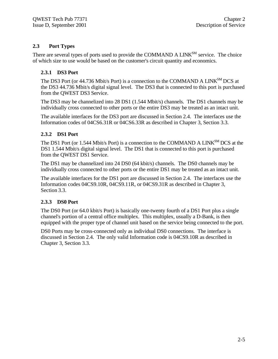#### **2.3 Port Types**

There are several types of ports used to provide the COMMAND A LINK<sup>SM</sup> service. The choice of which size to use would be based on the customer's circuit quantity and economics.

#### **2.3.1 DS3 Port**

The DS3 Port (or 44.736 Mbit/s Port) is a connection to the COMMAND A LINK<sup>SM</sup> DCS at the DS3 44.736 Mbit/s digital signal level. The DS3 that is connected to this port is purchased from the QWEST DS3 Service.

The DS3 may be channelized into 28 DS1 (1.544 Mbit/s) channels. The DS1 channels may be individually cross connected to other ports or the entire DS3 may be treated as an intact unit.

The available interfaces for the DS3 port are discussed in Section 2.4. The interfaces use the Information codes of 04CS6.31R or 04CS6.33R as described in Chapter 3, Section 3.3.

#### **2.3.2 DS1 Port**

The DS1 Port (or 1.544 Mbit/s Port) is a connection to the COMMAND A LINK<sup>SM</sup> DCS at the DS1 1.544 Mbit/s digital signal level. The DS1 that is connected to this port is purchased from the QWEST DS1 Service.

The DS1 may be channelized into 24 DS0 (64 kbit/s) channels. The DS0 channels may be individually cross connected to other ports or the entire DS1 may be treated as an intact unit.

The available interfaces for the DS1 port are discussed in Section 2.4. The interfaces use the Information codes 04CS9.10R, 04CS9.11R, or 04CS9.31R as described in Chapter 3, Section 3.3.

#### **2.3.3 DS0 Port**

The DS0 Port (or 64.0 kbit/s Port) is basically one-twenty fourth of a DS1 Port plus a single channel's portion of a central office multiplex. This multiplex, usually a D-Bank, is then equipped with the proper type of channel unit based on the service being connected to the port.

DS0 Ports may be cross-connected only as individual DS0 connections. The interface is discussed in Section 2.4. The only valid Information code is 04CS9.10R as described in Chapter 3, Section 3.3.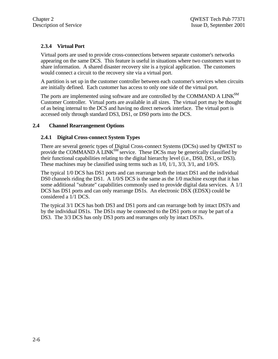#### **2.3.4 Virtual Port**

Virtual ports are used to provide cross-connections between separate customer's networks appearing on the same DCS. This feature is useful in situations where two customers want to share information. A shared disaster recovery site is a typical application. The customers would connect a circuit to the recovery site via a virtual port.

A partition is set up in the customer controller between each customer's services when circuits are initially defined. Each customer has access to only one side of the virtual port.

The ports are implemented using software and are controlled by the COMMAND A LINK<sup>SM</sup> Customer Controller. Virtual ports are available in all sizes. The virtual port may be thought of as being internal to the DCS and having no direct network interface. The virtual port is accessed only through standard DS3, DS1, or DS0 ports into the DCS.

#### **2.4 Channel Rearrangement Options**

#### **2.4.1 Digital Cross-connect System Types**

There are several generic types of Digital Cross-connect Systems (DCSs) used by QWEST to provide the COMMAND A LINK<sup>SM</sup> service. These DCSs may be generically classified by their functional capabilities relating to the digital hierarchy level (i.e., DS0, DS1, or DS3). These machines may be classified using terms such as 1/0, 1/1, 3/3, 3/1, and 1/0/S.

The typical 1/0 DCS has DS1 ports and can rearrange both the intact DS1 and the individual DS0 channels riding the DS1. A 1/0/S DCS is the same as the 1/0 machine except that it has some additional "subrate" capabilities commonly used to provide digital data services. A 1/1 DCS has DS1 ports and can only rearrange DS1s. An electronic DSX (EDSX) could be considered a 1/1 DCS.

The typical 3/1 DCS has both DS3 and DS1 ports and can rearrange both by intact DS3's and by the individual DS1s. The DS1s may be connected to the DS1 ports or may be part of a DS3. The 3/3 DCS has only DS3 ports and rearranges only by intact DS3's.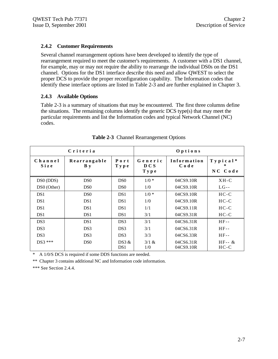#### **2.4.2 Customer Requirements**

Several channel rearrangement options have been developed to identify the type of rearrangement required to meet the customer's requirements. A customer with a DS1 channel, for example, may or may not require the ability to rearrange the individual DS0s on the DS1 channel. Options for the DS1 interface describe this need and allow QWEST to select the proper DCS to provide the proper reconfiguration capability. The Information codes that identify these interface options are listed in Table 2-3 and are further explained in Chapter 3.

#### **2.4.3 Available Options**

Table 2-3 is a summary of situations that may be encountered. The first three columns define the situations. The remaining columns identify the generic DCS type(s) that may meet the particular requirements and list the Information codes and typical Network Channel (NC) codes.

|                 | Criteria                   |                          | Options                  |                        |                              |
|-----------------|----------------------------|--------------------------|--------------------------|------------------------|------------------------------|
| Channel<br>Size | Rearrangable<br><b>B</b> y | Port<br>T y p e          | Generic<br>D C S<br>Type | Information<br>Code    | $T y p i c a l^*$<br>NC Code |
| DS0 (DDS)       | D <sub>S0</sub>            | D <sub>S0</sub>          | $1/0$ *                  | 04CS9.10R              | $XH-C$                       |
| DS0 (Other)     | D <sub>S0</sub>            | D <sub>S0</sub>          | 1/0                      | 04CS9.10R              | $LG - -$                     |
| DS <sub>1</sub> | D <sub>S0</sub>            | DS <sub>1</sub>          | $1/0$ *                  | 04CS9.10R              | $HC-C$                       |
| DS <sub>1</sub> | DS <sub>1</sub>            | DS <sub>1</sub>          | 1/0                      | 04CS9.10R              | $HC-C$                       |
| DS <sub>1</sub> | DS <sub>1</sub>            | DS <sub>1</sub>          | 1/1                      | 04CS9.11R              | $HC-C$                       |
| DS <sub>1</sub> | DS <sub>1</sub>            | DS <sub>1</sub>          | 3/1                      | 04CS9.31R              | $HC-C$                       |
| DS3             | DS <sub>1</sub>            | DS3                      | 3/1                      | 04CS6.31R              | $HF-$                        |
| DS3             | DS <sub>3</sub>            | DS3                      | 3/1                      | 04CS6.31R              | $HF-$                        |
| DS3             | DS <sub>3</sub>            | DS3                      | 3/3                      | 04CS6.33R              | $HF-$                        |
| $DS3$ ***       | D <sub>S0</sub>            | DS3 &<br>DS <sub>1</sub> | $3/1$ &<br>1/0           | 04CS6.31R<br>04CS9.10R | $HF - \&$<br>$HC-C$          |

|  | Table 2-3 Channel Rearrangement Options |  |
|--|-----------------------------------------|--|
|  |                                         |  |

\* A 1/0/S DCS is required if some DDS functions are needed.

\*\* Chapter 3 contains additional NC and Information code information.

\*\*\* See Section 2.4.4.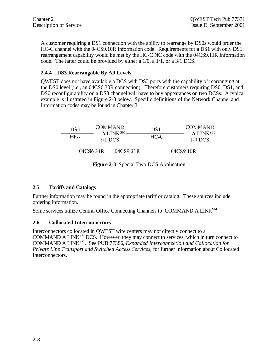A customer requiring a DS1 connection with the ability to rearrange by DS0s would order the HC-C channel with the 04CS9.10R Information code. Requirements for a DS1 with only DS1 rearrangement capability would be met by the HC-C NC code with the 04CS9.11R Information code. The latter could be provided by either a 1/0, a 1/1, or a 3/1 DCS.

#### **2.4.4 DS3 Rearrangable By All Levels**

QWEST does not have available a DCS with DS3 ports with the capability of rearranging at the DS0 level (i.e., an 04CS6.30R connection). Therefore customers requiring DS0, DS1, and DS0 reconfigurability on a DS3 channel will have to buy appearances on two DCSs. A typical example is illustrated in Figure 2-3 below. Specific definitions of the Network Channel and Information codes may be found in Chapter 3.

| DS3         |           | COMMAND<br>A LINK <sup>SM</sup> | DS1    | COMMAND.                          |
|-------------|-----------|---------------------------------|--------|-----------------------------------|
| <b>HF--</b> |           | $3/1$ DCS                       | $HC-C$ | A LINK <sup>SM</sup><br>$1/0$ DCS |
|             | 04CS6.31R | 04CS9.31R                       |        | 04CS9.10R                         |

**Figure 2-3** Special Two DCS Application

#### **2.5 Tariffs and Catalogs**

Further information may be found in the appropriate tariff or catalog. These sources include ordering information.

Some services utilize Central Office Connecting Channels to COMMAND A LINK<sup>SM</sup>.

#### **2.6 Collocated Interconnectors**

Interconnectors collocated in QWEST wire centers may not directly connect to a COMMAND A LINK<sup>SM</sup> DCS. However, they may connect to services, which in turn connect to COMMAND A LINKSM. See PUB 77386, *Expanded Interconnection and Collocation for Private Line Transport and Switched Access Services,* for further information about Collocated Interconnectors.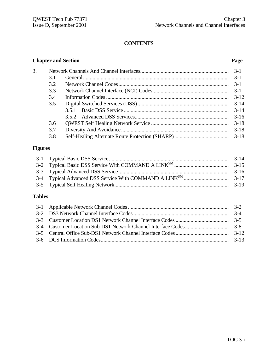# **CONTENTS**

#### **Chapter and Section Page**

| 3. |     |          |
|----|-----|----------|
|    | 3.1 |          |
|    | 3.2 |          |
|    | 3.3 |          |
|    | 3.4 | $3 - 12$ |
|    | 3.5 |          |
|    |     | $3 - 14$ |
|    |     | $3 - 16$ |
|    | 3.6 |          |
|    | 3.7 | $3 - 18$ |
|    | 3.8 |          |

# **Figures**

# **Tables**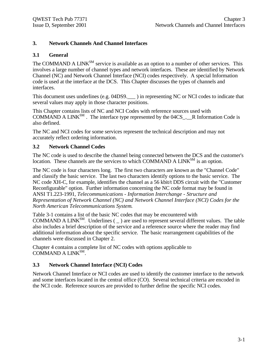#### **3. Network Channels And Channel Interfaces**

#### **3.1 General**

The COMMAND A LINK<sup>SM</sup> service is available as an option to a number of other services. This involves a large number of channel types and network interfaces. These are identified by Network Channel (NC) and Network Channel Interface (NCI) codes respectively. A special Information code is used at the interface at the DCS. This Chapter discusses the types of channels and interfaces.

This document uses underlines (e.g. 04DS9. ) in representing NC or NCI codes to indicate that several values may apply in those character positions.

This Chapter contains lists of NC and NCI Codes with reference sources used with COMMAND A LINK<sup>SM</sup>. The interface type represented by the  $04CS_{...}$  R Information Code is also defined.

The NC and NCI codes for some services represent the technical description and may not accurately reflect ordering information.

#### **3.2 Network Channel Codes**

The NC code is used to describe the channel being connected between the DCS and the customer's location. These channels are the services to which COMMAND A LINK<sup>SM</sup> is an option.

The NC code is four characters long. The first two characters are known as the "Channel Code" and classify the basic service. The last two characters identify options to the basic service. The NC code XH-C, for example, identifies the channel as a 56 kbit/t DDS circuit with the "Customer Reconfigurable" option. Further information concerning the NC code format may be found in ANSI T1.223-1991, *Telecommunications - Information Interchange - Structure and Representation of Network Channel (NC) and Network Channel Interface (NCI) Codes for the North American Telecommunications System*.

Table 3-1 contains a list of the basic NC codes that may be encountered with COMMAND A LINK<sup>SM</sup>. Underlines  $($   $)$  are used to represent several different values. The table also includes a brief description of the service and a reference source where the reader may find additional information about the specific service. The basic rearrangement capabilities of the channels were discussed in Chapter 2.

Chapter 4 contains a complete list of NC codes with options applicable to COMMAND A LINK<sup>SM</sup>.

#### **3.3 Network Channel Interface (NCI) Codes**

Network Channel Interface or NCI codes are used to identify the customer interface to the network and some interfaces located in the central office (CO). Several technical criteria are encoded in the NCI code. Reference sources are provided to further define the specific NCI codes.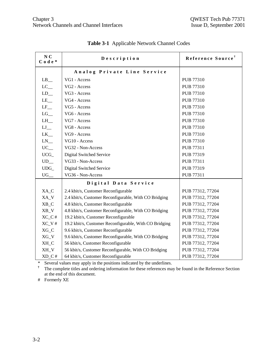| N <sub>C</sub><br>Code* | Description                                            | Reference Source <sup>†</sup> |
|-------------------------|--------------------------------------------------------|-------------------------------|
|                         | Analog Private Line Service                            |                               |
| $LB$ <sub>__</sub>      | VG1 - Access                                           | <b>PUB 77310</b>              |
| $LC$ <sub>—</sub>       | VG <sub>2</sub> - Access                               | <b>PUB 77310</b>              |
| $LD_$                   | VG3 - Access                                           | PUB 77310                     |
| $LE$ <sub>--</sub>      | VG4 - Access                                           | <b>PUB 77310</b>              |
| $LF$ <sub>—</sub>       | VG5 - Access                                           | <b>PUB 77310</b>              |
| $LG$ <sub>—</sub>       | VG6 - Access                                           | PUB 77310                     |
| $LH$ <sub>—</sub>       | VG7 - Access                                           | PUB 77310                     |
| $LJ$ <sub>—</sub>       | VG8 - Access                                           | PUB 77310                     |
| $LK$ <sub>—</sub>       | VG9 - Access                                           | PUB 77310                     |
| $LN$ <sub>—</sub>       | VG10 - Access                                          | PUB 77310                     |
| $UC_{-}$                | VG32 - Non-Access                                      | PUB 77311                     |
| $UCG_$                  | Digital Switched Service                               | PUB 77319                     |
| $UD$ <sub>—</sub>       | VG33 - Non-Access                                      | <b>PUB 77311</b>              |
| $UDG_$                  | Digital Switched Service                               | PUB 77319                     |
| UG                      | VG36 - Non-Access                                      | PUB 77311                     |
|                         | Digital Data Service                                   |                               |
| XA_C                    | 2.4 kbit/s, Customer Reconfigurable                    | PUB 77312, 77204              |
| XA_V                    | 2.4 kbit/s, Customer Reconfigurable, With CO Bridging  | PUB 77312, 77204              |
| $XB_C$                  | 4.8 kbit/s, Customer Reconfigurable                    | PUB 77312, 77204              |
| $XB_V$                  | 4.8 kbit/s, Customer Reconfigurable, With CO Bridging  | PUB 77312, 77204              |
| $XC_C$ #                | 19.2 kbit/s, Customer Reconfigurable                   | PUB 77312, 77204              |
| $XC_V$ #                | 19.2 kbit/s, Customer Reconfigurable, With CO Bridging | PUB 77312, 77204              |
| $XG_C$                  | 9.6 kbit/s, Customer Reconfigurable                    | PUB 77312, 77204              |
| $XG_V$                  | 9.6 kbit/s, Customer Reconfigurable, With CO Bridging  | PUB 77312, 77204              |
| XH_C                    | 56 kbit/s, Customer Reconfigurable                     | PUB 77312, 77204              |
| XH_V                    | 56 kbit/s, Customer Reconfigurable, With CO Bridging   | PUB 77312, 77204              |
| $XD_C$ #                | 64 kbit/s, Customer Reconfigurable                     | PUB 77312, 77204              |

**Table 3-1** Applicable Network Channel Codes

\* Several values may apply in the positions indicated by the underlines.

**†** The complete titles and ordering information for these references may be found in the Reference Section at the end of this document.

# Formerly XE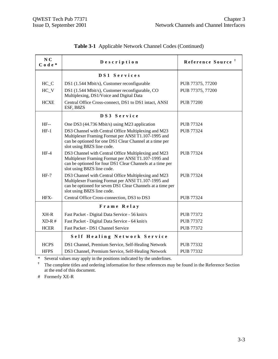| N <sub>C</sub><br>$C$ o d e $*$ | Description                                                                                                                                                                                             | Reference Source <sup>†</sup> |
|---------------------------------|---------------------------------------------------------------------------------------------------------------------------------------------------------------------------------------------------------|-------------------------------|
|                                 | DS1 Services                                                                                                                                                                                            |                               |
| $HC_C$                          | DS1 (1.544 Mbit/s), Customer reconfigurable                                                                                                                                                             | PUB 77375, 77200              |
| $HC_V$                          | DS1 (1.544 Mbit/s), Customer reconfigurable, CO<br>Multiplexing, DS1/Voice and Digital Data                                                                                                             | PUB 77375, 77200              |
| <b>HCXE</b>                     | Central Office Cross-connect, DS1 to DS1 intact, ANSI<br>ESF, B8ZS                                                                                                                                      | <b>PUB 77200</b>              |
|                                 | DS3 Service                                                                                                                                                                                             |                               |
| $HF-$                           | One DS3 (44.736 Mbit/s) using M23 application                                                                                                                                                           | PUB 77324                     |
| $HF-1$                          | DS3 Channel with Central Office Multiplexing and M23<br>Multiplexer Framing Format per ANSI T1.107-1995 and<br>can be optioned for one DS1 Clear Channel at a time per<br>slot using B8ZS line code.    | <b>PUB 77324</b>              |
| $HF-4$                          | DS3 Channel with Central Office Multiplexing and M23<br>Multiplexer Framing Format per ANSI T1.107-1995 and<br>can be optioned for four DS1 Clear Channels at a time per<br>slot using B8ZS line code.  | <b>PUB 77324</b>              |
| $HF-7$                          | DS3 Channel with Central Office Multiplexing and M23<br>Multiplexer Framing Format per ANSI T1.107-1995 and<br>can be optioned for seven DS1 Clear Channels at a time per<br>slot using B8ZS line code. | PUB 77324                     |
| HFX-                            | Central Office Cross-connection, DS3 to DS3                                                                                                                                                             | PUB 77324                     |
|                                 | Frame Relay                                                                                                                                                                                             |                               |
| $XH-R$                          | Fast Packet - Digital Data Service - 56 knit/s                                                                                                                                                          | <b>PUB 77372</b>              |
| $XD-R$ #                        | Fast Packet - Digital Data Service - 64 knit/s                                                                                                                                                          | <b>PUB 77372</b>              |
| <b>HCER</b>                     | Fast Packet - DS1 Channel Service                                                                                                                                                                       | <b>PUB 77372</b>              |
|                                 | Self Healing Network Service                                                                                                                                                                            |                               |
| <b>HCPS</b>                     | DS1 Channel, Premium Service, Self-Healing Network                                                                                                                                                      | <b>PUB 77332</b>              |
| <b>HFPS</b>                     | DS3 Channel, Premium Service, Self-Healing Network                                                                                                                                                      | PUB 77332                     |

| Table 3-1 Applicable Network Channel Codes (Continued) |  |
|--------------------------------------------------------|--|
|--------------------------------------------------------|--|

\* Several values may apply in the positions indicated by the underlines.

**†** The complete titles and ordering information for these references may be found in the Reference Section at the end of this document.

# Formerly XE-R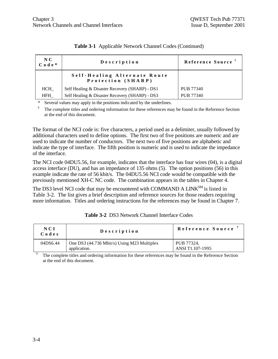| $N_{\rm C}$<br>$C$ o d e $*$ | Description                                        | Reference Source |
|------------------------------|----------------------------------------------------|------------------|
|                              | Self-Healing Alternate Route<br>Protection (SHARP) |                  |
| HCH                          | Self Healing & Disaster Recovery (SHARP) - DS1     | PUB 77340        |
| HFH                          | Self Healing & Disaster Recovery (SHARP) - DS3     | PUB 77340        |

|  | Table 3-1 Applicable Network Channel Codes (Continued) |  |  |  |
|--|--------------------------------------------------------|--|--|--|
|--|--------------------------------------------------------|--|--|--|

\* Several values may apply in the positions indicated by the underlines.

**†** The complete titles and ordering information for these references may be found in the Reference Section at the end of this document.

The format of the NCI code is: five characters, a period used as a delimiter, usually followed by additional characters used to define options. The first two of five positions are numeric and are used to indicate the number of conductors. The next two of five positions are alphabetic and indicate the type of interface. The fifth position is numeric and is used to indicate the impedance of the interface.

The NCI code 04DU5.56, for example, indicates that the interface has four wires (04), is a digital access interface (DU), and has an impedance of 135 ohms (5). The option positions (56) in this example indicate the rate of 56 kbit/s. The 04DU5.56 NCI code would be compatible with the previously mentioned XH-C NC code. The combination appears in the tables in Chapter 4.

The DS3 level NCI code that may be encountered with COMMAND A LINK<sup>SM</sup> is listed in Table 3-2. The list gives a brief description and reference sources for those readers requiring more information. Titles and ordering instructions for the references may be found in Chapter 7.

| N C I<br>Codes | Description                                                 | Reference Source               |
|----------------|-------------------------------------------------------------|--------------------------------|
| 04DS6.44       | One DS3 (44.736 Mbit/s) Using M23 Multiplex<br>application. | PUB 77324.<br>ANSI T1.107-1995 |

**Table 3-2** DS3 Network Channel Interface Codes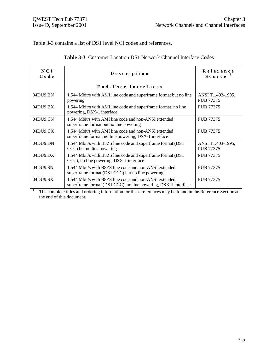Table 3-3 contains a list of DS1 level NCI codes and references.

| NCI<br>Code | Description                                                                                                              | Reference<br>$S$ ource $T$            |
|-------------|--------------------------------------------------------------------------------------------------------------------------|---------------------------------------|
|             | End-User Interfaces                                                                                                      |                                       |
| 04DU9.BN    | 1.544 Mbit/s with AMI line code and superframe format but no line<br>powering                                            | ANSI T1.403-1995,<br>PUB 77375        |
| 04DU9.BX    | 1.544 Mbit/s with AMI line code and superframe format, no line<br>powering, DSX-1 interface                              | PUB 77375                             |
| 04DU9.CN    | 1.544 Mbit/s with AMI line code and non-ANSI extended<br>superframe format but no line powering                          | <b>PUB 77375</b>                      |
| 04DU9.CX    | 1.544 Mbit/s with AMI line code and non-ANSI extended<br>superframe format, no line powering, DSX-1 interface            | <b>PUB 77375</b>                      |
| 04DU9.DN    | 1.544 Mbit/s with B8ZS line code and superframe format (DS1)<br>CCC) but no line powering                                | ANSI T1.403-1995,<br><b>PUB 77375</b> |
| 04DU9.DX    | 1.544 Mbit/s with B8ZS line code and superframe format (DS1)<br>CCC), no line powering, DSX-1 interface                  | <b>PUB 77375</b>                      |
| 04DU9.SN    | 1.544 Mbit/s with B8ZS line code and non-ANSI extended<br>superframe format (DS1 CCC) but no line powering               | <b>PUB 77375</b>                      |
| 04DU9.SX    | 1.544 Mbit/s with B8ZS line code and non-ANSI extended<br>superframe format (DS1 CCC), no line powering, DSX-1 interface | <b>PUB 77375</b>                      |
|             | The complete titles and ordering information for these references may be found in the Reference Section at               |                                       |

|  | <b>Table 3-3</b> Customer Location DS1 Network Channel Interface Codes |  |  |
|--|------------------------------------------------------------------------|--|--|
|  |                                                                        |  |  |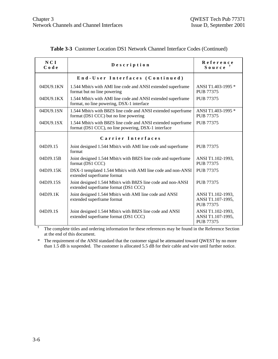| <b>NCI</b><br>Code | Description                                                                                                          | Reference<br>$S$ ource $\dot{ }$                           |
|--------------------|----------------------------------------------------------------------------------------------------------------------|------------------------------------------------------------|
|                    | End-User Interfaces (Continued)                                                                                      |                                                            |
| 04DU9.1KN          | 1.544 Mbit/s with AMI line code and ANSI extended superframe<br>format but no line powering                          | ANSI T1.403-1995 *<br><b>PUB 77375</b>                     |
| 04DU9.1KX          | 1.544 Mbit/s with AMI line code and ANSI extended superframe<br>format, no line powering, DSX-1 interface            | PUB 77375                                                  |
| 04DU9.1SN          | 1.544 Mbit/s with B8ZS line code and ANSI extended superframe<br>format (DS1 CCC) but no line powering               | ANSI T1.403-1995 *<br>PUB 77375                            |
| 04DU9.1SX          | 1.544 Mbit/s with B8ZS line code and ANSI extended superframe<br>format (DS1 CCC), no line powering, DSX-1 interface | PUB 77375                                                  |
|                    | Carrier Interfaces                                                                                                   |                                                            |
| 04DJ9.15           | Joint designed 1.544 Mbit/s with AMI line code and superframe<br>format                                              | PUB 77375                                                  |
| 04DJ9.15B          | Joint designed 1.544 Mbit/s with B8ZS line code and superframe<br>format (DS1 CCC)                                   | ANSI T1.102-1993,<br><b>PUB 77375</b>                      |
| 04DJ9.15K          | DSX-1 templated 1.544 Mbit/s with AMI line code and non-ANSI<br>extended superframe format                           | <b>PUB 77375</b>                                           |
| 04DJ9.15S          | Joint designed 1.544 Mbit/s with B8ZS line code and non-ANSI<br>extended superframe format (DS1 CCC)                 | PUB 77375                                                  |
| 04DJ9.1K           | Joint designed 1.544 Mbit/s with AMI line code and ANSI<br>extended superframe format                                | ANSI T1.102-1993,<br>ANSI T1.107-1995,<br><b>PUB 77375</b> |
| 04DJ9.1S           | Joint designed 1.544 Mbit/s with B8ZS line code and ANSI<br>extended superframe format (DS1 CCC)                     | ANSI T1.102-1993,<br>ANSI T1.107-1995,<br><b>PUB 77375</b> |

#### **Table 3-3** Customer Location DS1 Network Channel Interface Codes (Continued)

**†** The complete titles and ordering information for these references may be found in the Reference Section at the end of this document.

\* The requirement of the ANSI standard that the customer signal be attenuated toward QWEST by no more than 1.5 dB is suspended. The customer is allocated 5.5 dB for their cable and wire until further notice.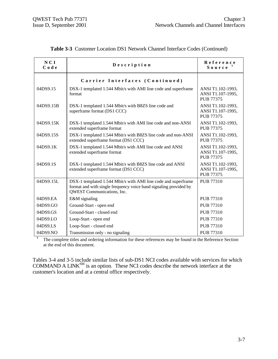| NCI<br>Code | Description                                                                                                                                                              | Reference<br>$S$ ource $T$                                 |
|-------------|--------------------------------------------------------------------------------------------------------------------------------------------------------------------------|------------------------------------------------------------|
|             | Carrier Interfaces (Continued)                                                                                                                                           |                                                            |
| 04DS9.15    | DSX-1 templated 1.544 Mbit/s with AMI line code and superframe<br>format                                                                                                 | ANSI T1.102-1993,<br>ANSI T1.107-1995,<br><b>PUB 77375</b> |
| 04DS9.15B   | DSX-1 templated 1.544 Mbit/s with B8ZS line code and<br>superframe format (DS1 CCC)                                                                                      | ANSI T1.102-1993,<br>ANSI T1.107-1995,<br><b>PUB 77375</b> |
| 04DS9.15K   | DSX-1 templated 1.544 Mbit/s with AMI line code and non-ANSI<br>extended superframe format                                                                               | ANSI T1.102-1993,<br><b>PUB 77375</b>                      |
| 04DS9.15S   | DSX-1 templated 1.544 Mbit/s with B8ZS line code and non-ANSI<br>extended superframe format (DS1 CCC)                                                                    | ANSI T1.102-1993,<br><b>PUB 77375</b>                      |
| 04DS9.1K    | DSX-1 templated 1.544 Mbit/s with AMI line code and ANSI<br>extended superframe format                                                                                   | ANSI T1.102-1993,<br>ANSI T1.107-1995,<br><b>PUB 77375</b> |
| 04DS9.1S    | DSX-1 templated 1.544 Mbit/s with B8ZS line code and ANSI<br>extended superframe format (DS1 CCC)                                                                        | ANSI T1.102-1993,<br>ANSI T1.107-1995,<br><b>PUB 77375</b> |
| 04DS9.15L   | DSX-1 templated 1.544 Mbit/s with AMI line code and superframe<br>format and with single frequency voice band signaling provided by<br><b>OWEST</b> Communications, Inc. | <b>PUB 77310</b>                                           |
| 04DS9.EA    | E&M signaling                                                                                                                                                            | <b>PUB 77310</b>                                           |
| 04DS9.GO    | Ground-Start - open end                                                                                                                                                  | <b>PUB 77310</b>                                           |
| 04DS9.GS    | Ground-Start - closed end                                                                                                                                                | <b>PUB 77310</b>                                           |
| 04DS9.LO    | Loop-Start - open end                                                                                                                                                    | <b>PUB 77310</b>                                           |
| 04DS9.LS    | Loop-Start - closed end                                                                                                                                                  | <b>PUB 77310</b>                                           |
| 04DS9.NO    | Transmission only - no signaling                                                                                                                                         | <b>PUB 77310</b>                                           |

| <b>Table 3-3</b> Customer Location DS1 Network Channel Interface Codes (Continued) |  |  |
|------------------------------------------------------------------------------------|--|--|
|                                                                                    |  |  |

The complete titles and ordering information for these references may be found in the Reference Section at the end of this document.

Tables 3-4 and 3-5 include similar lists of sub-DS1 NCI codes available with services for which COMMAND A LINK $^{SM}$  is an option. These NCI codes describe the network interface at the customer's location and at a central office respectively.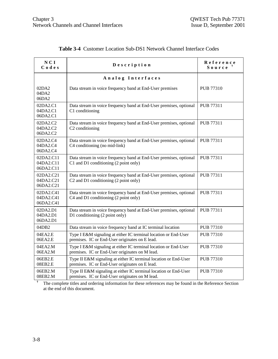| NCI<br>Codes                        | Description                                                                                                                         | Reference<br>Source <sup>†</sup> |
|-------------------------------------|-------------------------------------------------------------------------------------------------------------------------------------|----------------------------------|
|                                     | Analog Interfaces                                                                                                                   |                                  |
| 02DA2<br>04DA2<br>06DA2             | Data stream in voice frequency band at End-User premises                                                                            | PUB 77310                        |
| 02DA2.C1<br>04DA2.C1<br>06DA2.C1    | Data stream in voice frequency band at End-User premises, optional<br>C1 conditioning                                               | PUB 77311                        |
| 02DA2.C2<br>04DA2.C2<br>06DA2.C2    | Data stream in voice frequency band at End-User premises, optional<br>C <sub>2</sub> conditioning                                   | <b>PUB 77311</b>                 |
| 02DA2.C4<br>04DA2.C4<br>06DA2.C4    | Data stream in voice frequency band at End-User premises, optional<br>C4 conditioning (no mid-link)                                 | PUB 77311                        |
| 02DA2.C11<br>04DA2.C11<br>06DA2.C11 | Data stream in voice frequency band at End-User premises, optional<br>C1 and D1 conditioning (2 point only)                         | PUB 77311                        |
| 02DA2.C21<br>04DA2.C21<br>06DA2.C21 | Data stream in voice frequency band at End-User premises, optional<br>C <sub>2</sub> and D <sub>1</sub> conditioning (2 point only) | PUB 77311                        |
| 02DA2.C41<br>04DA2.C41<br>06DA2.C41 | Data stream in voice frequency band at End-User premises, optional<br>C4 and D1 conditioning (2 point only)                         | PUB 77311                        |
| 02DA2.D1<br>04DA2.D1<br>06DA2.D1    | Data stream in voice frequency band at End-User premises, optional<br>D1 conditioning (2 point only)                                | <b>PUB 77311</b>                 |
| 04DB2                               | Data stream in voice frequency band at IC terminal location                                                                         | <b>PUB 77310</b>                 |
| 04EA2.E<br>06EA2.E                  | Type I E&M signaling at either IC terminal location or End-User<br>premises. IC or End-User originates on E lead.                   | <b>PUB 77310</b>                 |
| 04EA2.M<br>06EA2.M                  | Type I E&M signaling at either IC terminal location or End-User<br>premises. IC or End-User originates on M lead.                   | PUB 77310                        |
| 06EB2.E<br>08EB2.E                  | Type II E&M signaling at either IC terminal location or End-User<br>premises. IC or End-User originates on E lead.                  | <b>PUB 77310</b>                 |
| 06EB2.M<br>08EB2.M                  | Type II E&M signaling at either IC terminal location or End-User<br>premises. IC or End-User originates on M lead.                  | <b>PUB 77310</b>                 |

## **Table 3-4** Customer Location Sub-DS1 Network Channel Interface Codes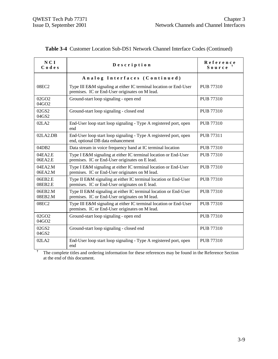| NCI<br>Codes               | Description                                                                                                         | Reference<br>Source |
|----------------------------|---------------------------------------------------------------------------------------------------------------------|---------------------|
|                            | Analog Interfaces (Continued)                                                                                       |                     |
| 08EC2                      | Type III E&M signaling at either IC terminal location or End-User<br>premises. IC or End-User originates on M lead. | PUB 77310           |
| 02GO <sub>2</sub><br>04GO2 | Ground-start loop signaling - open end                                                                              | <b>PUB 77310</b>    |
| 02GS2<br>04GS2             | Ground-start loop signaling - closed end                                                                            | <b>PUB 77310</b>    |
| 02LA2                      | End-User loop start loop signaling - Type A registered port, open<br>end                                            | PUB 77310           |
| 02LA2.DB                   | End-User loop start loop signaling - Type A registered port, open<br>end, optional DB data enhancement              | PUB 77311           |
| 04DB <sub>2</sub>          | Data stream in voice frequency band at IC terminal location                                                         | <b>PUB 77310</b>    |
| 04EA2.E<br>06EA2.E         | Type I E&M signaling at either IC terminal location or End-User<br>premises. IC or End-User originates on E lead.   | <b>PUB 77310</b>    |
| 04EA2.M<br>06EA2.M         | Type I E&M signaling at either IC terminal location or End-User<br>premises. IC or End-User originates on M lead.   | <b>PUB 77310</b>    |
| 06EB2.E<br>08EB2.E         | Type II E&M signaling at either IC terminal location or End-User<br>premises. IC or End-User originates on E lead.  | PUB 77310           |
| 06EB2.M<br>08EB2.M         | Type II E&M signaling at either IC terminal location or End-User<br>premises. IC or End-User originates on M lead.  | PUB 77310           |
| 08EC2                      | Type III E&M signaling at either IC terminal location or End-User<br>premises. IC or End-User originates on M lead. | PUB 77310           |
| 02GO2<br>04GO2             | Ground-start loop signaling - open end                                                                              | <b>PUB 77310</b>    |
| 02GS2<br>04GS2             | Ground-start loop signaling - closed end                                                                            | <b>PUB 77310</b>    |
| 02LA2                      | End-User loop start loop signaling - Type A registered port, open<br>end                                            | PUB 77310           |

|  |  |  |  |  |  |  |  | Table 3-4 Customer Location Sub-DS1 Network Channel Interface Codes (Continued) |  |
|--|--|--|--|--|--|--|--|---------------------------------------------------------------------------------|--|
|--|--|--|--|--|--|--|--|---------------------------------------------------------------------------------|--|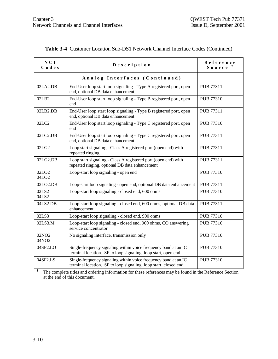| NCI<br>Codes                           | Description                                                                                                                         | Reference<br>Source |
|----------------------------------------|-------------------------------------------------------------------------------------------------------------------------------------|---------------------|
|                                        | Analog Interfaces (Continued)                                                                                                       |                     |
| 02LA2.DB                               | End-User loop start loop signaling - Type A registered port, open<br>end, optional DB data enhancement                              | PUB 77311           |
| 02LB2                                  | End-User loop start loop signaling - Type B registered port, open<br>end                                                            | <b>PUB 77310</b>    |
| 02LB2.DB                               | End-User loop start loop signaling - Type B registered port, open<br>end, optional DB data enhancement                              | PUB 77311           |
| 02LC2                                  | End-User loop start loop signaling - Type C registered port, open<br>end                                                            | PUB 77310           |
| 02LC2.DB                               | End-User loop start loop signaling - Type C registered port, open<br>end, optional DB data enhancement                              | PUB 77311           |
| 02LG2                                  | Loop start signaling - Class A registered port (open end) with<br>repeated ringing                                                  | <b>PUB 77311</b>    |
| 02LG2.DB                               | Loop start signaling - Class A registered port (open end) with<br>repeated ringing, optional DB data enhancement                    | PUB 77311           |
| 02LO <sub>2</sub><br>04LO <sub>2</sub> | Loop-start loop signaling - open end                                                                                                | <b>PUB 77310</b>    |
| 02LO2.DB                               | Loop-start loop signaling - open end, optional DB data enhancement                                                                  | PUB 77311           |
| 02LS2<br>04LS2                         | Loop-start loop signaling - closed end, 600 ohms                                                                                    | <b>PUB 77310</b>    |
| 04LS2.DB                               | Loop-start loop signaling - closed end, 600 ohms, optional DB data<br>enhancement                                                   | PUB 77311           |
| 02LS3                                  | Loop-start loop signaling - closed end, 900 ohms                                                                                    | PUB 77310           |
| 02LS3.M                                | Loop-start loop signaling - closed end, 900 ohms, CO answering<br>service concentrator                                              | <b>PUB 77310</b>    |
| 02NO <sub>2</sub><br>04NO2             | No signaling interface, transmission only                                                                                           | <b>PUB 77310</b>    |
| 04SF2.LO                               | Single-frequency signaling within voice frequency band at an IC<br>terminal location. SF to loop signaling, loop start, open end.   | <b>PUB 77310</b>    |
| 04SF2.LS                               | Single-frequency signaling within voice frequency band at an IC<br>terminal location. SF to loop signaling, loop start, closed end. | <b>PUB 77310</b>    |

|  | Table 3-4 Customer Location Sub-DS1 Network Channel Interface Codes (Continued) |  |  |  |  |  |  |  |  |
|--|---------------------------------------------------------------------------------|--|--|--|--|--|--|--|--|
|--|---------------------------------------------------------------------------------|--|--|--|--|--|--|--|--|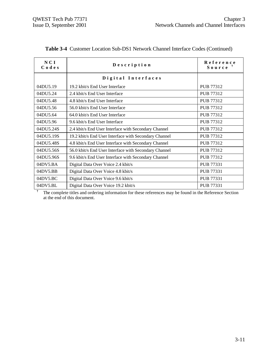| NCI<br>Codes | Description                                                                                             | Reference<br>$S$ ource $\bar{z}$ |
|--------------|---------------------------------------------------------------------------------------------------------|----------------------------------|
|              | Digital Interfaces                                                                                      |                                  |
| 04DU5.19     | 19.2 kbit/s End User Interface                                                                          | PUB 77312                        |
| 04DU5.24     | 2.4 kbit/s End User Interface                                                                           | PUB 77312                        |
| 04DU5.48     | 4.8 kbit/s End User Interface                                                                           | PUB 77312                        |
| 04DU5.56     | 56.0 kbit/s End User Interface                                                                          | PUB 77312                        |
| 04DU5.64     | 64.0 kbit/s End User Interface                                                                          | PUB 77312                        |
| 04DU5.96     | 9.6 kbit/s End User Interface                                                                           | PUB 77312                        |
| 04DU5.24S    | 2.4 kbit/s End User Interface with Secondary Channel                                                    | PUB 77312                        |
| 04DU5.19S    | 19.2 kbit/s End User Interface with Secondary Channel                                                   | PUB 77312                        |
| 04DU5.48S    | 4.8 kbit/s End User Interface with Secondary Channel                                                    | PUB 77312                        |
| 04DU5.56S    | 56.0 kbit/s End User Interface with Secondary Channel                                                   | PUB 77312                        |
| 04DU5.96S    | 9.6 kbit/s End User Interface with Secondary Channel                                                    | PUB 77312                        |
| 04DV5.BA     | Digital Data Over Voice 2.4 kbit/s                                                                      | PUB 77331                        |
| 04DV5.BB     | Digital Data Over Voice 4.8 kbit/s                                                                      | PUB 77331                        |
| 04DV5.BC     | Digital Data Over Voice 9.6 kbit/s                                                                      | PUB 77331                        |
| 04DV5.BL     | Digital Data Over Voice 19.2 kbit/s                                                                     | PUB 77331                        |
|              | The complete titles and ordering information for these references may be found in the Reference Section |                                  |

**Table 3-4** Customer Location Sub-DS1 Network Channel Interface Codes (Continued)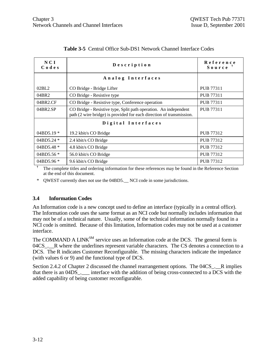| NCI<br>Codes | Description                                                                                                                              | Reference<br>$S$ ource $T$ |
|--------------|------------------------------------------------------------------------------------------------------------------------------------------|----------------------------|
|              | Analog Interfaces                                                                                                                        |                            |
| 02BL2        | CO Bridge - Bridge Lifter                                                                                                                | <b>PUB 77311</b>           |
| 04BR2        | CO Bridge - Resistive type                                                                                                               | <b>PUB 77311</b>           |
| 04BR2.CF     | CO Bridge - Resistive type, Conference operation                                                                                         | <b>PUB 77311</b>           |
| 04BR2.SP     | CO Bridge - Resistive type, Split path operation. An independent<br>path (2 wire bridge) is provided for each direction of transmission. | PUB 77311                  |
|              | Digital Interfaces                                                                                                                       |                            |
| $04BD5.19*$  | 19.2 kbit/s CO Bridge                                                                                                                    | PUB 77312                  |
| $04BD5.24*$  | 2.4 kbit/s CO Bridge                                                                                                                     | PUB 77312                  |
| 04BD5.48 $*$ | 4.8 kbit/s CO Bridge                                                                                                                     | PUB 77312                  |
| $04BD5.56*$  | 56.0 kbit/s CO Bridge                                                                                                                    | PUB 77312                  |
| $04BD5.96*$  | 9.6 kbit/s CO Bridge                                                                                                                     | PUB 77312                  |

#### **Table 3-5** Central Office Sub-DS1 Network Channel Interface Codes

**†** The complete titles and ordering information for these references may be found in the Reference Section at the end of this document.

\* QWEST currently does not use the 04BD5.\_\_ NCI code in some jurisdictions.

#### **3.4 Information Codes**

An Information code is a new concept used to define an interface (typically in a central office). The Information code uses the same format as an NCI code but normally includes information that may not be of a technical nature. Usually, some of the technical information normally found in a NCI code is omitted. Because of this limitation, Information codes may not be used at a customer interface.

The COMMAND A LINK<sup>SM</sup> service uses an Information code at the DCS. The general form is 04CS. R where the underlines represent variable characters. The CS denotes a connection to a DCS. The R indicates Customer Reconfigurable. The missing characters indicate the impedance (with values 6 or 9) and the functional type of DCS.

Section 2.4.2 of Chapter 2 discussed the channel rearrangement options. The 04CS . R implies that there is an 04DS. interface with the addition of being cross-connected to a DCS with the added capability of being customer reconfigurable.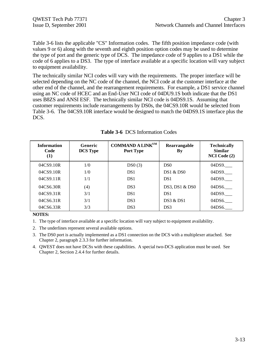Table 3-6 lists the applicable "CS" Information codes. The fifth position impedance code (with values 9 or 6) along with the seventh and eighth position option codes may be used to determine the type of port and the generic type of DCS. The impedance code of 9 applies to a DS1 while the code of 6 applies to a DS3. The type of interface available at a specific location will vary subject to equipment availability.

The technically similar NCI codes will vary with the requirements. The proper interface will be selected depending on the NC code of the channel, the NCI code at the customer interface at the other end of the channel, and the rearrangement requirements. For example, a DS1 service channel using an NC code of HCEC and an End-User NCI code of 04DU9.1S both indicate that the DS1 uses B8ZS and ANSI ESF. The technically similar NCI code is 04DS9.1S. Assuming that customer requirements include rearrangements by DS0s, the 04CS9.10R would be selected from Table 3-6. The 04CS9.10R interface would be designed to match the 04DS9.1S interface plus the DCS.

| <b>Information</b><br>Code<br>$\left(1\right)$ | <b>Generic</b><br><b>DCS</b> Type | <b>COMMAND A LINKSM</b><br>Port Type | Rearrangable<br><b>By</b> | <b>Technically</b><br><b>Similar</b><br>NCI Code (2) |
|------------------------------------------------|-----------------------------------|--------------------------------------|---------------------------|------------------------------------------------------|
| 04CS9.10R                                      | 1/0                               | DS0(3)                               | D <sub>S0</sub>           | 04DS9.                                               |
| 04CS9.10R                                      | 1/0                               | DS <sub>1</sub>                      | DS1 & DS0                 | 04DS9.                                               |
| 04CS9.11R                                      | 1/1                               | DS <sub>1</sub>                      | DS <sub>1</sub>           | 04DS9.                                               |
| 04CS6.30R                                      | (4)                               | DS3                                  | $DS3$ , $DS1 & DS0$       | 04DS6.                                               |
| 04CS9.31R                                      | 3/1                               | DS <sub>1</sub>                      | DS <sub>1</sub>           | 04DS9.                                               |
| 04CS6.31R                                      | 3/1                               | DS3                                  | DS3 & DS1                 | 04DS6.                                               |
| 04CS6.33R                                      | 3/3                               | DS3                                  | DS <sub>3</sub>           | 04DS6.                                               |

**Table 3-6** DCS Information Codes

**NOTES:**

1. The type of interface available at a specific location will vary subject to equipment availability.

2. The underlines represent several available options.

3. The DS0 port is actually implemented as a DS1 connection on the DCS with a multiplexer attached. See Chapter 2, paragraph 2.3.3 for further information.

4. QWEST does not have DCSs with these capabilities. A special two-DCS application must be used. See Chapter 2, Section 2.4.4 for further details.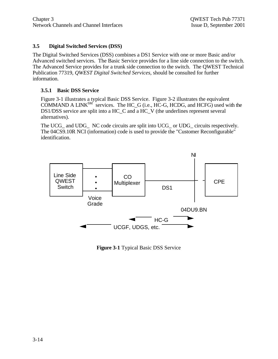#### **3.5 Digital Switched Services (DSS)**

The Digital Switched Services (DSS) combines a DS1 Service with one or more Basic and/or Advanced switched services. The Basic Service provides for a line side connection to the switch. The Advanced Service provides for a trunk side connection to the switch. The QWEST Technical Publication 77319, *QWEST Digital Switched Services,* should be consulted for further information.

#### **3.5.1 Basic DSS Service**

Figure 3-1 illustrates a typical Basic DSS Service. Figure 3-2 illustrates the equivalent COMMAND A LINK $^{SM}$  services. The HC\_G (i.e., HC-G, HCDG, and HCFG) used with the DS1/DSS service are split into a HC\_C and a HC\_V (the underlines represent several alternatives).

The UCG\_ and UDG\_ NC code circuits are split into UCG\_ or UDG\_ circuits respectively. The 04CS9.10R NCI (information) code is used to provide the "Customer Reconfigurable" identification.



**Figure 3-1** Typical Basic DSS Service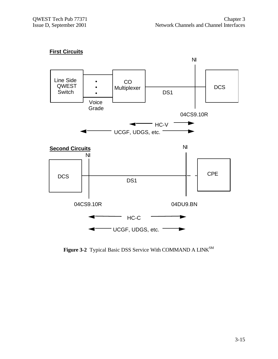



Figure 3-2 Typical Basic DSS Service With COMMAND A LINK<sup>SM</sup>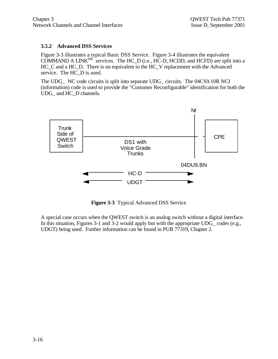#### **3.5.2 Advanced DSS Services**

Figure 3-3 illustrates a typical Basic DSS Service. Figure 3-4 illustrates the equivalent COMMAND A LINK<sup>SM'</sup> services. The HC\_D (i.e., HC-D, HCDD, and HCFD) are split into a HC\_C and a HC\_D. There is no equivalent to the HC\_V replacement with the Advanced service. The HC\_D is used.

The UDG\_ NC code circuits is split into separate UDG\_ circuits. The 04CS9.10R NCI (information) code is used to provide the "Customer Reconfigurable" identification for both the UDG and HC\_D channels.



**Figure 3-3** Typical Advanced DSS Service

A special case occurs when the QWEST switch is an analog switch without a digital interface. In this situation, Figures 3-1 and 3-2 would apply but with the appropriate UDG\_ codes (e.g., UDGT) being used. Further information can be found in PUB 77319, Chapter 2.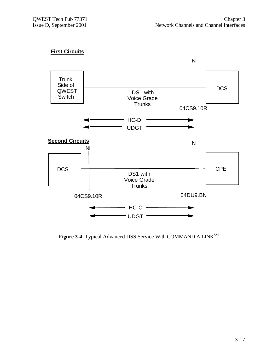# **First Circuits**



Figure 3-4 Typical Advanced DSS Service With COMMAND A LINK<sup>SM</sup>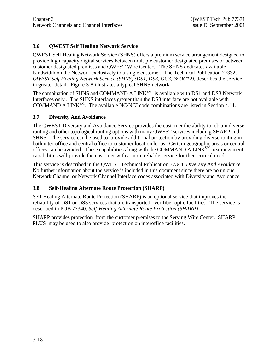# **3.6 QWEST Self Healing Network Service**

QWEST Self Healing Network Service (SHNS) offers a premium service arrangement designed to provide high capacity digital services between multiple customer designated premises or between customer designated premises and QWEST Wire Centers. The SHNS dedicates available bandwidth on the Network exclusively to a single customer. The Technical Publication 77332, *QWEST Self Healing Network Service (SHNS) (DS1, DS3, OC3, & OC12),* describes the service in greater detail. Figure 3-8 illustrates a typical SHNS network.

The combination of SHNS and COMMAND A LINK<sup>SM</sup> is available with DS1 and DS3 Network Interfaces only . The SHNS interfaces greater than the DS3 interface are not available with COMMAND A LINKSM. The available NC/NCI code combinations are listed in Section 4.11.

## **3.7 Diversity And Avoidance**

The QWEST Diversity and Avoidance Service provides the customer the ability to obtain diverse routing and other topological routing options with many QWEST services including SHARP and SHNS. The service can be used to provide additional protection by providing diverse routing in both inter-office and central office to customer location loops. Certain geographic areas or central offices can be avoided. These capabilities along with the COMMAND A  $LINK^{SM}$  rearrangement capabilities will provide the customer with a more reliable service for their critical needs.

This service is described in the QWEST Technical Publication 77344, *Diversity And Avoidance*. No further information about the service is included in this document since there are no unique Network Channel or Network Channel Interface codes associated with Diversity and Avoidance.

# **3.8 Self-Healing Alternate Route Protection (SHARP)**

Self-Healing Alternate Route Protection (SHARP) is an optional service that improves the reliability of DS1 or DS3 services that are transported over fiber optic facilities. The service is described in PUB 77340, *Self-Healing Alternate Route Protection (SHARP)*.

SHARP provides protection from the customer premises to the Serving Wire Center. SHARP PLUS may be used to also provide protection on interoffice facilities.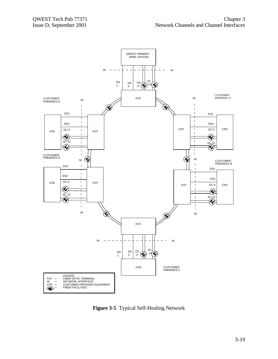

**Figure 3-5** Typical Self-Healing Network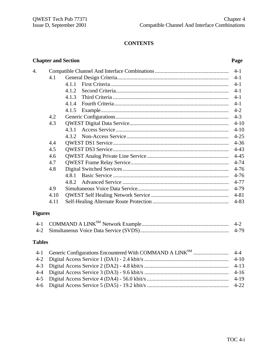# **CONTENTS**

# **Chapter and Section Page**

| 4. |      |       | $4 - 1$  |
|----|------|-------|----------|
|    | 4.1  |       | $4 - 1$  |
|    |      | 4.1.1 | $4-1$    |
|    |      | 4.1.2 | $4-1$    |
|    |      | 4.1.3 | $4-1$    |
|    |      | 4.1.4 | $4 - 1$  |
|    |      | 4.1.5 | $4 - 2$  |
|    | 4.2  |       | $4 - 3$  |
|    | 4.3  |       | $4 - 10$ |
|    |      | 4.3.1 | $4 - 10$ |
|    |      |       | $4 - 25$ |
|    | 4.4  |       | $4 - 36$ |
|    | 4.5  |       | $4 - 43$ |
|    | 4.6  |       | $4 - 45$ |
|    | 4.7  |       | $4 - 74$ |
|    | 4.8  |       | $4 - 76$ |
|    |      | 4.8.1 | $4 - 76$ |
|    |      | 4.8.2 | $4 - 77$ |
|    | 4.9  |       | 4-79     |
|    | 4.10 |       | $4 - 81$ |
|    | 4.11 |       | $4 - 83$ |
|    |      |       |          |

# **Figures**

|  | $4 - 2$ |
|--|---------|
|  | 4-79    |

# **Tables**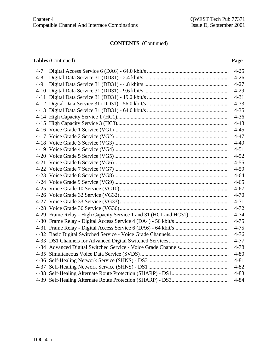# **CONTENTS** (Continued)

## **Tables** (Continued) **Page**

| $4 - 7$ |                                                                  | $4 - 25$ |
|---------|------------------------------------------------------------------|----------|
| $4 - 8$ |                                                                  | $4 - 26$ |
| $4 - 9$ |                                                                  | $4 - 27$ |
|         |                                                                  | $4-29$   |
|         |                                                                  | $4 - 31$ |
|         |                                                                  | $4 - 33$ |
|         |                                                                  | $4 - 35$ |
|         |                                                                  | $4 - 36$ |
|         |                                                                  | $4 - 43$ |
|         |                                                                  | $4 - 45$ |
|         |                                                                  | $4 - 47$ |
|         |                                                                  | $4-49$   |
|         |                                                                  | $4 - 51$ |
|         |                                                                  | $4 - 52$ |
|         |                                                                  | $4 - 55$ |
|         |                                                                  | $4 - 59$ |
|         |                                                                  | $4 - 64$ |
|         |                                                                  | $4 - 65$ |
|         |                                                                  | $4 - 67$ |
|         |                                                                  | $4 - 70$ |
|         |                                                                  | $4 - 71$ |
|         |                                                                  | $4 - 72$ |
|         | 4-29 Frame Relay - High Capacity Service 1 and 31 (HC1 and HC31) | $4 - 74$ |
|         |                                                                  | $4 - 75$ |
|         |                                                                  | $4 - 75$ |
|         |                                                                  | $4-76$   |
|         |                                                                  | $4 - 77$ |
|         |                                                                  | $4 - 78$ |
|         |                                                                  | $4 - 80$ |
|         |                                                                  | $4 - 81$ |
|         |                                                                  | $4 - 82$ |
|         |                                                                  | $4 - 83$ |
|         |                                                                  | $4 - 84$ |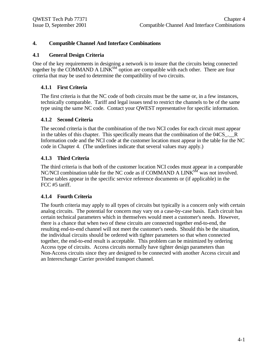### **4. Compatible Channel And Interface Combinations**

#### **4.1 General Design Criteria**

One of the key requirements in designing a network is to insure that the circuits being connected together by the COMMAND A  $LINK^{SM}$  option are compatible with each other. There are four criteria that may be used to determine the compatibility of two circuits.

#### **4.1.1 First Criteria**

The first criteria is that the NC code of both circuits must be the same or, in a few instances, technically comparable. Tariff and legal issues tend to restrict the channels to be of the same type using the same NC code. Contact your QWEST representative for specific information.

#### **4.1.2 Second Criteria**

The second criteria is that the combination of the two NCI codes for each circuit must appear in the tables of this chapter. This specifically means that the combination of the 04CS<sub>\_1</sub>. Information code and the NCI code at the customer location must appear in the table for the NC code in Chapter 4. (The underlines indicate that several values may apply.)

#### **4.1.3 Third Criteria**

The third criteria is that both of the customer location NCI codes must appear in a comparable NC/NCI combination table for the NC code as if COMMAND A LINK<sup>SM</sup> was not involved. These tables appear in the specific service reference documents or (if applicable) in the FCC #5 tariff.

#### **4.1.4 Fourth Criteria**

The fourth criteria may apply to all types of circuits but typically is a concern only with certain analog circuits. The potential for concern may vary on a case-by-case basis. Each circuit has certain technical parameters which in themselves would meet a customer's needs. However, there is a chance that when two of these circuits are connected together end-to-end, the resulting end-to-end channel will not meet the customer's needs. Should this be the situation, the individual circuits should be ordered with tighter parameters so that when connected together, the end-to-end result is acceptable. This problem can be minimized by ordering Access type of circuits. Access circuits normally have tighter design parameters than Non-Access circuits since they are designed to be connected with another Access circuit and an Interexchange Carrier provided transport channel.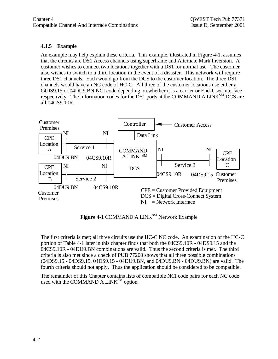## **4.1.5 Example**

An example may help explain these criteria. This example, illustrated in Figure 4-1, assumes that the circuits are DS1 Access channels using superframe and Alternate Mark Inversion. A customer wishes to connect two locations together with a DS1 for normal use. The customer also wishes to switch to a third location in the event of a disaster. This network will require three DS1 channels. Each would go from the DCS to the customer location. The three DS1 channels would have an NC code of HC-C. All three of the customer locations use either a 04DS9.15 or 04DU9.BN NCI code depending on whether it is a carrier or End-User interface respectively. The Information codes for the DS1 ports at the COMMAND A LINK<sup>SM</sup> DCS are all 04CS9.10R.



Figure 4-1 COMMAND A LINK<sup>SM</sup> Network Example

The first criteria is met; all three circuits use the HC-C NC code. An examination of the HC-C portion of Table 4-1 later in this chapter finds that both the 04CS9.10R - 04DS9.15 and the 04CS9.10R - 04DU9.BN combinations are valid. Thus the second criteria is met. The third criteria is also met since a check of PUB 77200 shows that all three possible combinations (04DS9.15 - 04DS9.15, 04DS9.15 - 04DU9.BN, and 04DU9.BN - 04DU9.BN) are valid. The fourth criteria should not apply. Thus the application should be considered to be compatible.

The remainder of this Chapter contains lists of compatible NCI code pairs for each NC code used with the COMMAND A LINK<sup>SM</sup> option.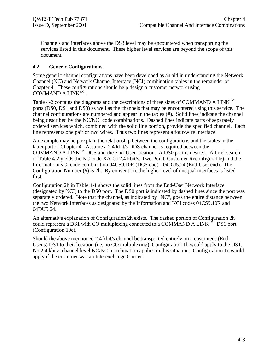Channels and interfaces above the DS3 level may be encountered when transporting the services listed in this document. These higher level services are beyond the scope of this document.

#### **4.2 Generic Configurations**

Some generic channel configurations have been developed as an aid in understanding the Network Channel (NC) and Network Channel Interface (NCI) combination tables in the remainder of Chapter 4. These configurations should help design a customer network using  $\widehat{\text{COMMAND A LINK}^{\text{SM}}}$ .

Table 4-2 contains the diagrams and the descriptions of three sizes of COMMAND A LINK<sup>SM</sup> ports (DS0, DS1 and DS3) as well as the channels that may be encountered using this service. The channel configurations are numbered and appear in the tables (#). Solid lines indicate the channel being described by the NC/NCI code combinations. Dashed lines indicate parts of separately ordered services which, combined with the solid line portion, provide the specified channel. Each line represents one pair or two wires. Thus two lines represent a four-wire interface.

An example may help explain the relationship between the configurations and the tables in the latter part of Chapter 4. Assume a 2.4 kbit/s DDS channel is required between the COMMAND A LINK $^{SM}$  DCS and the End-User location. A DS0 port is desired. A brief search of Table 4-2 yields the NC code XA-C (2.4 kbit/s, Two Point, Customer Reconfigurable) and the Information/NCI code combination 04CS9.10R (DCS end) - 04DU5.24 (End-User end). The Configuration Number (#) is 2h. By convention, the higher level of unequal interfaces is listed first.

Configuration 2h in Table 4-1 shows the solid lines from the End-User Network Interface (designated by NCI) to the DS0 port. The DS0 port is indicated by dashed lines since the port was separately ordered. Note that the channel, as indicated by "NC", goes the entire distance between the two Network Interfaces as designated by the Information and NCI codes 04CS9.10R and 04DU5.24.

An alternative explanation of Configuration 2h exists. The dashed portion of Configuration 2h could represent a DS1 with CO multiplexing connected to a COMMAND A LINK $^{S\overline{M}}$  DS1 port (Configuration 10e).

Should the above mentioned 2.4 kbit/s channel be transported entirely on a customer's (End-User's) DS1 to their location (i.e. no CO multiplexing), Configuration 1b would apply to the DS1. No 2.4 kbit/s channel level NC/NCI combination applies in this situation. Configuration 1c would apply if the customer was an Interexchange Carrier.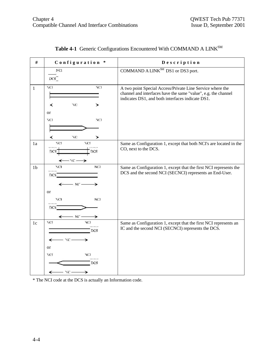| $\#$           | Configuration *                                                  | Description                                                                                                                                                                     |
|----------------|------------------------------------------------------------------|---------------------------------------------------------------------------------------------------------------------------------------------------------------------------------|
|                | $_{\rm NC1}$<br>DCS                                              | COMMAND A LINK <sup>SM</sup> DS1 or DS3 port.                                                                                                                                   |
| $\mathbf{1}$   | NG1<br>NCI<br>NС<br>≺<br>≻<br>or                                 | A two point Special Access/Private Line Service where the<br>channel and interfaces have the same "value", e.g. the channel<br>indicates DS1, and both interfaces indicate DS1. |
|                | NCI<br>NCI<br>NС<br>≺<br>≻                                       |                                                                                                                                                                                 |
| 1a             | NCL<br>YСГ<br>DCS.<br>DCS<br>- NC –                              | Same as Configuration 1, except that both NCI's are located in the<br>CO, next to the DCS.                                                                                      |
| 1 <sub>b</sub> | NCI<br>NCL<br>DCS.<br>$\cdot$ NC –                               | Same as Configuration 1, except that the first NCI represents the<br>DCS and the second NCI (SECNCI) represents an End-User.                                                    |
|                | <sub>or</sub><br>NCL<br><b>NCI</b><br>DCS <sup>-</sup><br>$NC -$ |                                                                                                                                                                                 |
| 1c             | NCI<br>NCI<br>DCS<br>- NC -<br>↞<br>or<br>NCL<br>NCI<br>DCS      | Same as Configuration 1, except that the first NCI represents an<br>IC and the second NCI (SECNCI) represents the DCS.                                                          |
|                | ZC-                                                              |                                                                                                                                                                                 |

# Table 4-1 Generic Configurations Encountered With COMMAND A LINK<sup>SM</sup>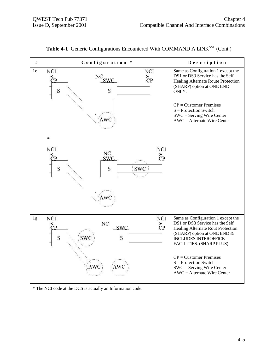| $\#$ | Configuration *                                                                                | Description                                                                                                                                                                                                                                                                                                                 |
|------|------------------------------------------------------------------------------------------------|-----------------------------------------------------------------------------------------------------------------------------------------------------------------------------------------------------------------------------------------------------------------------------------------------------------------------------|
| 1e   | NCI<br>NCI<br>${}^{\mathrm{N}\mathrm{C}}$ swc<br>$\zeta_{\rm P}$<br>S<br>S<br>٨wc<br><b>or</b> | Same as Configuration 1 except the<br>DS1 or DS3 Service has the Self<br>Healing Alternate Route Protection<br>(SHARP) option at ONE END<br>ONLY.<br>$CP =$ Customer Premises<br>$S =$ Protection Switch<br>$SWC =$ Serving Wire Center<br>$AWC =$ Alternate Wire Center                                                    |
|      | NCI<br>NCI<br>NC<br>$\zeta_{\rm P}$<br>SWC<br>S<br><b>SWC</b><br>S<br>AWC                      |                                                                                                                                                                                                                                                                                                                             |
| 1g   | NCI<br>NCI<br>NC<br>$\overline{c}$<br><b>SWC</b><br>S<br>swc<br>S<br>AWC ì<br>AWC              | Same as Configuration 1 except the<br>DS1 or DS3 Service has the Self<br>Healing Alternate Rout Protection<br>(SHARP) option at ONE END &<br><b>INCLUDES INTEROFFICE</b><br>FACILITIES. (SHARP PLUS)<br>$CP =$ Customer Premises<br>$S =$ Protection Switch<br>$SWC =$ Serving Wire Center<br>$AWC =$ Alternate Wire Center |

Table 4-1 Generic Configurations Encountered With COMMAND A LINK<sup>SM</sup> (Cont.)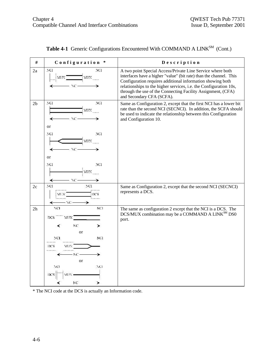| $\#$           | Configuration *                                                                                                      | Description                                                                                                                                                                                                                                                                                                                                                      |
|----------------|----------------------------------------------------------------------------------------------------------------------|------------------------------------------------------------------------------------------------------------------------------------------------------------------------------------------------------------------------------------------------------------------------------------------------------------------------------------------------------------------|
| 2a             | NG1<br>NCI<br>MIN<br>MIN<br>NC-                                                                                      | A two point Special Access/Private Line Service where both<br>interfaces have a higher "value" (bit rate) than the channel. This<br>Configuration requires additional information showing both<br>relationships to the higher services, i.e. the Configuration 10s,<br>through the use of the Connecting Facility Assignment, (CFA)<br>and Secondary CFA (SCFA). |
| 2 <sub>b</sub> | NCI.<br>NCI<br>MUN<br>w<br>or<br>NG1<br>NCI                                                                          | Same as Configuration 2, except that the first NCI has a lower bit<br>rate than the second NCI (SECNCI). In addition, the SCFA should<br>be used to indicate the relationship between this Configuration<br>and Configuration 10.                                                                                                                                |
|                | MIN<br>NС<br><b>or</b><br>NG1<br>NCI                                                                                 |                                                                                                                                                                                                                                                                                                                                                                  |
|                | MIN<br>NC.                                                                                                           |                                                                                                                                                                                                                                                                                                                                                                  |
| 2c             | NCI<br>NCI<br>DCS<br>MUX<br>AC-                                                                                      | Same as Configuration 2, except that the second NCI (SECNCI)<br>represents a DCS.                                                                                                                                                                                                                                                                                |
| 2 <sub>h</sub> | NC1<br>NCI<br><b>DCS</b><br>MW<br>NC<br>➤<br>or<br>NCL<br>NCI<br>DCS<br>MUN<br>МC.<br>or<br>NCI<br>NCI<br>DCS<br>NC. | The same as configuration 2 except that the NCI is a DCS. The<br>DCS/MUX combination may be a COMMAND A LINK <sup>SM</sup> DS0<br>port.                                                                                                                                                                                                                          |

| <b>Table 4-1</b> Generic Configurations Encountered With COMMAND A LINK $^{SM}$ (Cont.) |  |  |  |  |  |  |  |  |
|-----------------------------------------------------------------------------------------|--|--|--|--|--|--|--|--|
|-----------------------------------------------------------------------------------------|--|--|--|--|--|--|--|--|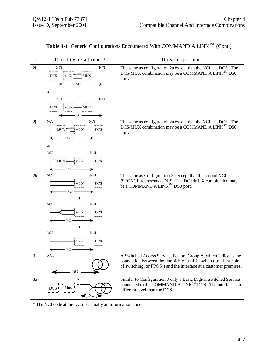| #  | Configuration *                                                                                                                                                          | Description                                                                                                                                                                                                 |
|----|--------------------------------------------------------------------------------------------------------------------------------------------------------------------------|-------------------------------------------------------------------------------------------------------------------------------------------------------------------------------------------------------------|
| 2i | NCI<br>NC1<br><br>DCS<br>МŒ<br>MUNI<br>- NC -<br>or<br>NCI<br>NCI<br>DCS<br>$M(X -$<br>- MLX)<br><b>PERMIT CONTRA</b><br>- NC -                                          | The same as configuration 2a except that the NCI is a DCS. The<br>DCS/MUX combination may be a COMMAND A LINK <sup>SM</sup> DS0<br>port.                                                                    |
| 2j | NCI<br>NCI<br><br><br>MUX<br>DCS<br>MUX.<br>.<br>- NC<br>or<br>NCI<br>NCI<br><br>.<br>DCS<br>MUX<br>MUX !<br>an company<br>- NC<br>↞                                     | The same as configuration 2a except that the NCI is a DCS. The<br>DCS/MUX combination may be a COMMAND A LINK <sup>SM</sup> DS0<br>port.                                                                    |
| 2k | NCI<br>NCI<br><br>MUX<br>DCS<br><br>w<br><sub>or</sub><br>NCI<br>NCI<br><br>.<br>MUX<br>DCS<br>.<br>NС<br>or<br>NCI<br>NCI<br><br>.<br>MUX<br>DCS<br><br><br>- 70 –<br>↞ | The same as Configuration 2b except that the second NCI<br>(SECNCI) represents a DCS. The DCS/MUX combination may<br>be a COMMAND A LINK <sup>SM</sup> DS0 port.                                            |
| 3  | <b>NCI</b><br>N <sub>C</sub>                                                                                                                                             | A Switched Access Service, Feature Group A, which indicates the<br>connection between the line side of a LEC switch (i.e., first point<br>of switching, or FPOS)) and the interface at a customer premises. |
| 3a | NCI<br>← NC →                                                                                                                                                            | Similar to Configuration 3 only a Basic Digital Switched Service<br>connected to the COMMAND A LINK <sup>SM</sup> DCS. The interface at a<br>different level than the DCS.                                  |

|  |  | <b>Table 4-1</b> Generic Configurations Encountered With COMMAND A LINK $^{SM}$ (Cont.) |  |  |  |  |  |
|--|--|-----------------------------------------------------------------------------------------|--|--|--|--|--|
|--|--|-----------------------------------------------------------------------------------------|--|--|--|--|--|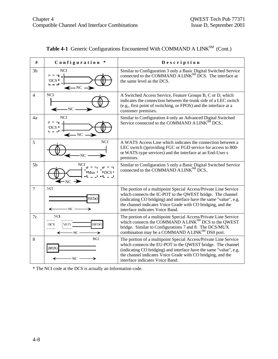| #              | Configuration *                                            | Description                                                                                                                                                                                                                                                                                           |
|----------------|------------------------------------------------------------|-------------------------------------------------------------------------------------------------------------------------------------------------------------------------------------------------------------------------------------------------------------------------------------------------------|
| 3 <sub>b</sub> | <b>NCI</b><br><b>IDCS</b><br>$\leftarrow$ NC $\rightarrow$ | Similar to Configuration 3 only a Basic Digital Switched Service<br>connected to the COMMAND A LINK <sup>SM</sup> DCS. The interface at<br>the same level as the DCS.                                                                                                                                 |
| $\overline{4}$ | NCI.<br>$\longleftarrow$ NC $\cdot$                        | A Switched Access Service, Feature Groups B, C or D, which<br>indicates the connection between the trunk side of a LEC switch<br>(e.g., first point of switching, or FPOS) and the interface at a<br>customer premises.                                                                               |
| 4a             | <b>NCI</b><br><b>IDCS</b><br>$\longleftarrow$ NC $\cdot$   | Similar to Configuration 4 only an Advanced Digital Switched<br>Service connected to the COMMAND A LINK <sup>SM</sup> DCS                                                                                                                                                                             |
| 5              | <b>NCI</b><br>NC.                                          | A WATS Access Line which indicates the connection between a<br>LEC switch ()providing FGC or FGD service for access to 800-<br>or WATS-type services) and the interface at an End-User s<br>premises.                                                                                                 |
| 5 <sub>b</sub> | NCI<br>Mux<br>$-NC$ $\rightarrow$                          | Similar to Configuration 5 only a Basic Digital Switched Service<br>connected to the COMMAND A LINK <sup>SM</sup> DCS                                                                                                                                                                                 |
| 7              | NCI<br>BRDG<br>- NC.<br>↞                                  | The portion of a multipoint Special Access/Private Line Service<br>which connects the IC-POT to the QWEST bridge. The channel<br>(indicating CO bridging) and interface have the same "value", e.g.<br>the channel indicates Voice Grade with CO bridging, and the<br>interface indicates Voice Band. |
| 7c             | NCI.<br><br><b>BRDG</b><br>DCS<br>NO.                      | The portion of a multipoint Special Access/Private Line Service<br>which connects the COMMAND A LINK <sup>SM</sup> DCS to the QWEST<br>bridge. Similar to Configurations 7 and 8. The DCS/MUX<br>combination may be a COMMAND A LINK <sup>SM</sup> DS0 port.                                          |
| 8              | NC1<br>BRDG<br>- NC -                                      | The portion of a multipoint Special Access/Private Line Service<br>which connects the EU-POT to the QWEST bridge. The channel<br>(indicating CO bridging) and interface have the same "value", e.g.<br>the channel indicates Voice Grade with CO bridging, and the<br>interface indicates Voice Band. |

| <b>Table 4-1</b> Generic Configurations Encountered With COMMAND A LINK $^{SM}$ (Cont.) |  |  |  |  |  |  |  |  |
|-----------------------------------------------------------------------------------------|--|--|--|--|--|--|--|--|
|-----------------------------------------------------------------------------------------|--|--|--|--|--|--|--|--|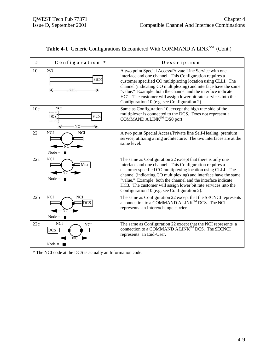| #   | Configuration *                                                 | Description                                                                                                                                                                                                                                                                                                                                                                                                                                  |
|-----|-----------------------------------------------------------------|----------------------------------------------------------------------------------------------------------------------------------------------------------------------------------------------------------------------------------------------------------------------------------------------------------------------------------------------------------------------------------------------------------------------------------------------|
| 10  | NCI.<br>MUX<br>NC.                                              | A two point Special Access/Private Line Service with one<br>interface and one channel. This Configuration requires a<br>customer specified CO multiplexing location using CLLI. The<br>channel (indicating CO multiplexing) and interface have the same<br>"value." Example: both the channel and the interface indicate<br>HC1. The customer will assign lower bit rate services into the<br>Configuration 10 (e.g. see Configuration 2).   |
| 10e | NCI<br>DCS<br>мтэх<br>ŃС                                        | Same as Configuration 10, except the high rate side of the<br>multiplexer is connected to the DCS. Does not represent a<br>COMMAND A LINK <sup>SM</sup> DS0 port.                                                                                                                                                                                                                                                                            |
| 22  | <b>NCI</b><br><b>NCI</b><br>Node = $\blacksquare$               | A two point Special Access/Private line Self-Healing, premium<br>service, utilizing a ring architecture. The two interfaces are at the<br>same level.                                                                                                                                                                                                                                                                                        |
| 22a | <b>NCI</b><br>Mux<br>Node = $\blacksquare$                      | The same as Configuration 22 except that there is only one<br>interface and one channel. This Configuration requires a<br>customer specified CO multiplexing location using CLLI. The<br>channel (indicating CO multiplexing) and interface have the same<br>"value." Example: both the channel and the interface indicate<br>HC3. The customer will assign lower bit rate services into the<br>Configuration 10 (e.g. see Configuration 2). |
| 22b | <b>NCI</b><br><b>NCI</b><br><b>DCS</b><br>Node = $\blacksquare$ | The same as Configuration 22 except that the SECNCI represents<br>a connection to a COMMAND A LINK <sup>SM</sup> DCS. The NCI<br>represents an Interexchange carrier.                                                                                                                                                                                                                                                                        |
| 22c | <b>NCI</b><br><b>NCI</b><br>DCS H<br>$Node =$                   | The same as Configuration 22 except that the NCI represents a<br>connection to a COMMAND A LINK <sup>SM</sup> DCS. The SECNCI<br>represents an End-User.                                                                                                                                                                                                                                                                                     |

| <b>Table 4-1</b> Generic Configurations Encountered With COMMAND A LINK <sup>SM</sup> (Cont.) |  |  |  |  |  |  |  |  |
|-----------------------------------------------------------------------------------------------|--|--|--|--|--|--|--|--|
|-----------------------------------------------------------------------------------------------|--|--|--|--|--|--|--|--|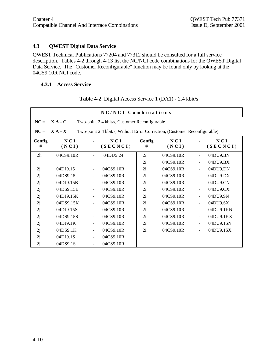### **4.3 QWEST Digital Data Service**

QWEST Technical Publications 77204 and 77312 should be consulted for a full service description. Tables 4-2 through 4-13 list the NC/NCI code combinations for the QWEST Digital Data Service. The "Customer Reconfigurable" function may be found only by looking at the 04CS9.10R NCI code.

#### **4.3.1 Access Service**

| NC/NCI Combinations |                                                            |                |                                                                           |             |              |                              |                 |  |  |
|---------------------|------------------------------------------------------------|----------------|---------------------------------------------------------------------------|-------------|--------------|------------------------------|-----------------|--|--|
| $NC =$              | $X A - C$<br>Two-point 2.4 kbit/s, Customer Reconfigurable |                |                                                                           |             |              |                              |                 |  |  |
| $NC =$              | $X A - X$                                                  |                | Two-point 2.4 kbit/s, Without Error Correction, (Customer Reconfigurable) |             |              |                              |                 |  |  |
| Config<br>#         | NCI<br>(NCI)                                               |                | NCI<br>(SECNCI)                                                           | Config<br># | NCI<br>(NCI) |                              | NCI<br>(SECNCI) |  |  |
| 2 <sub>h</sub>      | 04CS9.10R                                                  |                | 04DU5.24                                                                  | 2i          | 04CS9.10R    |                              | 04DU9.BN        |  |  |
|                     |                                                            |                |                                                                           | 2i          | 04CS9.10R    | ÷,                           | 04DU9.BX        |  |  |
| 2j                  | 04DJ9.15                                                   |                | 04CS9.10R                                                                 | 2i          | 04CS9.10R    | $\overline{a}$               | 04DU9.DN        |  |  |
| 2j                  | 04DS9.15                                                   | $\blacksquare$ | 04CS9.10R                                                                 | 2i          | 04CS9.10R    | ÷,                           | 04DU9.DX        |  |  |
| 2j                  | 04DJ9.15B                                                  |                | 04CS9.10R                                                                 | 2i          | 04CS9.10R    | $\qquad \qquad \blacksquare$ | 04DU9.CN        |  |  |
| 2j                  | 04DS9.15B                                                  |                | 04CS9.10R                                                                 | 2i          | 04CS9.10R    | $\blacksquare$               | 04DU9.CX        |  |  |
| 2j                  | 04DJ9.15K                                                  |                | 04CS9.10R                                                                 | 2i          | 04CS9.10R    | $\overline{\phantom{0}}$     | 04DU9.SN        |  |  |
| 2j                  | 04DS9.15K                                                  |                | 04CS9.10R                                                                 | 2i          | 04CS9.10R    | ÷,                           | 04DU9.SX        |  |  |
| 2j                  | 04DJ9.15S                                                  | $\blacksquare$ | 04CS9.10R                                                                 | 2i          | 04CS9.10R    | $\overline{\phantom{a}}$     | 04DU9.1KN       |  |  |
| 2j                  | 04DS9.15S                                                  |                | 04CS9.10R                                                                 | 2i          | 04CS9.10R    | $\overline{\phantom{0}}$     | 04DU9.1KX       |  |  |
| 2j                  | 04DJ9.1K                                                   |                | 04CS9.10R                                                                 | 2i          | 04CS9.10R    |                              | 04DU9.1SN       |  |  |
| 2j                  | 04DS9.1K                                                   |                | 04CS9.10R                                                                 | 2i          | 04CS9.10R    | $\overline{\phantom{0}}$     | 04DU9.1SX       |  |  |
| 2j                  | 04DJ9.1S                                                   |                | 04CS9.10R                                                                 |             |              |                              |                 |  |  |
| 2j                  | 04DS9.1S                                                   |                | 04CS9.10R                                                                 |             |              |                              |                 |  |  |

**Table 4-2** Digital Access Service 1 (DA1) - 2.4 kbit/s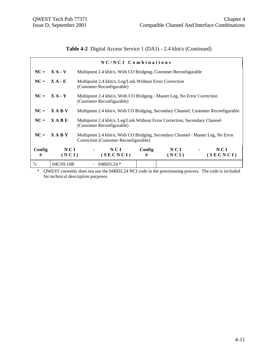# **Table 4-2** Digital Access Service 1 (DA1) - 2.4 kbit/s (Continued)

| NC/NCI Combinations |                |                                                                                                                           |                                                                           |              |                                   |                 |  |  |
|---------------------|----------------|---------------------------------------------------------------------------------------------------------------------------|---------------------------------------------------------------------------|--------------|-----------------------------------|-----------------|--|--|
|                     | $NC = X A - V$ | Multipoint 2.4 kbit/s, With CO Bridging, Customer Reconfigurable                                                          |                                                                           |              |                                   |                 |  |  |
|                     | $NC = X A - E$ | Multipoint 2.4 kbit/s, Leg/Link Without Error Correction<br>(Customer Reconfigurable)                                     |                                                                           |              |                                   |                 |  |  |
|                     | $NC = X A - Y$ | (Customer Reconfigurable)                                                                                                 | Multipoint 2.4 kbit/s, With CO Bridging - Master Leg, No Error Correction |              |                                   |                 |  |  |
| $NC =$              | <b>XABV</b>    | Multipoint 2.4 kbit/s, With CO Bridging, Secondary Channel, Customer Reconfigurable                                       |                                                                           |              |                                   |                 |  |  |
|                     | $NC = XABE$    | Multipoint 2.4 kbit/s, Leg/Link Without Error Correction, Secondary Channel<br>(Customer Reconfigurable)                  |                                                                           |              |                                   |                 |  |  |
|                     | $NC = XABY$    | Multipoint 2.4 kbit/s, With CO Bridging, Secondary Channel - Master Leg, No Error<br>Correction (Customer Reconfigurable) |                                                                           |              |                                   |                 |  |  |
| Config<br>#         | NCI<br>(NCI)   | NCI<br>(SECNCI)                                                                                                           | Config<br>#                                                               | NCI<br>(NCI) | <b>Contract Contract Contract</b> | NCI<br>(SECNCI) |  |  |
| 7c                  | 04CS9.10R      | 04BD5.24 $*$                                                                                                              |                                                                           |              |                                   |                 |  |  |

\* QWEST currently does not use the 04BD5.24 NCI code in the provisioning process. The code is included for technical description purposes.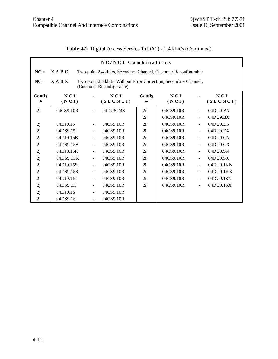$\mathbf{r}$ 

|  | <b>Table 4-2</b> Digital Access Service 1 (DA1) - 2.4 kbit/s (Continued) |  |  |  |  |
|--|--------------------------------------------------------------------------|--|--|--|--|
|--|--------------------------------------------------------------------------|--|--|--|--|

| NC/NCI Combinations |                                                                                                               |                              |                                                                  |             |              |                          |                 |  |  |
|---------------------|---------------------------------------------------------------------------------------------------------------|------------------------------|------------------------------------------------------------------|-------------|--------------|--------------------------|-----------------|--|--|
| $NC =$              | <b>XABC</b>                                                                                                   |                              | Two-point 2.4 kbit/s, Secondary Channel, Customer Reconfigurable |             |              |                          |                 |  |  |
| $NC =$              | <b>XABX</b><br>Two-point 2.4 kbit/s Without Error Correction, Secondary Channel,<br>(Customer Reconfigurable) |                              |                                                                  |             |              |                          |                 |  |  |
| Config<br>#         | NCI<br>(NCI)                                                                                                  |                              | NCI<br>(SECNCI)                                                  | Config<br># | NCI<br>(NCI) |                          | NCI<br>(SECNCI) |  |  |
| 2 <sub>h</sub>      | 04CS9.10R                                                                                                     |                              | 04DU5.24S                                                        | 2i          | 04CS9.10R    | $\blacksquare$           | 04DU9.BN        |  |  |
|                     |                                                                                                               |                              |                                                                  | 2i          | 04CS9.10R    | $\overline{\phantom{a}}$ | 04DU9.BX        |  |  |
| 2j                  | 04DJ9.15                                                                                                      | $\overline{\phantom{a}}$     | 04CS9.10R                                                        | 2i          | 04CS9.10R    | $\frac{1}{2}$            | 04DU9.DN        |  |  |
| 2j                  | 04DS9.15                                                                                                      | $\blacksquare$               | 04CS9.10R                                                        | 2i          | 04CS9.10R    | $\blacksquare$           | 04DU9.DX        |  |  |
| 2j                  | 04DJ9.15B                                                                                                     |                              | 04CS9.10R                                                        | 2i          | 04CS9.10R    | $\overline{\phantom{a}}$ | 04DU9.CN        |  |  |
| 2j                  | 04DS9.15B                                                                                                     | $\frac{1}{2}$                | 04CS9.10R                                                        | 2i          | 04CS9.10R    | $\frac{1}{2}$            | 04DU9.CX        |  |  |
| 2j                  | 04DJ9.15K                                                                                                     | $\frac{1}{2}$                | 04CS9.10R                                                        | 2i          | 04CS9.10R    | $\frac{1}{2}$            | 04DU9.SN        |  |  |
| 2j                  | 04DS9.15K                                                                                                     |                              | 04CS9.10R                                                        | 2i          | 04CS9.10R    | ÷,                       | 04DU9.SX        |  |  |
| 2j                  | 04DJ9.15S                                                                                                     | $\frac{1}{2}$                | 04CS9.10R                                                        | 2i          | 04CS9.10R    | $\overline{\phantom{a}}$ | 04DU9.1KN       |  |  |
| 2j                  | 04DS9.15S                                                                                                     | $\qquad \qquad \blacksquare$ | 04CS9.10R                                                        | 2i          | 04CS9.10R    | $\ddot{\phantom{1}}$     | 04DU9.1KX       |  |  |
| 2j                  | 04DJ9.1K                                                                                                      | $\overline{\phantom{a}}$     | 04CS9.10R                                                        | 2i          | 04CS9.10R    | $\overline{\phantom{a}}$ | 04DU9.1SN       |  |  |
| 2j                  | 04DS9.1K                                                                                                      | $\frac{1}{2}$                | 04CS9.10R                                                        | 2i          | 04CS9.10R    |                          | 04DU9.1SX       |  |  |
| 2j                  | 04DJ9.1S                                                                                                      | $\frac{1}{2}$                | 04CS9.10R                                                        |             |              |                          |                 |  |  |
| 2j                  | 04DS9.1S                                                                                                      |                              | 04CS9.10R                                                        |             |              |                          |                 |  |  |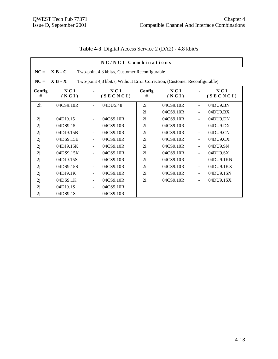|                | NC/NCI Combinations                                        |                          |                                                                           |             |              |                          |                   |  |  |  |
|----------------|------------------------------------------------------------|--------------------------|---------------------------------------------------------------------------|-------------|--------------|--------------------------|-------------------|--|--|--|
| $NC =$         | $X B - C$<br>Two-point 4.8 kbit/s, Customer Reconfigurable |                          |                                                                           |             |              |                          |                   |  |  |  |
| $NC =$         | $X B - X$                                                  |                          | Two-point 4,8 kbit/s, Without Error Correction, (Customer Reconfigurable) |             |              |                          |                   |  |  |  |
| Config<br>#    | NCI<br>(NCI)                                               |                          | NCI<br>(SECNCI)                                                           | Config<br># | NCI<br>(NCI) |                          | N C I<br>(SECNCI) |  |  |  |
| 2 <sub>h</sub> | 04CS9.10R                                                  |                          | 04DU5.48                                                                  | 2i          | 04CS9.10R    |                          | 04DU9.BN          |  |  |  |
|                |                                                            |                          |                                                                           | 2i          | 04CS9.10R    | $\blacksquare$           | 04DU9.BX          |  |  |  |
| 2j             | 04DJ9.15                                                   |                          | 04CS9.10R                                                                 | 2i          | 04CS9.10R    | $\blacksquare$           | 04DU9.DN          |  |  |  |
| 2j             | 04DS9.15                                                   |                          | 04CS9.10R                                                                 | 2i          | 04CS9.10R    | $\blacksquare$           | 04DU9.DX          |  |  |  |
| 2j             | 04DJ9.15B                                                  |                          | 04CS9.10R                                                                 | 2i          | 04CS9.10R    | $\blacksquare$           | 04DU9.CN          |  |  |  |
| 2j             | 04DS9.15B                                                  |                          | 04CS9.10R                                                                 | 2i          | 04CS9.10R    | $\blacksquare$           | 04DU9.CX          |  |  |  |
| 2j             | 04DJ9.15K                                                  | $\overline{\phantom{a}}$ | 04CS9.10R                                                                 | 2i          | 04CS9.10R    | $\blacksquare$           | 04DU9.SN          |  |  |  |
| 2j             | 04DS9.15K                                                  |                          | 04CS9.10R                                                                 | 2i          | 04CS9.10R    | $\overline{\phantom{a}}$ | 04DU9.SX          |  |  |  |
| 2j             | 04DJ9.15S                                                  |                          | 04CS9.10R                                                                 | 2i          | 04CS9.10R    | $\blacksquare$           | 04DU9.1KN         |  |  |  |
| 2j             | 04DS9.15S                                                  |                          | 04CS9.10R                                                                 | 2i          | 04CS9.10R    | $\blacksquare$           | 04DU9.1KX         |  |  |  |
| 2j             | 04DJ9.1K                                                   |                          | 04CS9.10R                                                                 | 2i          | 04CS9.10R    |                          | 04DU9.1SN         |  |  |  |
| 2j             | 04DS9.1K                                                   | $\blacksquare$           | 04CS9.10R                                                                 | 2i          | 04CS9.10R    | $\blacksquare$           | 04DU9.1SX         |  |  |  |
| 2j             | 04DJ9.1S                                                   |                          | 04CS9.10R                                                                 |             |              |                          |                   |  |  |  |
| 2j             | 04DS9.1S                                                   | $\blacksquare$           | 04CS9.10R                                                                 |             |              |                          |                   |  |  |  |

**Table 4-3** Digital Access Service 2 (DA2) - 4.8 kbit/s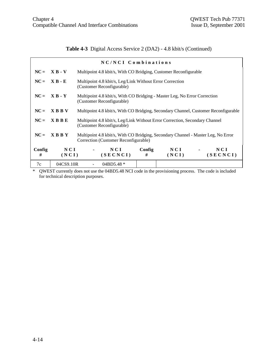**Table 4-3** Digital Access Service 2 (DA2) - 4.8 kbit/s (Continued)

|             |              | NC/NCI Combinations                                                                                                       |                                                                                     |              |                                               |                 |  |
|-------------|--------------|---------------------------------------------------------------------------------------------------------------------------|-------------------------------------------------------------------------------------|--------------|-----------------------------------------------|-----------------|--|
| $NC =$      | $X B - V$    | Multipoint 4.8 kbit/s, With CO Bridging, Customer Reconfigurable                                                          |                                                                                     |              |                                               |                 |  |
| $NC =$      | $X B - E$    | Multipoint 4.8 kbit/s, Leg/Link Without Error Correction<br>(Customer Reconfigurable)                                     |                                                                                     |              |                                               |                 |  |
| $NC =$      | $X B - Y$    | (Customer Reconfigurable)                                                                                                 | Multipoint 4.8 kbit/s, With CO Bridging - Master Leg, No Error Correction           |              |                                               |                 |  |
| $NC =$      | <b>XBBV</b>  |                                                                                                                           | Multipoint 4.8 kbit/s, With CO Bridging, Secondary Channel, Customer Reconfigurable |              |                                               |                 |  |
| $NC =$      | $X$ B B E    | Multipoint 4.8 kbit/s, Leg/Link Without Error Correction, Secondary Channel<br>(Customer Reconfigurable)                  |                                                                                     |              |                                               |                 |  |
| $NC =$      | <b>XBBY</b>  | Multipoint 4.8 kbit/s, With CO Bridging, Secondary Channel - Master Leg, No Error<br>Correction (Customer Reconfigurable) |                                                                                     |              |                                               |                 |  |
| Config<br># | NCI<br>(NCI) | NCI<br>(SECNCI)                                                                                                           | Config<br>#                                                                         | NCI<br>(NCI) | $\mathbf{u} = \mathbf{u} \times \mathbf{u}$ . | NCI<br>(SECNCI) |  |
| 7c          | 04CS9.10R    | 04BD5.48 *                                                                                                                |                                                                                     |              |                                               |                 |  |

\* QWEST currently does not use the 04BD5.48 NCI code in the provisioning process. The code is included for technical description purposes.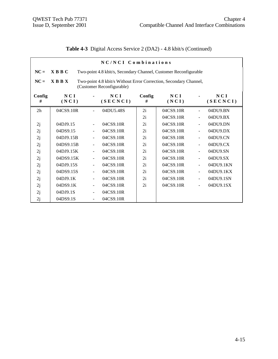|  | Table 4-3 Digital Access Service 2 (DA2) - 4.8 kbit/s (Continued) |  |  |  |
|--|-------------------------------------------------------------------|--|--|--|
|--|-------------------------------------------------------------------|--|--|--|

| NC/NCI Combinations |                                                                                                               |                          |                 |             |              |                          |                 |  |  |
|---------------------|---------------------------------------------------------------------------------------------------------------|--------------------------|-----------------|-------------|--------------|--------------------------|-----------------|--|--|
| $NC =$              | $X$ B B C<br>Two-point 4.8 kbit/s, Secondary Channel, Customer Reconfigurable                                 |                          |                 |             |              |                          |                 |  |  |
| $NC =$              | <b>XBBX</b><br>Two-point 4.8 kbit/s Without Error Correction, Secondary Channel,<br>(Customer Reconfigurable) |                          |                 |             |              |                          |                 |  |  |
| Config<br>#         | NCI<br>(NCI)                                                                                                  |                          | NCI<br>(SECNCI) | Config<br># | NCI<br>(NCI) |                          | NCI<br>(SECNCI) |  |  |
| 2 <sub>h</sub>      | 04CS9.10R                                                                                                     |                          | 04DU5.48S       | 2i          | 04CS9.10R    | $\blacksquare$           | 04DU9.BN        |  |  |
|                     |                                                                                                               |                          |                 | 2i          | 04CS9.10R    | $\frac{1}{2}$            | 04DU9.BX        |  |  |
| 2j                  | 04DJ9.15                                                                                                      | $\overline{\phantom{0}}$ | 04CS9.10R       | 2i          | 04CS9.10R    | $\frac{1}{2}$            | 04DU9.DN        |  |  |
| 2j                  | 04DS9.15                                                                                                      |                          | 04CS9.10R       | 2i          | 04CS9.10R    | $\overline{a}$           | 04DU9.DX        |  |  |
| 2j                  | 04DJ9.15B                                                                                                     |                          | 04CS9.10R       | 2i          | 04CS9.10R    | $\overline{\phantom{a}}$ | 04DU9.CN        |  |  |
| 2j                  | 04DS9.15B                                                                                                     |                          | 04CS9.10R       | 2i          | 04CS9.10R    | $\blacksquare$           | 04DU9.CX        |  |  |
| 2j                  | 04DJ9.15K                                                                                                     | $\blacksquare$           | 04CS9.10R       | 2i          | 04CS9.10R    | $\overline{\phantom{a}}$ | 04DU9.SN        |  |  |
| 2j                  | 04DS9.15K                                                                                                     |                          | 04CS9.10R       | 2i          | 04CS9.10R    | ÷,                       | 04DU9.SX        |  |  |
| 2j                  | 04DJ9.15S                                                                                                     | ÷                        | 04CS9.10R       | 2i          | 04CS9.10R    | $\overline{\phantom{a}}$ | 04DU9.1KN       |  |  |
| 2j                  | 04DS9.15S                                                                                                     |                          | 04CS9.10R       | 2i          | 04CS9.10R    | $\ddot{\phantom{1}}$     | 04DU9.1KX       |  |  |
| 2j                  | 04DJ9.1K                                                                                                      | $\blacksquare$           | 04CS9.10R       | 2i          | 04CS9.10R    | $\overline{\phantom{a}}$ | 04DU9.1SN       |  |  |
| 2j                  | 04DS9.1K                                                                                                      | $\blacksquare$           | 04CS9.10R       | 2i          | 04CS9.10R    |                          | 04DU9.1SX       |  |  |
| 2j                  | 04DJ9.1S                                                                                                      | $\overline{\phantom{0}}$ | 04CS9.10R       |             |              |                          |                 |  |  |
| 2j                  | 04DS9.1S                                                                                                      |                          | 04CS9.10R       |             |              |                          |                 |  |  |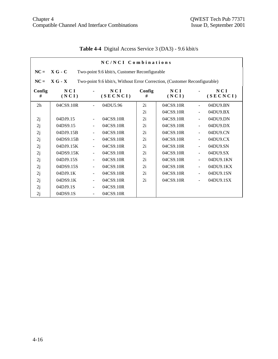| NC/NCI Combinations |                                                            |                                                                           |                 |             |              |                |                 |  |  |
|---------------------|------------------------------------------------------------|---------------------------------------------------------------------------|-----------------|-------------|--------------|----------------|-----------------|--|--|
| $NC =$              | $X G - C$<br>Two-point 9.6 kbit/s, Customer Reconfigurable |                                                                           |                 |             |              |                |                 |  |  |
| $NC =$              | $X G - X$                                                  | Two-point 9.6 kbit/s, Without Error Correction, (Customer Reconfigurable) |                 |             |              |                |                 |  |  |
| Config<br>#         | NCI<br>(NCI)                                               |                                                                           | NCI<br>(SECNCI) | Config<br># | NCI<br>(NCI) |                | NCI<br>(SECNCI) |  |  |
| 2 <sub>h</sub>      | 04CS9.10R                                                  |                                                                           | 04DU5.96        | 2i          | 04CS9.10R    | $\blacksquare$ | 04DU9.BN        |  |  |
|                     |                                                            |                                                                           |                 | 2i          | 04CS9.10R    | $\blacksquare$ | 04DU9.BX        |  |  |
| 2j                  | 04DJ9.15                                                   |                                                                           | 04CS9.10R       | 2i          | 04CS9.10R    | $\blacksquare$ | 04DU9.DN        |  |  |
| 2j                  | 04DS9.15                                                   | $\overline{\phantom{a}}$                                                  | 04CS9.10R       | 2i          | 04CS9.10R    | $\blacksquare$ | 04DU9.DX        |  |  |
| 2j                  | 04DJ9.15B                                                  |                                                                           | 04CS9.10R       | 2i          | 04CS9.10R    | $\blacksquare$ | 04DU9.CN        |  |  |
| 2j                  | 04DS9.15B                                                  |                                                                           | 04CS9.10R       | 2i          | 04CS9.10R    | $\blacksquare$ | 04DU9.CX        |  |  |
| 2j                  | 04DJ9.15K                                                  |                                                                           | 04CS9.10R       | 2i          | 04CS9.10R    | $\blacksquare$ | 04DU9.SN        |  |  |
| 2j                  | 04DS9.15K                                                  |                                                                           | 04CS9.10R       | 2i          | 04CS9.10R    | $\blacksquare$ | 04DU9.SX        |  |  |
| 2j                  | 04DJ9.15S                                                  | $\blacksquare$                                                            | 04CS9.10R       | 2i          | 04CS9.10R    | $\blacksquare$ | 04DU9.1KN       |  |  |
| 2j                  | 04DS9.15S                                                  |                                                                           | 04CS9.10R       | 2i          | 04CS9.10R    | $\blacksquare$ | 04DU9.1KX       |  |  |
| 2j                  | 04DJ9.1K                                                   |                                                                           | 04CS9.10R       | 2i          | 04CS9.10R    |                | 04DU9.1SN       |  |  |
| 2j                  | 04DS9.1K                                                   | ۰                                                                         | 04CS9.10R       | 2i          | 04CS9.10R    | $\blacksquare$ | 04DU9.1SX       |  |  |
| 2j                  | 04DJ9.1S                                                   |                                                                           | 04CS9.10R       |             |              |                |                 |  |  |
| 2j                  | 04DS9.1S                                                   | $\blacksquare$                                                            | 04CS9.10R       |             |              |                |                 |  |  |

**Table 4-4** Digital Access Service 3 (DA3) - 9.6 kbit/s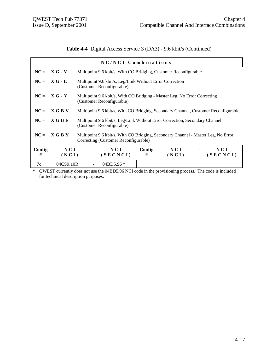# **Table 4-4** Digital Access Service 3 (DA3) - 9.6 kbit/s (Continued)

|             |                | NC/NCI Combinations                                                                                                       |                                                                                     |              |                                   |                 |  |
|-------------|----------------|---------------------------------------------------------------------------------------------------------------------------|-------------------------------------------------------------------------------------|--------------|-----------------------------------|-----------------|--|
|             | $NC = X G - V$ | Multipoint 9.6 kbit/s, With CO Bridging, Customer Reconfigurable                                                          |                                                                                     |              |                                   |                 |  |
|             | $NC = XG - E$  | Multipoint 9.6 kbit/s, Leg/Link Without Error Correction<br>(Customer Reconfigurable)                                     |                                                                                     |              |                                   |                 |  |
| $NC =$      | $XG - Y$       | (Customer Reconfigurable)                                                                                                 | Multipoint 9.6 kbit/s, With CO Bridging - Master Leg, No Error Correcting           |              |                                   |                 |  |
| $NC =$      | X G B V        |                                                                                                                           | Multipoint 9.6 kbit/s, With CO Bridging, Secondary Channel, Customer Reconfigurable |              |                                   |                 |  |
| $NC =$      | X G B E        | Multipoint 9.6 kbit/s, Leg/Link Without Error Correction, Secondary Channel<br>(Customer Reconfigurable)                  |                                                                                     |              |                                   |                 |  |
| $NC =$      | X G B Y        | Multipoint 9.6 kbit/s, With CO Bridging, Secondary Channel - Master Leg, No Error<br>Correcting (Customer Reconfigurable) |                                                                                     |              |                                   |                 |  |
| Config<br># | NCI<br>(NCI)   | NCI<br>(SECNCI)                                                                                                           | Config<br>#                                                                         | NCI<br>(NCI) | <b>Contract Contract Contract</b> | NCI<br>(SECNCI) |  |
| 7c          | 04CS9.10R      | 04BD5.96 *                                                                                                                |                                                                                     |              |                                   |                 |  |

\* QWEST currently does not use the 04BD5.96 NCI code in the provisioning process. The code is included for technical description purposes.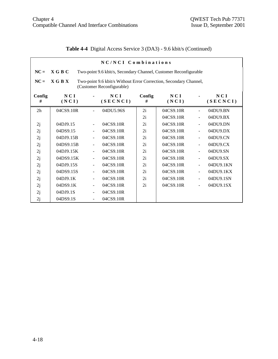$\mathbf{r}$ 

|  | <b>Table 4-4</b> Digital Access Service 3 (DA3) - 9.6 kbit/s (Continued) |  |  |  |
|--|--------------------------------------------------------------------------|--|--|--|
|--|--------------------------------------------------------------------------|--|--|--|

|                | NC/NCI Combinations                                                                                       |                          |                 |             |              |                          |                 |  |  |
|----------------|-----------------------------------------------------------------------------------------------------------|--------------------------|-----------------|-------------|--------------|--------------------------|-----------------|--|--|
| $NC =$         | <b>XGBC</b><br>Two-point 9.6 kbit/s, Secondary Channel, Customer Reconfigurable                           |                          |                 |             |              |                          |                 |  |  |
| $NC =$         | X G B X<br>Two-point 9.6 kbit/s Without Error Correction, Secondary Channel,<br>(Customer Reconfigurable) |                          |                 |             |              |                          |                 |  |  |
| Config<br>#    | NCI<br>(NCI)                                                                                              |                          | NCI<br>(SECNCI) | Config<br># | NCI<br>(NCI) |                          | NCI<br>(SECNCI) |  |  |
| 2 <sub>h</sub> | 04CS9.10R                                                                                                 |                          | 04DU5.96S       | 2i          | 04CS9.10R    | ÷,                       | 04DU9.BN        |  |  |
|                |                                                                                                           |                          |                 | 2i          | 04CS9.10R    | $\overline{\phantom{a}}$ | 04DU9.BX        |  |  |
| 2j             | 04DJ9.15                                                                                                  | $\overline{\phantom{0}}$ | 04CS9.10R       | 2i          | 04CS9.10R    | $\frac{1}{2}$            | 04DU9.DN        |  |  |
| 2j             | 04DS9.15                                                                                                  | $\blacksquare$           | 04CS9.10R       | 2i          | 04CS9.10R    | $\overline{\phantom{a}}$ | $04DU9$ .DX     |  |  |
| 2j             | 04DJ9.15B                                                                                                 |                          | 04CS9.10R       | 2i          | 04CS9.10R    | $\overline{\phantom{a}}$ | 04DU9.CN        |  |  |
| 2j             | 04DS9.15B                                                                                                 | $\blacksquare$           | 04CS9.10R       | 2i          | 04CS9.10R    | $\blacksquare$           | 04DU9.CX        |  |  |
| 2j             | 04DJ9.15K                                                                                                 | ÷                        | 04CS9.10R       | 2i          | 04CS9.10R    | $\frac{1}{2}$            | 04DU9.SN        |  |  |
| 2j             | 04DS9.15K                                                                                                 |                          | 04CS9.10R       | 2i          | 04CS9.10R    | $\blacksquare$           | 04DU9.SX        |  |  |
| 2j             | 04DJ9.15S                                                                                                 | $\blacksquare$           | 04CS9.10R       | 2i          | 04CS9.10R    | $\overline{\phantom{a}}$ | 04DU9.1KN       |  |  |
| 2j             | 04DS9.15S                                                                                                 | Ξ.                       | 04CS9.10R       | 2i          | 04CS9.10R    | $\frac{1}{2}$            | 04DU9.1KX       |  |  |
| 2j             | 04DJ9.1K                                                                                                  | ÷                        | 04CS9.10R       | 2i          | 04CS9.10R    | $\overline{\phantom{a}}$ | 04DU9.1SN       |  |  |
| 2j             | 04DS9.1K                                                                                                  |                          | 04CS9.10R       | 2i          | 04CS9.10R    |                          | 04DU9.1SX       |  |  |
| 2j             | 04DJ9.1S                                                                                                  | $\blacksquare$           | 04CS9.10R       |             |              |                          |                 |  |  |
| 2j             | 04DS9.1S                                                                                                  |                          | 04CS9.10R       |             |              |                          |                 |  |  |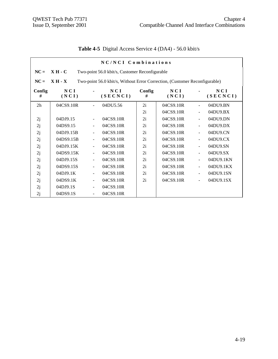|                | NC/NCI Combinations |                          |                                                                            |             |              |                          |                 |  |
|----------------|---------------------|--------------------------|----------------------------------------------------------------------------|-------------|--------------|--------------------------|-----------------|--|
| $NC =$         | $XH - C$            |                          | Two-point 56.0 kbit/s, Customer Reconfigurable                             |             |              |                          |                 |  |
| $NC =$         | $X H - X$           |                          | Two-point 56.0 kbit/s, Without Error Correction, (Customer Reconfigurable) |             |              |                          |                 |  |
| Config<br>#    | NCI<br>(NCI)        |                          | NCI<br>(SECNCI)                                                            | Config<br># | NCI<br>(NCI) |                          | NCI<br>(SECNCI) |  |
| 2 <sub>h</sub> | 04CS9.10R           |                          | 04DU5.56                                                                   | 2i          | 04CS9.10R    |                          | 04DU9.BN        |  |
|                |                     |                          |                                                                            | 2i          | 04CS9.10R    | $\overline{\phantom{a}}$ | 04DU9.BX        |  |
| 2j             | 04DJ9.15            |                          | 04CS9.10R                                                                  | 2i          | 04CS9.10R    | $\overline{\phantom{a}}$ | 04DU9.DN        |  |
| 2j             | 04DS9.15            |                          | 04CS9.10R                                                                  | 2i          | 04CS9.10R    | $\frac{1}{2}$            | 04DU9.DX        |  |
| 2j             | 04DJ9.15B           |                          | 04CS9.10R                                                                  | 2i          | 04CS9.10R    | $\blacksquare$           | 04DU9.CN        |  |
| 2j             | 04DS9.15B           |                          | 04CS9.10R                                                                  | 2i          | 04CS9.10R    | $\overline{a}$           | 04DU9.CX        |  |
| 2j             | 04DJ9.15K           | $\overline{\phantom{a}}$ | 04CS9.10R                                                                  | 2i          | 04CS9.10R    | $\blacksquare$           | 04DU9.SN        |  |
| 2j             | 04DS9.15K           |                          | 04CS9.10R                                                                  | 2i          | 04CS9.10R    | $\overline{a}$           | 04DU9.SX        |  |
| 2j             | 04DJ9.15S           | $\overline{\phantom{a}}$ | 04CS9.10R                                                                  | 2i          | 04CS9.10R    | $\blacksquare$           | 04DU9.1KN       |  |
| 2j             | 04DS9.15S           | $\blacksquare$           | 04CS9.10R                                                                  | 2i          | 04CS9.10R    | $\blacksquare$           | 04DU9.1KX       |  |
| 2j             | 04DJ9.1K            |                          | 04CS9.10R                                                                  | 2i          | 04CS9.10R    |                          | 04DU9.1SN       |  |
| 2j             | 04DS9.1K            | $\overline{\phantom{a}}$ | 04CS9.10R                                                                  | 2i          | 04CS9.10R    | $\blacksquare$           | 04DU9.1SX       |  |
| 2j             | 04DJ9.1S            |                          | 04CS9.10R                                                                  |             |              |                          |                 |  |
| 2j             | 04DS9.1S            | $\blacksquare$           | 04CS9.10R                                                                  |             |              |                          |                 |  |

# **Table 4-5** Digital Access Service 4 (DA4) - 56.0 kbit/s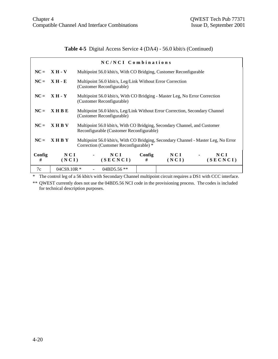**Table 4-5** Digital Access Service 4 (DA4) - 56.0 kbit/s (Continued)

| $NC/NCI$ Combinations |                  |                                                                                                                              |                                                                              |              |                |                   |  |  |
|-----------------------|------------------|------------------------------------------------------------------------------------------------------------------------------|------------------------------------------------------------------------------|--------------|----------------|-------------------|--|--|
| $NC =$                | $XH - V$         |                                                                                                                              | Multipoint 56.0 kbit/s, With CO Bridging, Customer Reconfigurable            |              |                |                   |  |  |
| $NC =$                | $XH - E$         | Multipoint 56.0 kbit/s, Leg/Link Without Error Correction<br>(Customer Reconfigurable)                                       |                                                                              |              |                |                   |  |  |
| $NC =$                | $XH - Y$         | (Customer Reconfigurable)                                                                                                    | Multipoint 56.0 kbit/s, With CO Bridging - Master Leg, No Error Correction   |              |                |                   |  |  |
| $NC =$                | <b>XHBE</b>      | (Customer Reconfigurable)                                                                                                    | Multipoint 56.0 kbit/s, Leg/Link Without Error Correction, Secondary Channel |              |                |                   |  |  |
| $NC =$                | <b>XHBV</b>      | Multipoint 56.0 kbit/s, With CO Bridging, Secondary Channel, and Customer<br>Reconfigurable (Customer Reconfigurable)        |                                                                              |              |                |                   |  |  |
| $NC =$                | <b>XHBY</b>      | Multipoint 56.0 kbit/s, With CO Bridging, Secondary Channel - Master Leg, No Error<br>Correction (Customer Reconfigurable) * |                                                                              |              |                |                   |  |  |
| Config<br>#           | NCI<br>(NCI)     | NCI<br>(SECNCI)                                                                                                              | Config<br>#                                                                  | NCI<br>(NCI) | $\blacksquare$ | N C I<br>(SECNCI) |  |  |
| 7c                    | $04C$ S9.10R $*$ | $04BD5.56$ **                                                                                                                |                                                                              |              |                |                   |  |  |

\* The control leg of a 56 kbit/s with Secondary Channel multipoint circuit requires a DS1 with CCC interface.

\*\* QWEST currently does not use the 04BD5.56 NCI code in the provisioning process. The codes is included for technical description purposes.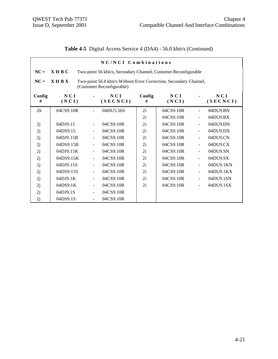**Table 4-5** Digital Access Service 4 (DA4) - 56.0 kbit/s (Continued)

|                | NC/NCI Combinations                                                                                            |                          |                 |             |              |                          |                 |  |  |
|----------------|----------------------------------------------------------------------------------------------------------------|--------------------------|-----------------|-------------|--------------|--------------------------|-----------------|--|--|
| $NC =$         | X H B C<br>Two-point 56 kbit/s, Secondary Channel, Customer Reconfigurable                                     |                          |                 |             |              |                          |                 |  |  |
| $NC =$         | $X$ H B $X$<br>Two-point 56.0 kbit/s Without Error Correction, Secondary Channel,<br>(Customer Reconfigurable) |                          |                 |             |              |                          |                 |  |  |
| Config<br>#    | NCI<br>(NCI)                                                                                                   |                          | NCI<br>(SECNCI) | Config<br># | NCI<br>(NCI) |                          | NCI<br>(SECNCI) |  |  |
| 2 <sub>h</sub> | 04CS9.10R                                                                                                      |                          | 04DU5.56S       | 2i          | 04CS9.10R    | $\blacksquare$           | 04DU9.BN        |  |  |
|                |                                                                                                                |                          |                 | 2i          | 04CS9.10R    | $\blacksquare$           | 04DU9.BX        |  |  |
| 2j             | 04DJ9.15                                                                                                       | $\blacksquare$           | 04CS9.10R       | 2i          | 04CS9.10R    | $\overline{\phantom{a}}$ | 04DU9.DN        |  |  |
| 2j             | 04DS9.15                                                                                                       |                          | 04CS9.10R       | 2i          | 04CS9.10R    | $\overline{a}$           | 04DU9.DX        |  |  |
| 2j             | 04DJ9.15B                                                                                                      | $\blacksquare$           | 04CS9.10R       | 2i          | 04CS9.10R    | $\overline{\phantom{a}}$ | 04DU9.CN        |  |  |
| 2j             | 04DS9.15B                                                                                                      | $\overline{\phantom{0}}$ | 04CS9.10R       | 2i          | 04CS9.10R    | $\overline{\phantom{a}}$ | 04DU9.CX        |  |  |
| 2j             | 04DJ9.15K                                                                                                      | $\blacksquare$           | 04CS9.10R       | 2i          | 04CS9.10R    | $\overline{\phantom{a}}$ | 04DU9.SN        |  |  |
| 2j             | 04DS9.15K                                                                                                      | $\overline{\phantom{a}}$ | 04CS9.10R       | 2i          | 04CS9.10R    | $\overline{\phantom{a}}$ | 04DU9.SX        |  |  |
| 2j             | 04DJ9.15S                                                                                                      | $\blacksquare$           | 04CS9.10R       | 2i          | 04CS9.10R    | $\overline{\phantom{a}}$ | 04DU9.1KN       |  |  |
| 2j             | 04DS9.15S                                                                                                      |                          | 04CS9.10R       | 2i          | 04CS9.10R    | $\blacksquare$           | 04DU9.1KX       |  |  |
| 2j             | 04DJ9.1K                                                                                                       | $\blacksquare$           | 04CS9.10R       | 2i          | 04CS9.10R    | $\blacksquare$           | 04DU9.1SN       |  |  |
| 2j             | 04DS9.1K                                                                                                       | $\blacksquare$           | 04CS9.10R       | 2i          | 04CS9.10R    | ÷,                       | 04DU9.1SX       |  |  |
| 2j             | 04DJ9.1S                                                                                                       |                          | 04CS9.10R       |             |              |                          |                 |  |  |
| 2j             | 04DS9.1S                                                                                                       |                          | 04CS9.10R       |             |              |                          |                 |  |  |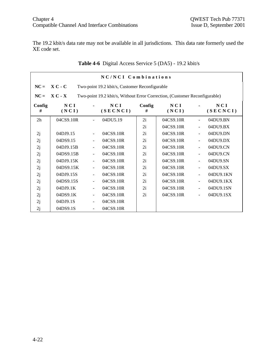The 19.2 kbit/s data rate may not be available in all jurisdictions. This data rate formerly used the XE code set.

|                | NC/NCI Combinations                                         |                |                                                                            |             |              |                          |                 |  |
|----------------|-------------------------------------------------------------|----------------|----------------------------------------------------------------------------|-------------|--------------|--------------------------|-----------------|--|
| $NC =$         | $X C - C$<br>Two-point 19.2 kbit/s, Customer Reconfigurable |                |                                                                            |             |              |                          |                 |  |
| $NC =$         | $X C - X$                                                   |                | Two-point 19.2 kbit/s, Without Error Correction, (Customer Reconfigurable) |             |              |                          |                 |  |
| Config<br>#    | NCI<br>(NCI)                                                |                | NCI<br>(SECNCI)                                                            | Config<br># | NCI<br>(NCI) |                          | NCI<br>(SECNCI) |  |
| 2 <sub>h</sub> | 04CS9.10R                                                   |                | 04DU5.19                                                                   | 2i          | 04CS9.10R    | $\blacksquare$           | 04DU9.BN        |  |
|                |                                                             |                |                                                                            | 2i          | 04CS9.10R    |                          | 04DU9.BX        |  |
| 2j             | 04DJ9.15                                                    |                | 04CS9.10R                                                                  | 2i          | 04CS9.10R    | $\blacksquare$           | 04DU9.DN        |  |
| 2j             | 04DS9.15                                                    |                | 04CS9.10R                                                                  | 2i          | 04CS9.10R    | $\overline{\phantom{a}}$ | 04DU9.DX        |  |
| 2j             | 04DJ9.15B                                                   |                | 04CS9.10R                                                                  | 2i          | 04CS9.10R    | $\blacksquare$           | 04DU9.CN        |  |
| 2j             | 04DS9.15B                                                   |                | 04CS9.10R                                                                  | 2i          | 04CS9.10R    | $\blacksquare$           | 04DU9.CN        |  |
| 2j             | 04DJ9.15K                                                   |                | 04CS9.10R                                                                  | 2i          | 04CS9.10R    |                          | 04DU9.SN        |  |
| 2j             | 04DS9.15K                                                   |                | 04CS9.10R                                                                  | 2i          | 04CS9.10R    | $\blacksquare$           | 04DU9.SX        |  |
| 2j             | 04DJ9.15S                                                   |                | 04CS9.10R                                                                  | 2i          | 04CS9.10R    | $\blacksquare$           | 04DU9.1KN       |  |
| 2j             | 04DS9.15S                                                   | $\blacksquare$ | 04CS9.10R                                                                  | 2i          | 04CS9.10R    | $\blacksquare$           | 04DU9.1KX       |  |
| 2j             | 04DJ9.1K                                                    | $\blacksquare$ | 04CS9.10R                                                                  | 2i          | 04CS9.10R    | ÷                        | 04DU9.1SN       |  |
| 2j             | 04DS9.1K                                                    |                | 04CS9.10R                                                                  | 2i          | 04CS9.10R    |                          | 04DU9.1SX       |  |
| 2j             | 04DJ9.1S                                                    |                | 04CS9.10R                                                                  |             |              |                          |                 |  |
| 2j             | 04DS9.1S                                                    |                | 04CS9.10R                                                                  |             |              |                          |                 |  |

# **Table 4-6** Digital Access Service 5 (DA5) - 19.2 kbit/s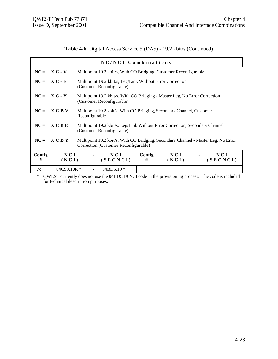**Table 4-6** Digital Access Service 5 (DA5) - 19.2 kbit/s (Continued)

| NC/NCI Combinations |                |  |                                                                                                                            |             |              |        |                 |
|---------------------|----------------|--|----------------------------------------------------------------------------------------------------------------------------|-------------|--------------|--------|-----------------|
|                     | $NC = X C - V$ |  | Multipoint 19.2 kbit/s, With CO Bridging, Customer Reconfigurable                                                          |             |              |        |                 |
|                     | $NC = X C - E$ |  | Multipoint 19.2 kbit/s, Leg/Link Without Error Correction<br>(Customer Reconfigurable)                                     |             |              |        |                 |
|                     | $NC = X C - Y$ |  | Multipoint 19.2 kbit/s, With CO Bridging - Master Leg, No Error Correction<br>(Customer Reconfigurable)                    |             |              |        |                 |
|                     | $NC = X C B V$ |  | Multipoint 19.2 kbit/s, With CO Bridging, Secondary Channel, Customer<br>Reconfigurable                                    |             |              |        |                 |
| $NC =$              | X C B E        |  | Multipoint 19.2 kbit/s, Leg/Link Without Error Correction, Secondary Channel<br>(Customer Reconfigurable)                  |             |              |        |                 |
| $NC =$              | <b>XCBY</b>    |  | Multipoint 19.2 kbit/s, With CO Bridging, Secondary Channel - Master Leg, No Error<br>Correction (Customer Reconfigurable) |             |              |        |                 |
| Config<br>#         | NCI<br>(NCI)   |  | NCI<br>(SECNCI)                                                                                                            | Config<br># | NCI<br>(NCI) | $\sim$ | NCI<br>(SECNCI) |
| 7c                  | 04CS9.10R *    |  | $04BD5.19*$                                                                                                                |             |              |        |                 |

\* QWEST currently does not use the 04BD5.19 NCI code in the provisioning process. The code is included for technical description purposes.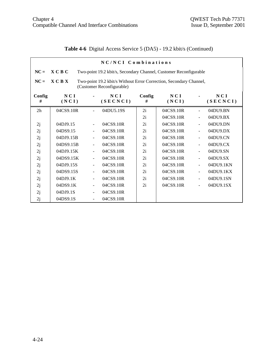|  | <b>Table 4-6</b> Digital Access Service 5 (DA5) - 19.2 kbit/s (Continued) |  |  |
|--|---------------------------------------------------------------------------|--|--|
|--|---------------------------------------------------------------------------|--|--|

|                | NC/NCI Combinations                                                                                        |                          |                 |             |              |                          |                 |  |  |
|----------------|------------------------------------------------------------------------------------------------------------|--------------------------|-----------------|-------------|--------------|--------------------------|-----------------|--|--|
| $NC =$         | <b>XCBC</b><br>Two-point 19.2 kbit/s, Secondary Channel, Customer Reconfigurable                           |                          |                 |             |              |                          |                 |  |  |
| $NC =$         | X C B X<br>Two-point 19.2 kbit/s Without Error Correction, Secondary Channel,<br>(Customer Reconfigurable) |                          |                 |             |              |                          |                 |  |  |
| Config<br>#    | NCI<br>(NCI)                                                                                               |                          | NCI<br>(SECNCI) | Config<br># | NCI<br>(NCI) |                          | NCI<br>(SECNCI) |  |  |
| 2 <sub>h</sub> | 04CS9.10R                                                                                                  |                          | 04DU5.19S       | 2i          | 04CS9.10R    | $\blacksquare$           | 04DU9.BN        |  |  |
|                |                                                                                                            |                          |                 | 2i          | 04CS9.10R    | $\overline{\phantom{a}}$ | 04DU9.BX        |  |  |
| 2j             | 04DJ9.15                                                                                                   | $\overline{\phantom{0}}$ | 04CS9.10R       | 2i          | 04CS9.10R    | $\frac{1}{2}$            | 04DU9.DN        |  |  |
| 2j             | 04DS9.15                                                                                                   | $\blacksquare$           | 04CS9.10R       | 2i          | 04CS9.10R    | $\overline{\phantom{a}}$ | $04DU9$ .DX     |  |  |
| 2j             | 04DJ9.15B                                                                                                  |                          | 04CS9.10R       | 2i          | 04CS9.10R    | $\overline{\phantom{a}}$ | 04DU9.CN        |  |  |
| 2j             | 04DS9.15B                                                                                                  | $\blacksquare$           | 04CS9.10R       | 2i          | 04CS9.10R    | $\overline{\phantom{a}}$ | 04DU9.CX        |  |  |
| 2j             | 04DJ9.15K                                                                                                  | $\blacksquare$           | 04CS9.10R       | 2i          | 04CS9.10R    | $\overline{a}$           | 04DU9.SN        |  |  |
| 2j             | 04DS9.15K                                                                                                  |                          | 04CS9.10R       | 2i          | 04CS9.10R    | $\frac{1}{2}$            | 04DU9.SX        |  |  |
| 2j             | 04DJ9.15S                                                                                                  | $\blacksquare$           | 04CS9.10R       | 2i          | 04CS9.10R    | $\overline{\phantom{a}}$ | 04DU9.1KN       |  |  |
| 2j             | 04DS9.15S                                                                                                  | ÷                        | 04CS9.10R       | 2i          | 04CS9.10R    | $\frac{1}{2}$            | 04DU9.1KX       |  |  |
| 2j             | 04DJ9.1K                                                                                                   | $\overline{\phantom{a}}$ | 04CS9.10R       | 2i          | 04CS9.10R    | $\overline{\phantom{a}}$ | 04DU9.1SN       |  |  |
| 2j             | 04DS9.1K                                                                                                   |                          | 04CS9.10R       | 2i          | 04CS9.10R    | ÷,                       | 04DU9.1SX       |  |  |
| 2j             | 04DJ9.1S                                                                                                   | $\blacksquare$           | 04CS9.10R       |             |              |                          |                 |  |  |
| 2j             | 04DS9.1S                                                                                                   | ÷                        | 04CS9.10R       |             |              |                          |                 |  |  |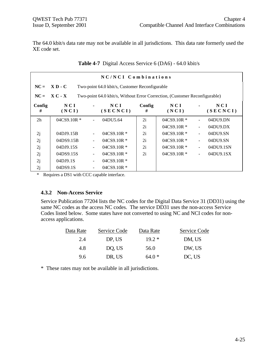The 64.0 kbit/s data rate may not be available in all jurisdictions. This data rate formerly used the XE code set.

|                | NC/NCI Combinations |  |                                                                            |             |                  |                |                   |  |
|----------------|---------------------|--|----------------------------------------------------------------------------|-------------|------------------|----------------|-------------------|--|
| $NC =$         | $X D - C$           |  | Two-point 64.0 kbit/s, Customer Reconfigurable                             |             |                  |                |                   |  |
| $NC =$         | $X C - X$           |  | Two-point 64.0 kbit/s, Without Error Correction, (Customer Reconfigurable) |             |                  |                |                   |  |
| Config<br>#    | N C I<br>(NCI)      |  | NCI<br>(SECNCI)                                                            | Config<br># | NCI<br>(NCI)     |                | N C I<br>(SECNCI) |  |
| 2 <sub>h</sub> | 04CS9.10R *         |  | 04DU5.64                                                                   | 2i          | $04CS9.10R$ *    |                | 04DU9.DN          |  |
|                |                     |  |                                                                            | 2i          | $04C$ S9.10R $*$ | $\blacksquare$ | $04DU9$ .DX       |  |
| 2j             | 04DJ9.15B           |  | $04CS9.10R*$                                                               | 2i          | $04CS9.10R*$     | $\blacksquare$ | 04DU9.SN          |  |
| 2j             | 04DS9.15B           |  | $04CS9.10R*$                                                               | 2i          | $04C$ S9.10R $*$ | $\blacksquare$ | 04DU9.SN          |  |
| 2j             | 04DJ9.15S           |  | $04CS9.10R*$                                                               | 2i          | $04C$ S9.10R $*$ | $\blacksquare$ | 04DU9.1SN         |  |
| 2j             | 04DS9.15S           |  | $04C$ S9.10R $*$                                                           | 2i          | $04CS9.10R$ *    | $\blacksquare$ | 04DU9.1SX         |  |
| 2j             | 04DJ9.1S            |  | $04CS9.10R*$                                                               |             |                  |                |                   |  |
| 2j             | 04DS9.1S            |  | $04C$ S9.10R $*$                                                           |             |                  |                |                   |  |

**Table 4-7** Digital Access Service 6 (DA6) - 64.0 kbit/s

\* Requires a DS1 with CCC capable interface.

#### **4.3.2 Non-Access Service**

Service Publication 77204 lists the NC codes for the Digital Data Service 31 (DD31) using the same NC codes as the access NC codes. The service DD31 uses the non-access Service Codes listed below. Some states have not converted to using NC and NCI codes for nonaccess applications.

| Data Rate | Service Code | Data Rate | Service Code |
|-----------|--------------|-----------|--------------|
| 2.4       | DP, US       | $19.2*$   | DM, US       |
| 4.8       | DO, US       | 56.0      | DW, US       |
| 9.6       | DR, US       | $64.0*$   | DC, US       |

\* These rates may not be available in all jurisdictions.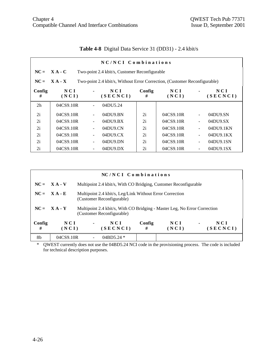|                | NC/NCI Combinations                                        |                              |                                                                           |             |              |                          |                 |  |
|----------------|------------------------------------------------------------|------------------------------|---------------------------------------------------------------------------|-------------|--------------|--------------------------|-----------------|--|
| $NC =$         | $X A - C$<br>Two-point 2.4 kbit/s, Customer Reconfigurable |                              |                                                                           |             |              |                          |                 |  |
| $NC =$         | $X A - X$                                                  |                              | Two-point 2.4 kbit/s, Without Error Correction, (Customer Reconfigurable) |             |              |                          |                 |  |
| Config<br>#    | N C I<br>(NCI)                                             | $\blacksquare$               | N C I<br>(SECNCI)                                                         | Config<br># | NCI<br>(NCI) |                          | NCI<br>(SECNCI) |  |
| 2 <sub>h</sub> | 04CS9.10R                                                  |                              | 04DU5.24                                                                  |             |              |                          |                 |  |
| 2i             | 04CS9.10R                                                  |                              | 04DU9.BN                                                                  | 2i          | 04CS9.10R    |                          | 04DU9.SN        |  |
| 2i             | 04CS9.10R                                                  | ۰                            | 04DU9.BX                                                                  | 2i          | 04CS9.10R    | $\overline{\phantom{a}}$ | 04DU9.SX        |  |
| 2i             | 04CS9.10R                                                  |                              | $04$ DU $9$ .CN                                                           | 2i          | 04CS9.10R    |                          | 04DU9.1KN       |  |
| 2i             | 04CS9.10R                                                  | $\overline{\phantom{a}}$     | 04DU9.CX                                                                  | 2i          | 04CS9.10R    | $\overline{\phantom{a}}$ | 04DU9.1KX       |  |
| 2i             | 04CS9.10R                                                  | $\qquad \qquad \blacksquare$ | 04DU9.DN                                                                  | 2i          | 04CS9.10R    | ÷                        | 04DU9.1SN       |  |
| 2i             | 04CS9.10R                                                  |                              | $04DU9$ .DX                                                               | 2i          | 04CS9.10R    |                          | 04DU9.1SX       |  |

|             |                |                                                                                                        | $NC/NCI$ Combinations                                                                 |             |              |                |                 |
|-------------|----------------|--------------------------------------------------------------------------------------------------------|---------------------------------------------------------------------------------------|-------------|--------------|----------------|-----------------|
|             | $NC = X A - V$ |                                                                                                        | Multipoint 2.4 kbit/s, With CO Bridging, Customer Reconfigurable                      |             |              |                |                 |
| $NC =$      | $X A - E$      |                                                                                                        | Multipoint 2.4 kbit/s, Leg/Link Without Error Correction<br>(Customer Reconfigurable) |             |              |                |                 |
|             | $NC = X A - Y$ | Multipoint 2.4 kbit/s, With CO Bridging - Master Leg, No Error Correction<br>(Customer Reconfigurable) |                                                                                       |             |              |                |                 |
| Config<br># | NCI<br>(NCI)   | $\blacksquare$                                                                                         | NCI<br>(SECNCI)                                                                       | Config<br># | NCI<br>(NCI) | $\blacksquare$ | NCI<br>(SECNCI) |
| 8b          | 04CS9.10R      |                                                                                                        | $04BD5.24*$                                                                           |             |              |                |                 |

\* QWEST currently does not use the 04BD5.24 NCI code in the provisioning process. The code is included for technical description purposes.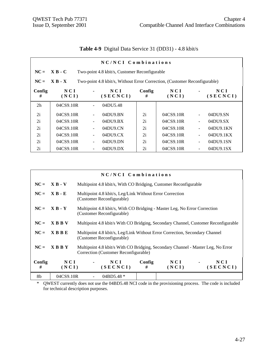|                |                |                          | NC/NCI Combinations                                                       |             |              |                          |                   |
|----------------|----------------|--------------------------|---------------------------------------------------------------------------|-------------|--------------|--------------------------|-------------------|
| $NC =$         | $X B - C$      |                          | Two-point 4.8 kbit/s, Customer Reconfigurable                             |             |              |                          |                   |
| $NC =$         | $X B - X$      |                          | Two-point 4.8 kbit/s, Without Error Correction, (Customer Reconfigurable) |             |              |                          |                   |
| Config<br>#    | N C I<br>(NCI) |                          | NCI<br>(SECNCI)                                                           | Config<br># | NCI<br>(NCI) |                          | N C I<br>(SECNCI) |
| 2 <sub>h</sub> | 04CS9.10R      |                          | 04DU5.48                                                                  |             |              |                          |                   |
| 2i             | 04CS9.10R      |                          | 04DU9.BN                                                                  | 2i          | 04CS9.10R    |                          | 04DU9.SN          |
| 2i             | 04CS9.10R      | $\blacksquare$           | 04DU9.BX                                                                  | 2i          | 04CS9.10R    |                          | 04DU9.SX          |
| 2i             | 04CS9.10R      |                          | $04D$ U $9$ .CN                                                           | 2i          | 04CS9.10R    |                          | 04DU9.1KN         |
| 2i             | 04CS9.10R      | $\overline{\phantom{a}}$ | 04D <sub>U</sub> 9 <sub>C</sub> X                                         | 2i          | 04CS9.10R    |                          | 04DU9.1KX         |
| 2i             | 04CS9.10R      | $\blacksquare$           | 04DU9.DN                                                                  | 2i          | 04CS9.10R    | $\overline{\phantom{a}}$ | 04DU9.1SN         |
| 2i             | 04CS9.10R      |                          | $04DU9$ .DX                                                               | 2i          | 04CS9.10R    |                          | 04DU9.1SX         |

|  |  | Table 4-9 Digital Data Service 31 (DD31) - 4.8 kbit/s |
|--|--|-------------------------------------------------------|
|--|--|-------------------------------------------------------|

|             |              | NC/NCI Combinations                                                                                      |                                                                                                                          |              |                   |  |  |
|-------------|--------------|----------------------------------------------------------------------------------------------------------|--------------------------------------------------------------------------------------------------------------------------|--------------|-------------------|--|--|
| $NC =$      | $X B - V$    | Multipoint 4.8 kbit/s, With CO Bridging, Customer Reconfigurable                                         |                                                                                                                          |              |                   |  |  |
| $NC =$      | $X B - E$    | (Customer Reconfigurable)                                                                                | Multipoint 4.8 kbit/s, Leg/Link Without Error Correction                                                                 |              |                   |  |  |
| $NC =$      | $X B - Y$    | Multipoint 4.8 kbit/s, With CO Bridging - Master Leg, No Error Correction<br>(Customer Reconfigurable)   |                                                                                                                          |              |                   |  |  |
| $NC =$      | <b>XBBV</b>  | Multipoint 4.8 kbit/s With CO Bridging, Secondary Channel, Customer Reconfigurable                       |                                                                                                                          |              |                   |  |  |
| $NC =$      | $X$ B B E    | Multipoint 4.8 kbit/s, Leg/Link Without Error Correction, Secondary Channel<br>(Customer Reconfigurable) |                                                                                                                          |              |                   |  |  |
| $NC =$      | <b>XBBY</b>  |                                                                                                          | Multipoint 4.8 kbit/s With CO Bridging, Secondary Channel - Master Leg, No Error<br>Correction (Customer Reconfigurable) |              |                   |  |  |
| Config<br># | NCI<br>(NCI) | N C I<br>(SECNCI)                                                                                        | Config<br>#                                                                                                              | NCI<br>(NCI) | N C I<br>(SECNCI) |  |  |
| 8b          | 04CS9.10R    | 04BD5.48 $*$                                                                                             |                                                                                                                          |              |                   |  |  |

\* QWEST currently does not use the 04BD5.48 NCI code in the provisioning process. The code is included for technical description purposes.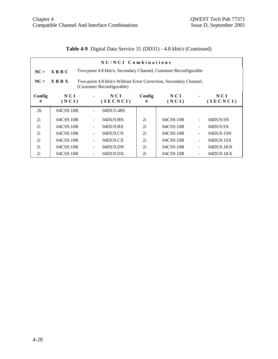# **Table 4-9** Digital Data Service 31 (DD31) - 4.8 kbit/s (Continued)

|                |                                                                                                               |                                                                  | NC/NCI Combinations               |             |              |                |                   |  |
|----------------|---------------------------------------------------------------------------------------------------------------|------------------------------------------------------------------|-----------------------------------|-------------|--------------|----------------|-------------------|--|
| $NC =$         | $X$ B B C                                                                                                     | Two-point 4.8 kbit/s, Secondary Channel, Customer Reconfigurable |                                   |             |              |                |                   |  |
| $NC =$         | <b>XBBX</b><br>Two-point 4.8 kbit/s Without Error Correction, Secondary Channel,<br>(Customer Reconfigurable) |                                                                  |                                   |             |              |                |                   |  |
| Config<br>#    | N C I<br>(NCI)                                                                                                |                                                                  | NCI<br>(SECNCI)                   | Config<br># | NCI<br>(NCI) | $\blacksquare$ | N C I<br>(SECNCI) |  |
| 2 <sub>h</sub> | 04CS9.10R                                                                                                     |                                                                  | 04DU5.48S                         |             |              |                |                   |  |
| 2i             | 04CS9.10R                                                                                                     |                                                                  | 04DU9.BN                          | 2i          | 04CS9.10R    | $\blacksquare$ | 04DU9.SN          |  |
| 2i             | 04CS9.10R                                                                                                     |                                                                  | 04DU9.BX                          | 2i          | 04CS9.10R    |                | 04DU9.SX          |  |
| 2i             | 04CS9.10R                                                                                                     |                                                                  | $04D$ U $9$ .CN                   | 2i          | 04CS9.10R    | $\blacksquare$ | 04DU9.1SN         |  |
| 2i             | 04CS9.10R                                                                                                     |                                                                  | 04D <sub>U</sub> 9 <sub>C</sub> X | 2i          | 04CS9.10R    | $\blacksquare$ | 04DU9.1SX         |  |
| 2i             | 04CS9.10R                                                                                                     | $\overline{\phantom{0}}$                                         | 04DU9.DN                          | 2i          | 04CS9.10R    | $\blacksquare$ | 04DU9.1KN         |  |
| 2i             | 04CS9.10R                                                                                                     |                                                                  | $04D$ U $9.DX$                    | 2i          | 04CS9.10R    | ۰              | $04D$ U $9.1$ KX  |  |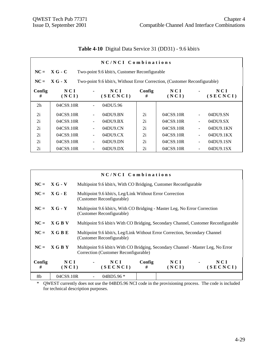|                |                                                           |                          | NC/NCI Combinations                                                       |             |              |                          |                 |
|----------------|-----------------------------------------------------------|--------------------------|---------------------------------------------------------------------------|-------------|--------------|--------------------------|-----------------|
| $NC =$         | $XG - C$<br>Two-point 9.6 kbit/s, Customer Reconfigurable |                          |                                                                           |             |              |                          |                 |
| $NC =$         | $X G - X$                                                 |                          | Two-point 9.6 kbit/s, Without Error Correction, (Customer Reconfigurable) |             |              |                          |                 |
| Config<br>#    | NCI<br>(NCI)                                              | $\blacksquare$           | NCI<br>(SECNCI)                                                           | Config<br># | NCI<br>(NCI) |                          | NCI<br>(SECNCI) |
| 2 <sub>h</sub> | 04CS9.10R                                                 |                          | 04DU5.96                                                                  |             |              |                          |                 |
| 2i             | 04CS9.10R                                                 | $\blacksquare$           | 04DU9.BN                                                                  | 2i          | 04CS9.10R    | $\overline{a}$           | 04DU9.SN        |
| 2i             | 04CS9.10R                                                 |                          | $04$ DU $9. BX$                                                           | 2i          | 04CS9.10R    | $\overline{\phantom{0}}$ | 04DU9.SX        |
| 2i             | 04CS9.10R                                                 |                          | 04DU9.CN                                                                  | 2i          | 04CS9.10R    |                          | 04DU9.1KN       |
| 2i             | 04CS9.10R                                                 | $\blacksquare$           | 04D <sub>U</sub> 9 <sub>C</sub> X                                         | 2i          | 04CS9.10R    | ÷,                       | 04DU9.1KX       |
| 2i             | 04CS9.10R                                                 | $\overline{\phantom{a}}$ | 04DU9.DN                                                                  | 2i          | 04CS9.10R    | $\overline{\phantom{0}}$ | 04DU9.1SN       |
| 2i             | 04CS9.10R                                                 |                          | $04DU9$ .DX                                                               | 2i          | 04CS9.10R    |                          | 04DU9.1SX       |

| Table 4-10 Digital Data Service 31 (DD31) - 9.6 kbit/s |  |
|--------------------------------------------------------|--|
|--------------------------------------------------------|--|

|             |                | NC/NCI Combinations                                                                                      |                                                                                                                          |              |                 |  |  |
|-------------|----------------|----------------------------------------------------------------------------------------------------------|--------------------------------------------------------------------------------------------------------------------------|--------------|-----------------|--|--|
|             | $NC = X G - V$ | Multipoint 9.6 kbit/s, With CO Bridging, Customer Reconfigurable                                         |                                                                                                                          |              |                 |  |  |
| $NC =$      | $X G - E$      | (Customer Reconfigurable)                                                                                | Multipoint 9.6 kbit/s, Leg/Link Without Error Correction                                                                 |              |                 |  |  |
|             | $NC = X G - Y$ | Multipoint 9.6 kbit/s, With CO Bridging - Master Leg, No Error Correction<br>(Customer Reconfigurable)   |                                                                                                                          |              |                 |  |  |
| $NC =$      | X G B V        | Multipoint 9.6 kbit/s With CO Bridging, Secondary Channel, Customer Reconfigurable                       |                                                                                                                          |              |                 |  |  |
| $NC =$      | X G B E        | Multipoint 9.6 kbit/s, Leg/Link Without Error Correction, Secondary Channel<br>(Customer Reconfigurable) |                                                                                                                          |              |                 |  |  |
| $NC =$      | <b>XGBY</b>    |                                                                                                          | Multipoint 9.6 kbit/s With CO Bridging, Secondary Channel - Master Leg, No Error<br>Correction (Customer Reconfigurable) |              |                 |  |  |
| Config<br># | NCI<br>(NCI)   | NCI<br>(SECNCI)                                                                                          | Config<br>#                                                                                                              | NCI<br>(NCI) | NCI<br>(SECNCI) |  |  |
| 8b          | 04CS9.10R      | 04BD5.96 *                                                                                               |                                                                                                                          |              |                 |  |  |

\* QWEST currently does not use the 04BD5.96 NCI code in the provisioning process. The code is included for technical description purposes.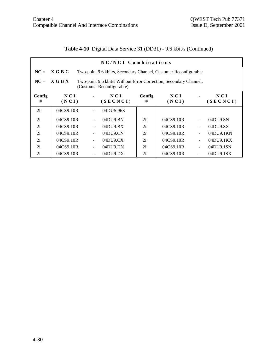# **Table 4-10** Digital Data Service 31 (DD31) - 9.6 kbit/s (Continued)

|                |                                                                                                           |                          | NC/NCI Combinations                                              |             |              |                |                   |
|----------------|-----------------------------------------------------------------------------------------------------------|--------------------------|------------------------------------------------------------------|-------------|--------------|----------------|-------------------|
| $NC =$         | X G B C                                                                                                   |                          | Two-point 9.6 kbit/s, Secondary Channel, Customer Reconfigurable |             |              |                |                   |
| $NC =$         | X G B X<br>Two-point 9.6 kbit/s Without Error Correction, Secondary Channel,<br>(Customer Reconfigurable) |                          |                                                                  |             |              |                |                   |
| Config<br>#    | N C I<br>(NCI)                                                                                            |                          | NCI<br>(SECNCI)                                                  | Config<br># | NCI<br>(NCI) | $\blacksquare$ | N C I<br>(SECNCI) |
| 2 <sub>h</sub> | 04CS9.10R                                                                                                 |                          | 04DU5.96S                                                        |             |              |                |                   |
| 2i             | 04CS9.10R                                                                                                 |                          | 04DU9.BN                                                         | 2i          | 04CS9.10R    | $\mathbf{r}$   | 04DU9.SN          |
| 2i             | 04CS9.10R                                                                                                 |                          | 04DU9.BX                                                         | 2i          | 04CS9.10R    | $\blacksquare$ | 04DU9.SX          |
| 2i             | 04CS9.10R                                                                                                 |                          | $04D$ U $9$ .CN                                                  | 2i          | 04CS9.10R    | $\blacksquare$ | 04DU9.1KN         |
| 2i             | 04CS9.10R                                                                                                 |                          | 04D <sub>U</sub> 9 <sub>C</sub> X                                | 2i          | 04CS9.10R    | $\blacksquare$ | 04DU9.1KX         |
| 2i             | 04CS9.10R                                                                                                 | $\overline{\phantom{0}}$ | 04DU9.DN                                                         | 2i          | 04CS9.10R    | $\blacksquare$ | 04DU9.1SN         |
| 2i             | 04CS9.10R                                                                                                 |                          | $04D$ U $9.DX$                                                   | 2i          | 04CS9.10R    | $\blacksquare$ | 04DU9.1SX         |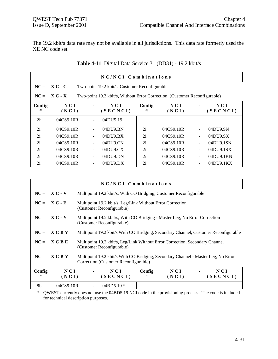The 19.2 kbit/s data rate may not be available in all jurisdictions. This data rate formerly used the XE NC code set.

|                | NC/NCI Combinations |                                                |                                                                            |             |              |  |                 |  |
|----------------|---------------------|------------------------------------------------|----------------------------------------------------------------------------|-------------|--------------|--|-----------------|--|
| $NC =$         | $X C - C$           | Two-point 19.2 kbit/s, Customer Reconfigurable |                                                                            |             |              |  |                 |  |
| $NC =$         | $X C - X$           |                                                | Two-point 19.2 kbit/s, Without Error Correction, (Customer Reconfigurable) |             |              |  |                 |  |
| Config<br>#    | N C I<br>(NCI)      |                                                | NCI<br>(SECNCI)                                                            | Config<br># | NCI<br>(NCI) |  | NCI<br>(SECNCI) |  |
| 2 <sub>h</sub> | 04CS9.10R           |                                                | 04DU5.19                                                                   |             |              |  |                 |  |
| 2i             | 04CS9.10R           |                                                | 04DU9.BN                                                                   | 2i          | 04CS9.10R    |  | 04DU9.SN        |  |
| 2i             | 04CS9.10R           |                                                | $04D$ U $9. BX$                                                            | 2i          | 04CS9.10R    |  | 04DU9.SX        |  |
| 2i             | 04CS9.10R           |                                                | 04DU9.CN                                                                   | 2i          | 04CS9.10R    |  | 04DU9.1SN       |  |
| 2i             | 04CS9.10R           |                                                | 04D <sub>U</sub> 9 <sub>C</sub> X                                          | 2i          | 04CS9.10R    |  | 04DU9.1SX       |  |
| 2i             | 04CS9.10R           |                                                | 04DU9.DN                                                                   | 2i          | 04CS9.10R    |  | 04DU9.1KN       |  |
| 2i             | 04CS9.10R           |                                                | $04D$ U $9.DX$                                                             | 2i          | 04CS9.10R    |  | 04DU9.1KX       |  |

|  | Table 4-11 Digital Data Service 31 (DD31) - 19.2 kbit/s |  |  |
|--|---------------------------------------------------------|--|--|
|--|---------------------------------------------------------|--|--|

| $NC/NCI$ Combinations |                |                                                                                                                           |                 |             |              |                          |                 |
|-----------------------|----------------|---------------------------------------------------------------------------------------------------------------------------|-----------------|-------------|--------------|--------------------------|-----------------|
|                       | $NC = X C - V$ | Multipoint 19.2 kbit/s, With CO Bridging, Customer Reconfigurable                                                         |                 |             |              |                          |                 |
|                       | $NC = X C - E$ | Multipoint 19.2 kbit/s, Leg/Link Without Error Correction<br>(Customer Reconfigurable)                                    |                 |             |              |                          |                 |
|                       | $NC = X C - Y$ | Multipoint 19.2 kbit/s, With CO Bridging - Master Leg, No Error Correction<br>(Customer Reconfigurable)                   |                 |             |              |                          |                 |
| $NC =$                | <b>XCBV</b>    | Multipoint 19.2 kbit/s With CO Bridging, Secondary Channel, Customer Reconfigurable                                       |                 |             |              |                          |                 |
| $NC =$                | <b>XCBE</b>    | Multipoint 19.2 kbit/s, Leg/Link Without Error Correction, Secondary Channel<br>(Customer Reconfigurable)                 |                 |             |              |                          |                 |
| $NC =$                | <b>XCBY</b>    | Multipoint 19.2 kbit/s With CO Bridging, Secondary Channel - Master Leg, No Error<br>Correction (Customer Reconfigurable) |                 |             |              |                          |                 |
| Config<br>#           | NCI<br>(NCI)   |                                                                                                                           | NCI<br>(SECNCI) | Config<br># | NCI<br>(NCI) | <b>Contract Contract</b> | NCI<br>(SECNCI) |
| 8b                    | 04CS9.10R      |                                                                                                                           | $04BD5.19*$     |             |              |                          |                 |

\* QWEST currently does not use the 04BD5.19 NCI code in the provisioning process. The code is included for technical description purposes.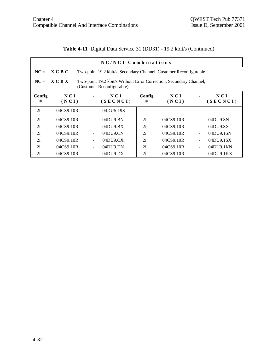**Table 4-11** Digital Data Service 31 (DD31) - 19.2 kbit/s (Continued)

| NC/NCI Combinations |                                                                                                                 |   |                                   |             |              |                          |                   |  |  |
|---------------------|-----------------------------------------------------------------------------------------------------------------|---|-----------------------------------|-------------|--------------|--------------------------|-------------------|--|--|
| $NC =$              | X C B C<br>Two-point 19.2 kbit/s, Secondary Channel, Customer Reconfigurable                                    |   |                                   |             |              |                          |                   |  |  |
| $NC =$              | $X \cap B X$<br>Two-point 19.2 kbit/s Without Error Correction, Secondary Channel,<br>(Customer Reconfigurable) |   |                                   |             |              |                          |                   |  |  |
| Config<br>#         | N C I<br>(NCI)                                                                                                  |   | NCI<br>(SECNCI)                   | Config<br># | NCI<br>(NCI) |                          | N C I<br>(SECNCI) |  |  |
| 2 <sub>h</sub>      | 04CS9.10R                                                                                                       |   | 04DU5.19S                         |             |              |                          |                   |  |  |
| 2i                  | 04CS9.10R                                                                                                       |   | 04DU9.BN                          | 2i          | 04CS9.10R    |                          | 04DU9.SN          |  |  |
| 2i                  | 04CS9.10R                                                                                                       |   | 04DU9.BX                          | 2i          | 04CS9.10R    |                          | 04DU9.SX          |  |  |
| 2i                  | 04CS9.10R                                                                                                       |   | 04DU9.CN                          | 2i          | 04CS9.10R    | ÷,                       | 04DU9.1SN         |  |  |
| 2i                  | 04CS9.10R                                                                                                       |   | 04D <sub>U</sub> 9 <sub>C</sub> X | 2i          | 04CS9.10R    | $\overline{\phantom{a}}$ | 04DU9.1SX         |  |  |
| 2i                  | 04CS9.10R                                                                                                       | ٠ | 04DU9.DN                          | 2i          | 04CS9.10R    | $\overline{\phantom{0}}$ | 04DU9.1KN         |  |  |
| 2i                  | 04CS9.10R                                                                                                       |   | $04D$ U $9.DX$                    | 2i          | 04CS9.10R    |                          | $04D$ U $9.1$ KX  |  |  |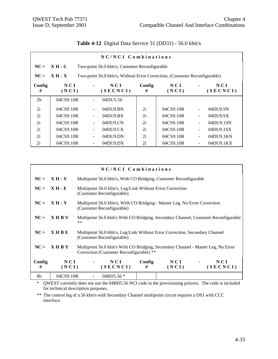|                | NC/NCI Combinations                                                                    |                          |                                   |             |              |                |                 |  |  |
|----------------|----------------------------------------------------------------------------------------|--------------------------|-----------------------------------|-------------|--------------|----------------|-----------------|--|--|
| $NC =$         | $XH-C$<br>Two-point 56.0 kbit/s, Customer Reconfigurable                               |                          |                                   |             |              |                |                 |  |  |
| $NC =$         | $XH - X$<br>Two-point 56.0 kbit/s, Without Error Correction, (Customer Reconfigurable) |                          |                                   |             |              |                |                 |  |  |
| Config<br>#    | N C I<br>(NCI)                                                                         |                          | NCI<br>(SECNCI)                   | Config<br># | NCI<br>(NCI) |                | NCI<br>(SECNCI) |  |  |
| 2 <sub>h</sub> | 04CS9.10R                                                                              |                          | 04DU5.56                          |             |              |                |                 |  |  |
| 2i             | 04CS9.10R                                                                              | $\overline{\phantom{a}}$ | 04DU9.BN                          | 2i          | 04CS9.10R    |                | 04DU9.SN        |  |  |
| 2i             | 04CS9.10R                                                                              |                          | $04D$ U $9. BX$                   | 2i          | 04CS9.10R    | $\blacksquare$ | 04DU9.SX        |  |  |
| 2i             | 04CS9.10R                                                                              |                          | 04D <sub>U</sub> 9 <sub>C</sub> N | 2i          | 04CS9.10R    |                | 04DU9.1SN       |  |  |
| 2i             | 04CS9.10R                                                                              | ۰                        | 04D <sub>U</sub> 9 <sub>C</sub> X | 2i          | 04CS9.10R    |                | 04DU9.1SX       |  |  |
| 2i             | 04CS9.10R                                                                              |                          | 04DU9.DN                          | 2i          | 04CS9.10R    |                | 04DU9.1KN       |  |  |
| 2i             | 04CS9.10R                                                                              |                          | $04DU9$ .DX                       | 2i          | 04CS9.10R    |                | 04DU9.1KX       |  |  |

#### **Table 4-12** Digital Data Service 31 (DD31) - 56.0 kbit/s

|             | NC/NCI Combinations |                                                                                                                              |                                                                                                           |             |              |  |                 |  |
|-------------|---------------------|------------------------------------------------------------------------------------------------------------------------------|-----------------------------------------------------------------------------------------------------------|-------------|--------------|--|-----------------|--|
|             | $NC = XH - V$       |                                                                                                                              | Multipoint 56.0 kbit/s, With CO Bridging, Customer Reconfigurable                                         |             |              |  |                 |  |
| $NC =$      | <b>XH-E</b>         |                                                                                                                              | Multipoint 56.0 kbit/s, Leg/Link Without Error Correction<br>(Customer Reconfigurable)                    |             |              |  |                 |  |
|             | $NC = XH - Y$       |                                                                                                                              | Multipoint 56.0 kbit/s, With CO Bridging - Master Leg, No Error Correction<br>(Customer Reconfigurable)   |             |              |  |                 |  |
| $NC =$      | <b>XHBV</b>         | $***$                                                                                                                        | Multipoint 56.0 kbit/s With CO Bridging, Secondary Channel, Customer Reconfigurable                       |             |              |  |                 |  |
| $NC =$      | <b>XHBE</b>         |                                                                                                                              | Multipoint 56.0 kbit/s, Leg/Link Without Error Correction, Secondary Channel<br>(Customer Reconfigurable) |             |              |  |                 |  |
| $NC =$      | <b>XHBY</b>         | Multipoint 56.0 kbit/s With CO Bridging, Secondary Channel - Master Leg, No Error<br>Correction (Customer Reconfigurable) ** |                                                                                                           |             |              |  |                 |  |
| Config<br># | NCI<br>(NCI)        |                                                                                                                              | NCI<br>(SECNCI)                                                                                           | Config<br># | NCI<br>(NCI) |  | NCI<br>(SECNCI) |  |
| 8b          | 04CS9.10R           |                                                                                                                              | 04BD5.56 $*$                                                                                              |             |              |  |                 |  |

\* QWEST currently does not use the 04BD5.56 NCI code in the provisioning process. The code is included for technical description purposes.

\*\* The control leg of a 56 kbit/s with Secondary Channel multipoint circuit requires a DS1 with CCC interface.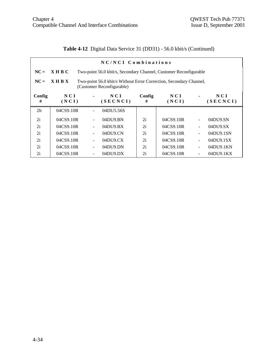**Table 4-12** Digital Data Service 31 (DD31) - 56.0 kbit/s (Continued)

|                | NC/NCI Combinations                                                                                            |   |                                   |             |              |                          |                   |  |  |  |
|----------------|----------------------------------------------------------------------------------------------------------------|---|-----------------------------------|-------------|--------------|--------------------------|-------------------|--|--|--|
| $NC =$         | X H B C<br>Two-point 56.0 kbit/s, Secondary Channel, Customer Reconfigurable                                   |   |                                   |             |              |                          |                   |  |  |  |
| $NC =$         | $X$ H B $X$<br>Two-point 56.0 kbit/s Without Error Correction, Secondary Channel,<br>(Customer Reconfigurable) |   |                                   |             |              |                          |                   |  |  |  |
| Config<br>#    | N C I<br>(NCI)                                                                                                 |   | NCI<br>(SECNCI)                   | Config<br># | NCI<br>(NCI) |                          | N C I<br>(SECNCI) |  |  |  |
| 2 <sub>h</sub> | 04CS9.10R                                                                                                      |   | 04DU5.56S                         |             |              |                          |                   |  |  |  |
| 2i             | 04CS9.10R                                                                                                      |   | 04DU9.BN                          | 2i          | 04CS9.10R    |                          | 04DU9.SN          |  |  |  |
| 2i             | 04CS9.10R                                                                                                      |   | $04D$ U $9. BX$                   | 2i          | 04CS9.10R    |                          | 04DU9.SX          |  |  |  |
| 2i             | 04CS9.10R                                                                                                      |   | 04DU9.CN                          | 2i          | 04CS9.10R    | ÷,                       | 04DU9.1SN         |  |  |  |
| 2i             | 04CS9.10R                                                                                                      |   | 04D <sub>U</sub> 9 <sub>C</sub> X | 2i          | 04CS9.10R    | $\overline{\phantom{a}}$ | 04DU9.1SX         |  |  |  |
| 2i             | 04CS9.10R                                                                                                      | ٠ | 04DU9.DN                          | 2i          | 04CS9.10R    |                          | 04DU9.1KN         |  |  |  |
| 2i             | 04CS9.10R                                                                                                      |   | $04D$ U $9.DX$                    | 2i          | 04CS9.10R    |                          | $04D$ U $9.1$ KX  |  |  |  |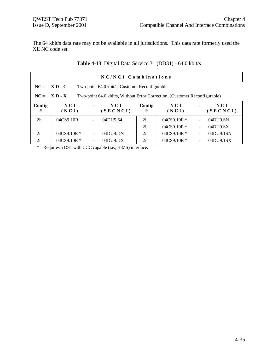The 64 kbit/s data rate may not be available in all jurisdictions. This data rate formerly used the XE NC code set.

|                | NC/NCI Combinations |                                                                            |                 |             |                  |                          |                 |  |  |
|----------------|---------------------|----------------------------------------------------------------------------|-----------------|-------------|------------------|--------------------------|-----------------|--|--|
|                | $NC = X D - C$      | Two-point 64.0 kbit/s, Customer Reconfigurable                             |                 |             |                  |                          |                 |  |  |
| $NC =$         | $X D - X$           | Two-point 64.0 kbit/s, Without Error Correction, (Customer Reconfigurable) |                 |             |                  |                          |                 |  |  |
| Config<br>#    | NCI<br>(NCI)        | $\blacksquare$                                                             | NCI<br>(SECNCI) | Config<br># | NCI<br>(NCI)     | $\blacksquare$           | NCI<br>(SECNCI) |  |  |
| 2 <sub>h</sub> | 04CS9.10R           |                                                                            | 04DU5.64        | 2i          | $04C$ S9.10R $*$ | $\overline{\phantom{0}}$ | 04DU9.SN        |  |  |
|                |                     |                                                                            |                 | 2i          | $04CS9.10R$ *    | $\blacksquare$           | 04DU9.SX        |  |  |
| 2i             | $04C$ S9.10R $*$    |                                                                            | 04DU9.DN        | 2i          | $04C$ S9.10R $*$ | $\blacksquare$           | 04DU9.1SN       |  |  |
| 2i             | $04C$ S9.10R $*$    |                                                                            | $04D$ U $9.DX$  | 2i          | $04CS9.10R*$     | $\overline{\phantom{0}}$ | 04DU9.1SX       |  |  |

\* Requires a DS1 with CCC capable (i.e., B8ZS) interface.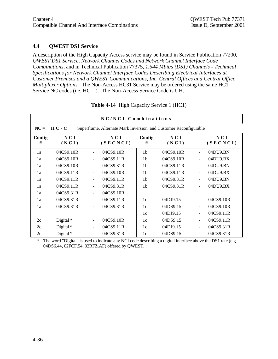#### **4.4 QWEST DS1 Service**

A description of the High Capacity Access service may be found in Service Publication 77200, *QWEST DS1 Service, Network Channel Codes and Network Channel Interface Code Combinations,* and in Technical Publication 77375, *1.544 Mbit/s (DS1) Channels - Technical Specifications for Network Channel Interface Codes Describing Electrical Interfaces at Customer Premises and a QWEST Communications, Inc. Central Offices and Central Office Multiplexer Options.* The Non-Access HC31 Service may be ordered using the same HC1 Service NC codes (i.e. HC\_\_). The Non-Access Service Code is UH.

|             |              |                          | NC/NCI Combinations                                               |                |              |                |                 |
|-------------|--------------|--------------------------|-------------------------------------------------------------------|----------------|--------------|----------------|-----------------|
| $NC =$      | $H C - C$    |                          | Superframe, Alternate Mark Inversion, and Customer Reconfigurable |                |              |                |                 |
| Config<br># | NCI<br>(NCI) |                          | NCI<br>(SECNCI)                                                   | Config<br>#    | NCI<br>(NCI) |                | NCI<br>(SECNCI) |
| 1a          | 04CS9.10R    | $\blacksquare$           | 04CS9.10R                                                         | 1 <sub>b</sub> | 04CS9.10R    |                | 04DU9.BN        |
| 1a          | 04CS9.10R    | $\overline{\phantom{a}}$ | 04CS9.11R                                                         | 1 <sub>b</sub> | 04CS9.10R    | $\blacksquare$ | 04DU9.BX        |
| 1a          | 04CS9.10R    | $\blacksquare$           | 04CS9.31R                                                         | 1 <sub>b</sub> | 04CS9.11R    | $\sim$         | 04DU9.BN        |
| 1a          | 04CS9.11R    |                          | 04CS9.10R                                                         | 1 <sub>b</sub> | 04CS9.11R    | $\blacksquare$ | 04DU9.BX        |
| 1a          | 04CS9.11R    | $\blacksquare$           | 04CS9.11R                                                         | 1 <sub>b</sub> | 04CS9.31R    | $\blacksquare$ | 04DU9.BN        |
| 1a          | 04CS9.11R    | $\overline{\phantom{a}}$ | 04CS9.31R                                                         | 1 <sub>b</sub> | 04CS9.31R    | $\blacksquare$ | 04DU9.BX        |
| 1a          | 04CS9.31R    | $\blacksquare$           | 04CS9.10R                                                         |                |              |                |                 |
| 1a          | 04CS9.31R    | $\blacksquare$           | 04CS9.11R                                                         | 1c             | 04DJ9.15     | $\blacksquare$ | 04CS9.10R       |
| 1a          | 04CS9.31R    | $\blacksquare$           | 04CS9.31R                                                         | 1c             | 04DS9.15     | $\blacksquare$ | 04CS9.10R       |
|             |              |                          |                                                                   | 1c             | 04DJ9.15     | $\blacksquare$ | 04CS9.11R       |
| 2c          | Digital *    | $\overline{\phantom{a}}$ | 04CS9.10R                                                         | 1c             | 04DS9.15     | $\blacksquare$ | 04CS9.11R       |
| 2c          | Digital *    | $\overline{\phantom{a}}$ | 04CS9.11R                                                         | 1c             | 04DJ9.15     | $\blacksquare$ | 04CS9.31R       |
| 2c          | Digital *    | $\blacksquare$           | 04CS9.31R                                                         | 1c             | 04DS9.15     | $\blacksquare$ | 04CS9.31R       |

**Table 4-14** High Capacity Service 1 (HC1)

\* The word "Digital" is used to indicate any NCI code describing a digital interface above the DS1 rate (e.g. 04DS6.44, 02FCF.54, 02RFZ.AF) offered by QWEST.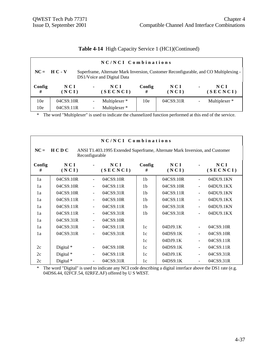| Table 4-14 High Capacity Service 1 (HC1)(Continued) |  |  |  |  |  |
|-----------------------------------------------------|--|--|--|--|--|
|-----------------------------------------------------|--|--|--|--|--|

|                 |                |                | NC/NCI Combinations                                                                                                |                 |                     |                |                          |
|-----------------|----------------|----------------|--------------------------------------------------------------------------------------------------------------------|-----------------|---------------------|----------------|--------------------------|
|                 | $NC = HC - V$  |                | Superframe, Alternate Mark Inversion, Customer Reconfigurable, and CO Multiplexing -<br>DS1/Voice and Digital Data |                 |                     |                |                          |
| Config<br>#     | N C I<br>(NCI) | $\blacksquare$ | NCI<br>(SECNCI)                                                                                                    | Config<br>#     | <b>NCI</b><br>(NCI) | $\blacksquare$ | NCI<br>(SECNCI)          |
| 10 <sub>e</sub> | 04CS9.10R      |                | Multiplexer *                                                                                                      | 10 <sub>e</sub> | 04CS9.31R           | ۰              | Multiplexer <sup>*</sup> |
| 10 <sub>e</sub> | 04CS9.11R      |                | Multiplexer *                                                                                                      |                 |                     |                |                          |

|             | NC/NCI Combinations |                          |                                                                              |                |              |                          |                 |  |  |
|-------------|---------------------|--------------------------|------------------------------------------------------------------------------|----------------|--------------|--------------------------|-----------------|--|--|
| $NC =$      | H C D C             | Reconfigurable           | ANSI T1.403.1995 Extended Superframe, Alternate Mark Inversion, and Customer |                |              |                          |                 |  |  |
| Config<br># | NCI<br>(NCI)        |                          | NCI<br>(SECNCI)                                                              | Config<br>#    | NCI<br>(NCI) |                          | NCI<br>(SECNCI) |  |  |
| 1a          | 04CS9.10R           | $\blacksquare$           | 04CS9.10R                                                                    | 1 <sub>b</sub> | 04CS9.10R    |                          | 04DU9.1KN       |  |  |
| 1a          | 04CS9.10R           |                          | 04CS9.11R                                                                    | 1 <sub>b</sub> | 04CS9.10R    |                          | 04DU9.1KX       |  |  |
| 1a          | 04CS9.10R           | $\overline{\phantom{a}}$ | 04CS9.31R                                                                    | 1 <sub>b</sub> | 04CS9.11R    |                          | 04DU9.1KN       |  |  |
| 1a          | 04CS9.11R           | $\blacksquare$           | 04CS9.10R                                                                    | 1 <sub>b</sub> | 04CS9.11R    |                          | 04DU9.1KX       |  |  |
| 1a          | 04CS9.11R           |                          | 04CS9.11R                                                                    | 1 <sub>b</sub> | 04CS9.31R    |                          | 04DU9.1KN       |  |  |
| 1a          | 04CS9.11R           | $\blacksquare$           | 04CS9.31R                                                                    | 1 <sub>b</sub> | 04CS9.31R    |                          | 04DU9.1KX       |  |  |
| 1a          | 04CS9.31R           | $\blacksquare$           | 04CS9.10R                                                                    |                |              |                          |                 |  |  |
| 1a          | 04CS9.31R           | $\blacksquare$           | 04CS9.11R                                                                    | 1c             | 04DJ9.1K     | $\blacksquare$           | 04CS9.10R       |  |  |
| 1a          | 04CS9.31R           | $\blacksquare$           | 04CS9.31R                                                                    | 1c             | 04DS9.1K     | $\overline{\phantom{0}}$ | 04CS9.10R       |  |  |
|             |                     |                          |                                                                              | 1c             | 04DJ9.1K     |                          | 04CS9.11R       |  |  |
| 2c          | Digital $*$         | $\overline{\phantom{a}}$ | 04CS9.10R                                                                    | 1c             | 04DS9.1K     |                          | 04CS9.11R       |  |  |
| 2c          | Digital *           | $\blacksquare$           | 04CS9.11R                                                                    | 1c             | 04DJ9.1K     |                          | 04CS9.31R       |  |  |
| 2c          | Digital *           |                          | 04CS9.31R                                                                    | 1c             | 04DS9.1K     |                          | 04CS9.31R       |  |  |

\* The word "Digital" is used to indicate any NCI code describing a digital interface above the DS1 rate (e.g. 04DS6.44, 02FCF.54, 02RFZ.AF) offered by U S WEST.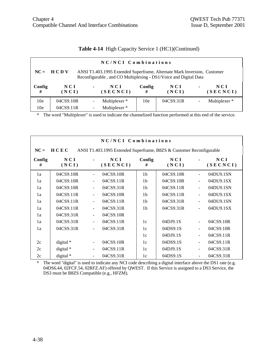| Table 4-14 High Capacity Service 1 (HC1)(Continued) |  |  |  |  |  |  |
|-----------------------------------------------------|--|--|--|--|--|--|
|-----------------------------------------------------|--|--|--|--|--|--|

|                 | NC/NCI Combinations                                                                                                                                         |                |                 |             |              |                |                 |  |  |  |
|-----------------|-------------------------------------------------------------------------------------------------------------------------------------------------------------|----------------|-----------------|-------------|--------------|----------------|-----------------|--|--|--|
|                 | $NC = HCDV$<br>ANSI T1.403.1995 Extended Superframe, Alternate Mark Inversion, Customer<br>Reconfigurable, and CO Multiplexing - DS1/Voice and Digital Data |                |                 |             |              |                |                 |  |  |  |
| Config<br>#     | N C I<br>(NCI)                                                                                                                                              | $\blacksquare$ | NCI<br>(SECNCI) | Config<br># | NCI<br>(NCI) | $\blacksquare$ | NCI<br>(SECNCI) |  |  |  |
| 10 <sub>e</sub> | 04CS9.10R                                                                                                                                                   |                | Multiplexer *   | 10e         | 04CS9.31R    | $\blacksquare$ | Multiplexer *   |  |  |  |
| 10 <sub>e</sub> | 04CS9.11R                                                                                                                                                   |                | Multiplexer *   |             |              |                |                 |  |  |  |

| NC/NCI Combinations |              |                              |                                                                      |                |              |                          |                 |  |  |  |
|---------------------|--------------|------------------------------|----------------------------------------------------------------------|----------------|--------------|--------------------------|-----------------|--|--|--|
| $NC =$              | HCEC         |                              | ANSI T1.403.1995 Extended Superframe, B8ZS & Customer Reconfigurable |                |              |                          |                 |  |  |  |
| Config<br>#         | NCI<br>(NCI) |                              | NCI<br>(SECNCI)                                                      | Config<br>#    | NCI<br>(NCI) |                          | NCI<br>(SECNCI) |  |  |  |
| 1a                  | 04CS9.10R    | $\qquad \qquad \blacksquare$ | 04CS9.10R                                                            | 1 <sub>b</sub> | 04CS9.10R    | $\overline{\phantom{0}}$ | 04DU9.1SN       |  |  |  |
| 1a                  | 04CS9.10R    | $\qquad \qquad \blacksquare$ | 04CS9.11R                                                            | 1 <sub>b</sub> | 04CS9.10R    | $\blacksquare$           | 04DU9.1SX       |  |  |  |
| 1a                  | 04CS9.10R    | $\blacksquare$               | 04CS9.31R                                                            | 1 <sub>b</sub> | 04CS9.11R    | $\frac{1}{2}$            | 04DU9.1SN       |  |  |  |
| 1a                  | 04CS9.11R    | ۰                            | 04CS9.10R                                                            | 1 <sub>b</sub> | 04CS9.11R    | $\frac{1}{2}$            | 04DU9.1SX       |  |  |  |
| 1a                  | 04CS9.11R    | $\qquad \qquad \blacksquare$ | 04CS9.11R                                                            | 1 <sub>b</sub> | 04CS9.31R    | $\frac{1}{2}$            | 04DU9.1SN       |  |  |  |
| 1a                  | 04CS9.11R    | $\qquad \qquad \blacksquare$ | 04CS9.31R                                                            | 1 <sub>b</sub> | 04CS9.31R    | ÷,                       | 04DU9.1SX       |  |  |  |
| 1a                  | 04CS9.31R    | $\qquad \qquad \blacksquare$ | 04CS9.10R                                                            |                |              |                          |                 |  |  |  |
| 1a                  | 04CS9.31R    | $\qquad \qquad \blacksquare$ | 04CS9.11R                                                            | 1c             | 04DJ9.1S     | ÷,                       | 04CS9.10R       |  |  |  |
| 1a                  | 04CS9.31R    | ÷,                           | 04CS9.31R                                                            | 1c             | 04DS9.1S     | $\blacksquare$           | 04CS9.10R       |  |  |  |
|                     |              |                              |                                                                      | 1c             | 04DJ9.1S     | $\overline{a}$           | 04CS9.11R       |  |  |  |
| 2c                  | digital *    | ۰                            | 04CS9.10R                                                            | 1c             | 04DS9.1S     | $\overline{a}$           | 04CS9.11R       |  |  |  |
| 2c                  | digital $*$  |                              | 04CS9.11R                                                            | 1c             | 04DJ9.1S     | ÷,                       | 04CS9.31R       |  |  |  |
| 2c                  | digital *    |                              | 04CS9.31R                                                            | 1c             | 04DS9.1S     | $\overline{a}$           | 04CS9.31R       |  |  |  |

\* The word "digital" is used to indicate any NCI code describing a digital interface above the DS1 rate (e.g. 04DS6.44, 02FCF.54, 02RFZ.AF) offered by QWEST. If this Service is assigned to a DS3 Service, the DS3 must be B8ZS Compatible (e.g., HFZM).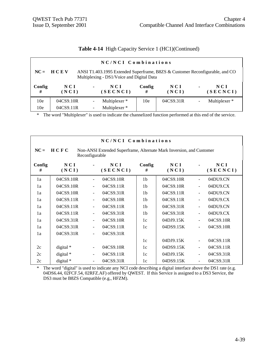|  |  |  |  |  | Table 4-14 High Capacity Service 1 (HC1)(Continued) |
|--|--|--|--|--|-----------------------------------------------------|
|--|--|--|--|--|-----------------------------------------------------|

|                 | NC/NCI Combinations                                                                                                                    |                |                   |             |                |                |                 |  |  |  |  |
|-----------------|----------------------------------------------------------------------------------------------------------------------------------------|----------------|-------------------|-------------|----------------|----------------|-----------------|--|--|--|--|
|                 | $NC = HC$<br>ANSI T1.403.1995 Extended Superframe, B8ZS & Customer Reconfigurable, and CO<br>Multiplexing - DS1/Voice and Digital Data |                |                   |             |                |                |                 |  |  |  |  |
| Config<br>#     | NCI<br>(NCI)                                                                                                                           | $\blacksquare$ | N C I<br>(SECNCI) | Config<br># | N C I<br>(NCI) | $\blacksquare$ | NCI<br>(SECNCI) |  |  |  |  |
| 10 <sub>e</sub> | 04CS9.10R                                                                                                                              |                | Multiplexer *     | 10e         | 04CS9.31R      |                | Multiplexer *   |  |  |  |  |
| 10e             | 04CS9.11R                                                                                                                              |                | Multiplexer *     |             |                |                |                 |  |  |  |  |

|             | NC/NCI Combinations                                                                            |                |                 |                |              |                          |                 |  |  |  |
|-------------|------------------------------------------------------------------------------------------------|----------------|-----------------|----------------|--------------|--------------------------|-----------------|--|--|--|
| $NC =$      | HCFC<br>Non-ANSI Extended Superframe, Alternate Mark Inversion, and Customer<br>Reconfigurable |                |                 |                |              |                          |                 |  |  |  |
| Config<br># | NCI<br>(NCI)                                                                                   |                | NCI<br>(SECNCI) | Config<br>#    | NCI<br>(NCI) |                          | NCI<br>(SECNCI) |  |  |  |
| 1a          | 04CS9.10R                                                                                      | $\blacksquare$ | 04CS9.10R       | 1 <sub>b</sub> | 04CS9.10R    | ÷,                       | 04DU9.CN        |  |  |  |
| 1a          | 04CS9.10R                                                                                      |                | 04CS9.11R       | 1 <sub>b</sub> | 04CS9.10R    | $\overline{\phantom{0}}$ | 04DU9.CX        |  |  |  |
| 1a          | 04CS9.10R                                                                                      |                | 04CS9.31R       | 1 <sub>b</sub> | 04CS9.11R    | $\overline{\phantom{0}}$ | 04DU9.CN        |  |  |  |
| 1a          | 04CS9.11R                                                                                      |                | 04CS9.10R       | 1 <sub>b</sub> | 04CS9.11R    |                          | 04DU9.CX        |  |  |  |
| 1a          | 04CS9.11R                                                                                      |                | 04CS9.11R       | 1 <sub>b</sub> | 04CS9.31R    | L,                       | 04DU9.CN        |  |  |  |
| 1a          | 04CS9.11R                                                                                      |                | 04CS9.31R       | 1 <sub>b</sub> | 04CS9.31R    | ÷,                       | 04DU9.CX        |  |  |  |
| 1a          | 04CS9.31R                                                                                      | $\blacksquare$ | 04CS9.10R       | 1c             | 04DJ9.15K    | $\overline{\phantom{0}}$ | 04CS9.10R       |  |  |  |
| 1a          | 04CS9.31R                                                                                      | $\blacksquare$ | 04CS9.11R       | 1c             | 04DS9.15K    | ÷,                       | 04CS9.10R       |  |  |  |
| 1a          | 04CS9.31R                                                                                      | $\blacksquare$ | 04CS9.31R       |                |              |                          |                 |  |  |  |
|             |                                                                                                |                |                 | 1c             | 04DJ9.15K    | ÷                        | 04CS9.11R       |  |  |  |
| 2c          | digital *                                                                                      |                | 04CS9.10R       | 1c             | 04DS9.15K    | $\overline{\phantom{0}}$ | 04CS9.11R       |  |  |  |
| 2c          | digital *                                                                                      |                | 04CS9.11R       | 1c             | 04DJ9.15K    | ÷                        | 04CS9.31R       |  |  |  |
| 2c          | digital *                                                                                      |                | 04CS9.31R       | 1c             | 04DS9.15K    |                          | 04CS9.31R       |  |  |  |

\* The word "digital" is used to indicate any NCI code describing a digital interface above the DS1 rate (e.g. 04DS6.44, 02FCF.54, 02RFZ.AF) offered by QWEST. If this Service is assigned to a DS3 Service, the DS3 must be B8ZS Compatible (e.g., HFZM).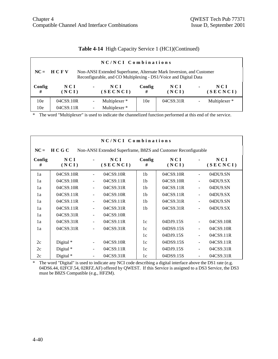| Table 4-14 High Capacity Service 1 (HC1)(Continued) |  |  |  |  |  |  |
|-----------------------------------------------------|--|--|--|--|--|--|
|-----------------------------------------------------|--|--|--|--|--|--|

| NC/NCI Combinations |                                                                                                                                                       |                |                          |                 |              |                          |                          |  |  |  |
|---------------------|-------------------------------------------------------------------------------------------------------------------------------------------------------|----------------|--------------------------|-----------------|--------------|--------------------------|--------------------------|--|--|--|
|                     | $NC = HC$<br>Non-ANSI Extended Superframe, Alternate Mark Inversion, and Customer<br>Reconfigurable, and CO Multiplexing - DS1/Voice and Digital Data |                |                          |                 |              |                          |                          |  |  |  |
| Config<br>#         | N C I<br>(NCI)                                                                                                                                        | $\blacksquare$ | NCI<br>(SECNCI)          | Config<br>#     | NCI<br>(NCI) | $\blacksquare$           | NCI<br>(SECNCI)          |  |  |  |
| 10 <sub>e</sub>     | 04CS9.10R                                                                                                                                             |                | Multiplexer *            | 10 <sub>e</sub> | 04CS9.31R    | $\overline{\phantom{a}}$ | Multiplexer <sup>*</sup> |  |  |  |
| 10 <sub>e</sub>     | 04CS9.11R                                                                                                                                             |                | Multiplexer <sup>*</sup> |                 |              |                          |                          |  |  |  |

|             | NC/NCI Combinations                                                       |                          |                   |                |              |                          |                   |  |  |  |
|-------------|---------------------------------------------------------------------------|--------------------------|-------------------|----------------|--------------|--------------------------|-------------------|--|--|--|
| $NC =$      | H C G C<br>Non-ANSI Extended Superframe, B8ZS and Customer Reconfigurable |                          |                   |                |              |                          |                   |  |  |  |
| Config<br># | NCI<br>(NCI)                                                              |                          | N C I<br>(SECNCI) | Config<br>#    | NCI<br>(NCI) |                          | N C I<br>(SECNCI) |  |  |  |
| 1a          | 04CS9.10R                                                                 | $\blacksquare$           | 04CS9.10R         | 1 <sub>b</sub> | 04CS9.10R    | $\frac{1}{2}$            | 04DU9.SN          |  |  |  |
| 1a          | 04CS9.10R                                                                 | $\overline{\phantom{a}}$ | 04CS9.11R         | 1 <sub>b</sub> | 04CS9.10R    | $\overline{\phantom{a}}$ | 04DU9.SX          |  |  |  |
| 1a          | 04CS9.10R                                                                 | $\blacksquare$           | 04CS9.31R         | 1 <sub>b</sub> | 04CS9.11R    | $\overline{\phantom{a}}$ | 04DU9.SN          |  |  |  |
| 1a          | 04CS9.11R                                                                 | $\blacksquare$           | 04CS9.10R         | 1 <sub>b</sub> | 04CS9.11R    | $\overline{\phantom{a}}$ | 04DU9.SX          |  |  |  |
| 1a          | 04CS9.11R                                                                 | $\overline{\phantom{a}}$ | 04CS9.11R         | 1 <sub>b</sub> | 04CS9.31R    | $\overline{\phantom{a}}$ | 04DU9.SN          |  |  |  |
| 1a          | 04CS9.11R                                                                 | $\overline{\phantom{a}}$ | 04CS9.31R         | 1 <sub>b</sub> | 04CS9.31R    | $\blacksquare$           | 04DU9.SX          |  |  |  |
| 1a          | 04CS9.31R                                                                 | $\blacksquare$           | 04CS9.10R         |                |              |                          |                   |  |  |  |
| 1a          | 04CS9.31R                                                                 | $\blacksquare$           | 04CS9.11R         | 1c             | 04DJ9.15S    | $\overline{\phantom{a}}$ | 04CS9.10R         |  |  |  |
| 1a          | 04CS9.31R                                                                 | $\overline{\phantom{a}}$ | 04CS9.31R         | 1c             | 04DS9.15S    | $\overline{\phantom{a}}$ | 04CS9.10R         |  |  |  |
|             |                                                                           |                          |                   | 1c             | 04DJ9.15S    | $\overline{\phantom{a}}$ | 04CS9.11R         |  |  |  |
| 2c          | Digital $*$                                                               | $\blacksquare$           | 04CS9.10R         | 1c             | 04DS9.15S    | $\overline{\phantom{a}}$ | 04CS9.11R         |  |  |  |
| 2c          | Digital *                                                                 | $\overline{\phantom{a}}$ | 04CS9.11R         | 1c             | 04DJ9.15S    | $\overline{\phantom{a}}$ | 04CS9.31R         |  |  |  |
| 2c          | Digital *                                                                 | $\blacksquare$           | 04CS9.31R         | 1c             | 04DS9.15S    | $\blacksquare$           | 04CS9.31R         |  |  |  |

\* The word "Digital" is used to indicate any NCI code describing a digital interface above the DS1 rate (e.g. 04DS6.44, 02FCF.54, 02RFZ.AF) offered by QWEST. If this Service is assigned to a DS3 Service, the DS3 must be B8ZS Compatible (e.g., HFZM).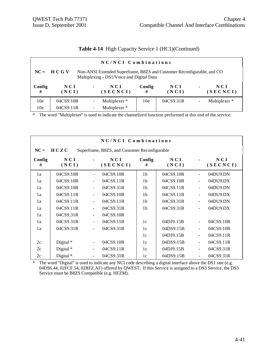|  |  |  |  |  | Table 4-14 High Capacity Service 1 (HC1)(Continued) |
|--|--|--|--|--|-----------------------------------------------------|
|--|--|--|--|--|-----------------------------------------------------|

|                 | NC/NCI Combinations                                                                                                                  |                |                          |             |              |                |                 |  |  |  |  |
|-----------------|--------------------------------------------------------------------------------------------------------------------------------------|----------------|--------------------------|-------------|--------------|----------------|-----------------|--|--|--|--|
|                 | $NC = HC G V$<br>Non-ANSI Extended Superframe, B8ZS and Customer Reconfigurable, and CO<br>Multiplexing - DS1/Voice and Digital Data |                |                          |             |              |                |                 |  |  |  |  |
| Config<br>#     | NCI<br>(NCI)                                                                                                                         | $\blacksquare$ | NCI<br>(SECNCI)          | Config<br># | NCI<br>(NCI) | $\blacksquare$ | NCI<br>(SECNCI) |  |  |  |  |
| 10 <sub>e</sub> | 04CS9.10R                                                                                                                            |                | Multiplexer *            | 10e         | 04CS9.31R    | $\blacksquare$ | Multiplexer *   |  |  |  |  |
| 10e             | 04CS9.11R                                                                                                                            |                | Multiplexer <sup>*</sup> |             |              |                |                 |  |  |  |  |

|             | NC/NCI Combinations |                          |                                               |                |              |                          |                 |  |  |  |
|-------------|---------------------|--------------------------|-----------------------------------------------|----------------|--------------|--------------------------|-----------------|--|--|--|
| $NC =$      | H C Z C             |                          | Superframe, B8ZS, and Customer Reconfigurable |                |              |                          |                 |  |  |  |
| Config<br># | NCI<br>(NCI)        |                          | N C I<br>(SECNCI)                             | Config<br>#    | NCI<br>(NCI) |                          | NCI<br>(SECNCI) |  |  |  |
| 1a          | 04CS9.10R           | $\blacksquare$           | 04CS9.10R                                     | 1 <sub>b</sub> | 04CS9.10R    | $\overline{a}$           | 04DU9.DN        |  |  |  |
| 1a          | 04CS9.10R           |                          | 04CS9.11R                                     | 1 <sub>b</sub> | 04CS9.10R    | $\overline{\phantom{a}}$ | 04DU9.DX        |  |  |  |
| 1a          | 04CS9.10R           | $\blacksquare$           | 04CS9.31R                                     | 1 <sub>b</sub> | 04CS9.11R    | $\frac{1}{2}$            | 04DU9.DN        |  |  |  |
| 1a          | 04CS9.11R           | $\overline{\phantom{a}}$ | 04CS9.10R                                     | 1 <sub>b</sub> | 04CS9.11R    | $\overline{a}$           | 04DU9.DX        |  |  |  |
| 1a          | 04CS9.11R           | $\overline{\phantom{a}}$ | 04CS9.11R                                     | 1 <sub>b</sub> | 04CS9.31R    | $\ddot{\phantom{1}}$     | 04DU9.DN        |  |  |  |
| 1a          | 04CS9.11R           | $\blacksquare$           | 04CS9.31R                                     | 1 <sub>b</sub> | 04CS9.31R    | $\overline{a}$           | 04DU9.DX        |  |  |  |
| 1a          | 04CS9.31R           | $\blacksquare$           | 04CS9.10R                                     |                |              |                          |                 |  |  |  |
| 1a          | 04CS9.31R           | $\blacksquare$           | 04CS9.11R                                     | 1c             | 04DJ9.15B    | $\frac{1}{2}$            | 04CS9.10R       |  |  |  |
| 1a          | 04CS9.31R           | $\blacksquare$           | 04CS9.31R                                     | 1c             | 04DS9.15B    | $\overline{\phantom{a}}$ | 04CS9.10R       |  |  |  |
|             |                     |                          |                                               | 1c             | 04DJ9.15B    | $\frac{1}{2}$            | 04CS9.11R       |  |  |  |
| 2c          | Digital $*$         | $\blacksquare$           | 04CS9.10R                                     | 1c             | 04DS9.15B    | $\blacksquare$           | 04CS9.11R       |  |  |  |
| 2c          | Digital *           | $\overline{\phantom{a}}$ | 04CS9.11R                                     | 1c             | 04DJ9.15B    | $\overline{\phantom{a}}$ | 04CS9.31R       |  |  |  |
| 2c          | Digital *           | $\blacksquare$           | 04CS9.31R                                     | 1c             | 04DS9.15B    | $\frac{1}{2}$            | 04CS9.31R       |  |  |  |

\* The word "Digital" is used to indicate any NCI code describing a digital interface above the DS1 rate (e.g. 04DS6.44, 02FCF.54, 02RFZ.AF) offered by QWEST. If this Service is assigned to a DS3 Service, the DS3 Service must be B8ZS Compatible (e.g. HFZM).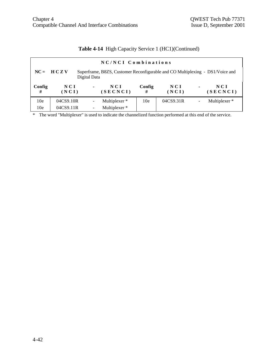| NC/NCI Combinations |                |                |                                                                               |             |                |                |                          |  |  |  |
|---------------------|----------------|----------------|-------------------------------------------------------------------------------|-------------|----------------|----------------|--------------------------|--|--|--|
|                     | $NC = HC Z V$  | Digital Data   | Superframe, B8ZS, Customer Reconfigurable and CO Multiplexing - DS1/Voice and |             |                |                |                          |  |  |  |
| Config<br>#         | N C I<br>(NCI) | $\blacksquare$ | NCI<br>(SECNCI)                                                               | Config<br># | N C I<br>(NCI) | $\blacksquare$ | NCI<br>(SECNCI)          |  |  |  |
| 10 <sub>e</sub>     | 04CS9.10R      |                | Multiplexer *                                                                 | 10e         | 04CS9.31R      | ۰              | Multiplexer <sup>*</sup> |  |  |  |
| 10 <sub>e</sub>     | 04CS9.11R      |                | Multiplexer *                                                                 |             |                |                |                          |  |  |  |

#### **Table 4-14** High Capacity Service 1 (HC1)(Continued)

\* The word "Multiplexer" is used to indicate the channelized function performed at this end of the service.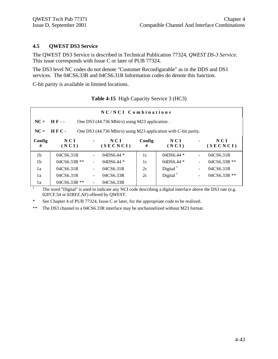†

#### **4.5 QWEST DS3 Service**

The QWEST DS3 Service is described in Technical Publication 77324, *QWEST DS-3 Service.* This issue corresponds with Issue C or later of PUB 77324.

The DS3 level NC codes do not denote "Customer Reconfigurable" as in the DDS and DS1 services. The 04CS6.33R and 04CS6.31R Information codes do denote this function.

C-bit parity is available in limited locations.

| NC/NCI Combinations |                                                                          |                |                 |             |                      |                |                   |  |  |  |
|---------------------|--------------------------------------------------------------------------|----------------|-----------------|-------------|----------------------|----------------|-------------------|--|--|--|
| $NC = HF -$         | One DS3 (44.736 Mbit/s) using M23 application.                           |                |                 |             |                      |                |                   |  |  |  |
| $NC =$              | HFC-<br>One DS3 (44.736 Mbit/s) using M23 application with C-bit parity. |                |                 |             |                      |                |                   |  |  |  |
| Config<br>#         | NCI<br>(NCI)                                                             | $\blacksquare$ | NCI<br>(SECNCI) | Config<br># | N C I<br>(NCI)       | $\blacksquare$ | N C I<br>(SECNCI) |  |  |  |
| 1 <sub>b</sub>      | 04CS6.31R                                                                |                | 04DS6.44 $*$    | 1c          | 04DS6.44 $*$         | $\blacksquare$ | 04CS6.31R         |  |  |  |
| 1 <sub>b</sub>      | 04CS6.33R **                                                             |                | 04DS6.44 *      | 1c          | 04DS6.44 *           | $\blacksquare$ | 04CS6.33R **      |  |  |  |
| 1a                  | 04CS6.31R                                                                | -              | 04CS6.31R       | 2c          | Digital $^{\dagger}$ | $\blacksquare$ | 04CS6.31R         |  |  |  |
| 1a                  | 04CS6.31R                                                                |                | 04CS6.33R       | 2c          | Digital $\dagger$    | $\blacksquare$ | 04CS6.33R **      |  |  |  |
| 1a                  | $04CS6.33R$ **                                                           | ÷              | 04CS6.33R       |             |                      |                |                   |  |  |  |

| <b>Table 4-15</b> High Capacity Service 3 (HC3) |  |  |
|-------------------------------------------------|--|--|
|                                                 |  |  |

The word "Digital" is used to indicate any NCI code describing a digital interface above the DS3 rate (e.g. 02FCF.54 or 02RFZ.AF) offered by QWEST.

\* See Chapter 4 of PUB 77324, Issue C or later, for the appropriate code to be realized.

\*\* The DS3 channel to a 04CS6.33R interface may be unchannelized without M23 format.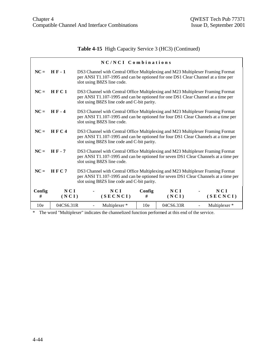#### **Table 4-15** High Capacity Service 3 (HC3) (Continued)

|                 |              |                                                                                                                                                                                                                       | NC/NCI Combinations                                                                                                                                                                                                  |                 |              |  |                        |  |  |
|-----------------|--------------|-----------------------------------------------------------------------------------------------------------------------------------------------------------------------------------------------------------------------|----------------------------------------------------------------------------------------------------------------------------------------------------------------------------------------------------------------------|-----------------|--------------|--|------------------------|--|--|
| $NC =$          | $H F - 1$    |                                                                                                                                                                                                                       | DS3 Channel with Central Office Multiplexing and M23 Multiplexer Framing Format<br>per ANSI T1.107-1995 and can be optioned for one DS1 Clear Channel at a time per<br>slot using B8ZS line code.                    |                 |              |  |                        |  |  |
| $NC =$          | HFC1         |                                                                                                                                                                                                                       | DS3 Channel with Central Office Multiplexing and M23 Multiplexer Framing Format<br>per ANSI T1.107-1995 and can be optioned for one DS1 Clear Channel at a time per<br>slot using B8ZS line code and C-bit parity.   |                 |              |  |                        |  |  |
| $NC =$          | $HF-4$       |                                                                                                                                                                                                                       | DS3 Channel with Central Office Multiplexing and M23 Multiplexer Framing Format<br>per ANSI T1.107-1995 and can be optioned for four DS1 Clear Channels at a time per<br>slot using B8ZS line code.                  |                 |              |  |                        |  |  |
| $NC =$          | HFC4         |                                                                                                                                                                                                                       | DS3 Channel with Central Office Multiplexing and M23 Multiplexer Framing Format<br>per ANSI T1.107-1995 and can be optioned for four DS1 Clear Channels at a time per<br>slot using B8ZS line code and C-bit parity. |                 |              |  |                        |  |  |
| $NC =$          | HF-7         |                                                                                                                                                                                                                       | DS3 Channel with Central Office Multiplexing and M23 Multiplexer Framing Format<br>per ANSI T1.107-1995 and can be optioned for seven DS1 Clear Channels at a time per<br>slot using B8ZS line code.                 |                 |              |  |                        |  |  |
| $NC =$          | HFC7         | DS3 Channel with Central Office Multiplexing and M23 Multiplexer Framing Format<br>per ANSI T1.107-1995 and can be optioned for seven DS1 Clear Channels at a time per<br>slot using B8ZS line code and C-bit parity. |                                                                                                                                                                                                                      |                 |              |  |                        |  |  |
| Config<br>#     | NCI<br>(NCI) |                                                                                                                                                                                                                       | NCI<br>(SECNCI)                                                                                                                                                                                                      | Config<br>#     | NCI<br>(NCI) |  | <b>NCI</b><br>(SECNCI) |  |  |
| 10 <sub>e</sub> | 04CS6.31R    |                                                                                                                                                                                                                       | Multiplexer *                                                                                                                                                                                                        | 10 <sub>e</sub> | 04CS6.33R    |  | Multiplexer*           |  |  |

\* The word "Multiplexer" indicates the channelized function performed at this end of the service.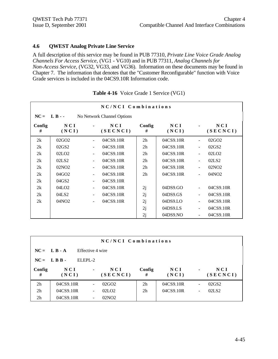#### **4.6 QWEST Analog Private Line Service**

A full description of this service may be found in PUB 77310, *Private Line Voice Grade Analog Channels For Access Service,* (VG1 - VG10) and in PUB 77311, *Analog Channels for Non-Access Service,* (VG32, VG33, and VG36). Information on these documents may be found in Chapter 7. The information that denotes that the "Customer Reconfigurable" function with Voice Grade services is included in the 04CS9.10R Information code.

|              | NC/NCI Combinations |        |                            |                |              |                          |                   |  |  |  |
|--------------|---------------------|--------|----------------------------|----------------|--------------|--------------------------|-------------------|--|--|--|
| $NC = L B -$ |                     |        | No Network Channel Options |                |              |                          |                   |  |  |  |
| Config<br>#  | NCI<br>(NCI)        |        | N C I<br>(SECNCI)          | Config<br>#    | NCI<br>(NCI) |                          | N C I<br>(SECNCI) |  |  |  |
| 2k           | 02GO <sub>2</sub>   |        | 04CS9.10R                  | 2 <sub>h</sub> | 04CS9.10R    |                          | 02GO <sub>2</sub> |  |  |  |
| 2k           | 02GS2               |        | 04CS9.10R                  | 2 <sub>h</sub> | 04CS9.10R    | $\overline{\phantom{0}}$ | 02GS2             |  |  |  |
| 2k           | 02LO2               | $\sim$ | 04CS9.10R                  | 2 <sub>h</sub> | 04CS9.10R    | $\blacksquare$           | 02LO2             |  |  |  |
| 2k           | 02LS <sub>2</sub>   |        | 04CS9.10R                  | 2 <sub>h</sub> | 04CS9.10R    |                          | 02LS2             |  |  |  |
| 2k           | 02NO <sub>2</sub>   |        | 04CS9.10R                  | 2 <sub>h</sub> | 04CS9.10R    |                          | 02NO <sub>2</sub> |  |  |  |
| 2k           | 04GO <sub>2</sub>   |        | 04CS9.10R                  | 2 <sub>h</sub> | 04CS9.10R    | $\blacksquare$           | 04NO <sub>2</sub> |  |  |  |
| 2k           | 04GS2               |        | 04CS9.10R                  |                |              |                          |                   |  |  |  |
| 2k           | 04LO <sub>2</sub>   |        | 04CS9.10R                  | 2j             | 04DS9.GO     | $\blacksquare$           | 04CS9.10R         |  |  |  |
| 2k           | 04LS2               |        | 04CS9.10R                  | 2j             | 04DS9.GS     |                          | 04CS9.10R         |  |  |  |
| 2k           | 04NO <sub>2</sub>   |        | 04CS9.10R                  | 2j             | 04DS9.LO     | $\blacksquare$           | 04CS9.10R         |  |  |  |
|              |                     |        |                            | 2j             | 04DS9.LS     | $\blacksquare$           | 04CS9.10R         |  |  |  |
|              |                     |        |                            | 2j             | 04DS9.NO     |                          | 04CS9.10R         |  |  |  |

| Table 4-16 Voice Grade 1 Service (VG1) |  |  |  |  |  |  |
|----------------------------------------|--|--|--|--|--|--|
|----------------------------------------|--|--|--|--|--|--|

|                | NC/NCI Combinations |                  |                   |                |                |                          |                   |  |  |
|----------------|---------------------|------------------|-------------------|----------------|----------------|--------------------------|-------------------|--|--|
|                | $NC = L B - A$      | Effective 4 wire |                   |                |                |                          |                   |  |  |
|                | $NC = LBB -$        | ELEPL-2          |                   |                |                |                          |                   |  |  |
| Config<br>#    | N C I<br>(NCI)      | ٠                | NCI<br>(SECNCI)   | Config<br>#    | N C I<br>(NCI) | $\blacksquare$           | NCI<br>(SECNCI)   |  |  |
| 2 <sub>h</sub> | 04CS9.10R           |                  | 02GO <sub>2</sub> | 2 <sub>h</sub> | 04CS9.10R      | $\blacksquare$           | 02GS2             |  |  |
| 2h             | 04CS9.10R           |                  | 02LO2             | 2 <sub>h</sub> | 04CS9.10R      | $\overline{\phantom{a}}$ | 02LS <sub>2</sub> |  |  |
| 2 <sub>h</sub> | 04CS9.10R           |                  | 02NO <sub>2</sub> |                |                |                          |                   |  |  |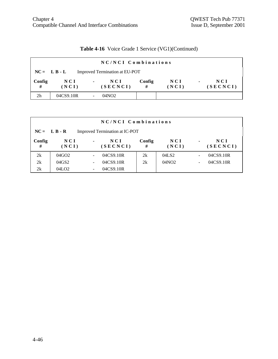# **Table 4-16** Voice Grade 1 Service (VG1)(Continued)

| NC/NCI Combinations                              |              |                                   |             |                |                                   |  |  |  |
|--------------------------------------------------|--------------|-----------------------------------|-------------|----------------|-----------------------------------|--|--|--|
| Improved Termination at EU-POT<br>$NC = L B - L$ |              |                                   |             |                |                                   |  |  |  |
| Config<br>#                                      | NCI<br>(NCI) | NCI<br>$\blacksquare$<br>(SECNCI) | Config<br># | N C I<br>(NCI) | NCI<br>$\blacksquare$<br>(SECNCI) |  |  |  |
| 2 <sub>h</sub>                                   | 04CS9.10R    | 04NO2                             |             |                |                                   |  |  |  |

| NC/NCI Combinations |                   |                |                                |             |              |  |                   |  |  |
|---------------------|-------------------|----------------|--------------------------------|-------------|--------------|--|-------------------|--|--|
|                     | $NC = L B - R$    |                | Improved Termination at IC-POT |             |              |  |                   |  |  |
| Config<br>#         | N C I<br>(NCI)    | $\blacksquare$ | N C I<br>(SECNCI)              | Config<br># | NCI<br>(NCI) |  | N C I<br>(SECNCI) |  |  |
| 2k                  | 04GO <sub>2</sub> |                | 04CS9.10R                      | 2k          | 04LS2        |  | 04CS9.10R         |  |  |
| 2k                  | 04GS2             |                | 04CS9.10R                      | 2k          | 04NO2        |  | 04CS9.10R         |  |  |
| 2k                  | 04LO <sub>2</sub> |                | 04CS9.10R                      |             |              |  |                   |  |  |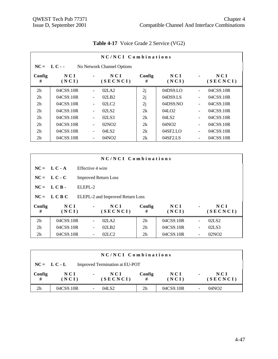|                                            | NC/NCI Combinations |                              |                               |             |                     |                          |                 |  |  |  |
|--------------------------------------------|---------------------|------------------------------|-------------------------------|-------------|---------------------|--------------------------|-----------------|--|--|--|
| $NC = L C -$<br>No Network Channel Options |                     |                              |                               |             |                     |                          |                 |  |  |  |
| Config<br>#                                | N C I<br>(NCI)      | $\blacksquare$               | NCI<br>(SECNCI)               | Config<br># | NCI<br>(NCI)        |                          | NCI<br>(SECNCI) |  |  |  |
| 2 <sub>h</sub>                             | 04CS9.10R           |                              | 02LA2                         | 2j          | 04DS9 <sub>LO</sub> | ÷                        | 04CS9.10R       |  |  |  |
| 2 <sub>h</sub>                             | 04CS9.10R           | $\blacksquare$               | 02LB <sub>2</sub>             | 2j          | 04DS9.LS            | $\overline{\phantom{a}}$ | 04CS9.10R       |  |  |  |
| 2 <sub>h</sub>                             | 04CS9.10R           | ۰                            | 02 <sub>L</sub> <sub>C2</sub> | 2j          | 04DS9.NO            | $\ddot{\phantom{1}}$     | 04CS9.10R       |  |  |  |
| 2 <sub>h</sub>                             | 04CS9.10R           |                              | 02LS <sub>2</sub>             | 2k          | 04LO2               | ÷,                       | 04CS9.10R       |  |  |  |
| 2 <sub>h</sub>                             | 04CS9.10R           | $\overline{\phantom{a}}$     | 02LS3                         | 2k          | 04LS2               | $\blacksquare$           | 04CS9.10R       |  |  |  |
| 2 <sub>h</sub>                             | 04CS9.10R           | $\qquad \qquad \blacksquare$ | 02NO <sub>2</sub>             | 2k          | 04NO <sub>2</sub>   | $\overline{\phantom{a}}$ | 04CS9.10R       |  |  |  |
| 2 <sub>h</sub>                             | 04CS9.10R           | $\overline{\phantom{a}}$     | 04LS2                         | 2k          | 04SF2.LO            | $\overline{\phantom{a}}$ | 04CS9.10R       |  |  |  |
| 2 <sub>h</sub>                             | 04CS9.10R           |                              | 04NO <sub>2</sub>             | 2k          | 04SF2.LS            |                          | 04CS9.10R       |  |  |  |

# **Table 4-17** Voice Grade 2 Service (VG2)

|                | NC/NCI Combinations |                             |                                  |                |              |                |                   |  |
|----------------|---------------------|-----------------------------|----------------------------------|----------------|--------------|----------------|-------------------|--|
|                | $NC = L.C - A$      | Effective 4 wire            |                                  |                |              |                |                   |  |
|                | $NC = LC - C$       | <b>Improved Return Loss</b> |                                  |                |              |                |                   |  |
| $NC =$         | LCB-                | ELEPL-2                     |                                  |                |              |                |                   |  |
|                | $NC = LCB C$        |                             | ELEPL-2 and Improved Return Loss |                |              |                |                   |  |
| Config<br>#    | NCI<br>(NCI)        | $\blacksquare$              | NCI<br>(SECNCI)                  | Config<br>#    | NCI<br>(NCI) | $\blacksquare$ | N C I<br>(SECNCI) |  |
| 2 <sub>h</sub> | 04CS9.10R           |                             | 02LA2                            | 2 <sub>h</sub> | 04CS9.10R    |                | 02LS <sub>2</sub> |  |
| 2 <sub>h</sub> | 04CS9.10R           |                             | 02LB2                            | 2 <sub>h</sub> | 04CS9.10R    |                | 02LS3             |  |
| 2 <sub>h</sub> | 04CS9.10R           |                             | 02 <sub>L</sub> <sub>C2</sub>    | 2 <sub>h</sub> | 04CS9.10R    |                | 02NO <sub>2</sub> |  |

| NC/NCI Combinations                              |                |                                   |                |                |                |                 |  |  |
|--------------------------------------------------|----------------|-----------------------------------|----------------|----------------|----------------|-----------------|--|--|
| Improved Termination at EU-POT<br>$NC = L C - L$ |                |                                   |                |                |                |                 |  |  |
| Config<br>#                                      | N C I<br>(NCI) | NCI<br>$\blacksquare$<br>(SECNCI) | Config<br>#    | N C I<br>(NCI) | $\blacksquare$ | NCI<br>(SECNCI) |  |  |
| 2h                                               | 04CS9.10R      | 04LS2                             | 2 <sub>h</sub> | 04CS9.10R      | -              | 04NO2           |  |  |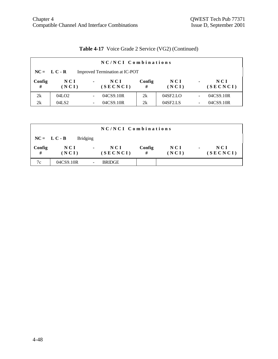|             | NC/NCI Combinations |                |                                |             |              |                |                 |  |  |  |
|-------------|---------------------|----------------|--------------------------------|-------------|--------------|----------------|-----------------|--|--|--|
|             | $NC = L C - R$      |                | Improved Termination at IC-POT |             |              |                |                 |  |  |  |
| Config<br># | NCI<br>(NCI)        | $\blacksquare$ | N C I<br>(SECNCI)              | Config<br># | NCI<br>(NCI) | $\blacksquare$ | NCI<br>(SECNCI) |  |  |  |
| 2k          | 04LO <sub>2</sub>   |                | 04CS9.10R                      | 2k          | 04SF2.LO     |                | 04CS9.10R       |  |  |  |
| 2k          | 04LS2               |                | 04CS9.10R                      | 2k          | 04SF2.LS     |                | 04CS9.10R       |  |  |  |

# **Table 4-17** Voice Grade 2 Service (VG2) (Continued)

| NC/NCI Combinations |                |                 |                 |             |                |                |                   |  |  |  |
|---------------------|----------------|-----------------|-----------------|-------------|----------------|----------------|-------------------|--|--|--|
|                     | $NC = L C - B$ | <b>Bridging</b> |                 |             |                |                |                   |  |  |  |
| Config<br>#         | N C I<br>(NCI) | $\blacksquare$  | NCI<br>(SECNCI) | Config<br># | N C I<br>(NCI) | $\blacksquare$ | N C I<br>(SECNCI) |  |  |  |
| 7c                  | 04CS9.10R      |                 | <b>BRIDGE</b>   |             |                |                |                   |  |  |  |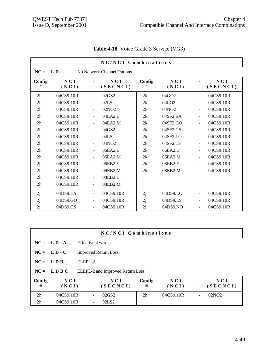|                | NC/NCI Combinations |                          |                            |             |                   |                          |                 |  |  |  |
|----------------|---------------------|--------------------------|----------------------------|-------------|-------------------|--------------------------|-----------------|--|--|--|
| $NC =$         | $LD - -$            |                          | No Network Channel Options |             |                   |                          |                 |  |  |  |
| Config<br>#    | NCI<br>(NCI)        |                          | NCI<br>(SECNCI)            | Config<br># | NCI<br>(NCI)      |                          | NCI<br>(SECNCI) |  |  |  |
| 2h             | 04CS9.10R           | $\blacksquare$           | 02GS2                      | 2k          | 04GO2             | $\blacksquare$           | 04CS9.10R       |  |  |  |
| 2h             | 04CS9.10R           |                          | 02LS2                      | 2k          | 04LO <sub>2</sub> |                          | 04CS9.10R       |  |  |  |
| 2 <sub>h</sub> | 04CS9.10R           | $\overline{\phantom{a}}$ | 02NO <sub>2</sub>          | 2k          | 04NO2             | $\overline{\phantom{a}}$ | 04CS9.10R       |  |  |  |
| 2 <sub>h</sub> | 04CS9.10R           | $\blacksquare$           | 04EA2.E                    | 2k          | 04SF2.EA          | $\overline{\phantom{a}}$ | 04CS9.10R       |  |  |  |
| 2h             | 04CS9.10R           |                          | 04EA2.M                    | 2k          | 04SF2.GO          | ä,                       | 04CS9.10R       |  |  |  |
| 2h             | 04CS9.10R           |                          | 04GS2                      | 2k          | 04SF2.GS          | $\overline{\phantom{a}}$ | 04CS9.10R       |  |  |  |
| 2h             | 04CS9.10R           | $\blacksquare$           | 04LS2                      | 2k          | 04SF2.LO          | $\overline{\phantom{a}}$ | 04CS9.10R       |  |  |  |
| 2 <sub>h</sub> | 04CS9.10R           |                          | 04NO <sub>2</sub>          | 2k          | 04SF2.LS          | $\overline{a}$           | 04CS9.10R       |  |  |  |
| 2 <sub>h</sub> | 04CS9.10R           | $\blacksquare$           | 06EA2.E                    | 2k          | 06EA2.E           | $\blacksquare$           | 04CS9.10R       |  |  |  |
| 2 <sub>h</sub> | 04CS9.10R           | $\overline{\phantom{a}}$ | 06EA2.M                    | 2k          | 06EA2.M           | $\overline{\phantom{a}}$ | 04CS9.10R       |  |  |  |
| 2 <sub>h</sub> | 04CS9.10R           | $\overline{\phantom{a}}$ | 06EB2.E                    | 2k          | 08EB2.E           | ÷,                       | 04CS9.10R       |  |  |  |
| 2 <sub>h</sub> | 04CS9.10R           | $\overline{\phantom{a}}$ | 06EB2.M                    | 2k          | 08EB2.M           | $\blacksquare$           | 04CS9.10R       |  |  |  |
| 2 <sub>h</sub> | 04CS9.10R           | $\overline{\phantom{a}}$ | 08EB2.E                    |             |                   |                          |                 |  |  |  |
| 2 <sub>h</sub> | 04CS9.10R           | $\tilde{\phantom{a}}$    | 08EB2.M                    |             |                   |                          |                 |  |  |  |
| 2j             | 04DS9.EA            | $\blacksquare$           | 04CS9.10R                  | 2j          | 04DS9.LO          | $\blacksquare$           | 04CS9.10R       |  |  |  |
| 2j             | 04DS9.GO            | $\overline{\phantom{a}}$ | 04CS9.10R                  | 2j          | 04DS9.LS          | $\blacksquare$           | 04CS9.10R       |  |  |  |
| 2j             | 04DS9.GS            | $\overline{\phantom{a}}$ | 04CS9.10R                  | 2j          | 04DS9.NO          | $\blacksquare$           | 04CS9.10R       |  |  |  |

#### **Table 4-18** Voice Grade 3 Service (VG3)

| NC/NCI Combinations |                |                             |                                  |                |              |                |                 |  |
|---------------------|----------------|-----------------------------|----------------------------------|----------------|--------------|----------------|-----------------|--|
|                     | $NC = L D - A$ | Effective 4 wire            |                                  |                |              |                |                 |  |
|                     | $NC = L D - C$ | <b>Improved Return Loss</b> |                                  |                |              |                |                 |  |
|                     | $NC = LDR$ .   | $ELEPI - 2$                 |                                  |                |              |                |                 |  |
|                     | $NC = LDBC$    |                             | ELEPL-2 and Improved Return Loss |                |              |                |                 |  |
| Config<br>#         | NCI<br>(NCI)   | $\blacksquare$              | NCI<br>(SECNCI)                  | Config<br>#    | NCI<br>(NCI) | $\blacksquare$ | NCI<br>(SECNCI) |  |
| 2h                  | 04CS9.10R      |                             | 02GS2                            | 2 <sub>h</sub> | 04CS9.10R    |                | 02NO2           |  |
| 2 <sub>h</sub>      | 04CS9.10R      |                             | 02LS <sub>2</sub>                |                |              |                |                 |  |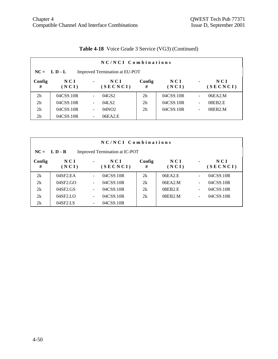|                                                  | NC/NCI Combinations |                          |                   |                |              |                              |                   |  |  |  |
|--------------------------------------------------|---------------------|--------------------------|-------------------|----------------|--------------|------------------------------|-------------------|--|--|--|
| $NC = L D - L$<br>Improved Termination at EU-POT |                     |                          |                   |                |              |                              |                   |  |  |  |
| Config<br>#                                      | N C I<br>(NCI)      | $\blacksquare$           | NCI<br>(SECNCI)   | Config<br>#    | NCI<br>(NCI) | $\blacksquare$               | N C I<br>(SECNCI) |  |  |  |
| 2 <sub>h</sub>                                   | 04CS9.10R           | ٠                        | 04GS2             | 2 <sub>h</sub> | 04CS9.10R    | $\blacksquare$               | 06EA2.M           |  |  |  |
| 2 <sub>h</sub>                                   | 04CS9.10R           | $\overline{\phantom{a}}$ | 04LS2             | 2 <sub>h</sub> | 04CS9.10R    | $\overline{\phantom{a}}$     | 08EB2.E           |  |  |  |
| 2 <sub>h</sub>                                   | 04CS9.10R           | $\overline{\phantom{a}}$ | 04NO <sub>2</sub> | 2 <sub>h</sub> | 04CS9.10R    | $\qquad \qquad \blacksquare$ | 08EB2.M           |  |  |  |
| 2 <sub>h</sub>                                   | 04CS9.10R           | $\overline{\phantom{a}}$ | 06EA2.E           |                |              |                              |                   |  |  |  |

# **Table 4-18** Voice Grade 3 Service (VG3) (Continued)

|                                                  | NC/NCI Combinations      |                          |                 |             |              |                              |                   |  |  |  |
|--------------------------------------------------|--------------------------|--------------------------|-----------------|-------------|--------------|------------------------------|-------------------|--|--|--|
| $NC = L D - R$<br>Improved Termination at IC-POT |                          |                          |                 |             |              |                              |                   |  |  |  |
| Config<br>#                                      | N C I<br>(NCI)           | $\blacksquare$           | NCI<br>(SECNCI) | Config<br># | NCI<br>(NCI) | $\blacksquare$               | N C I<br>(SECNCI) |  |  |  |
| 2k                                               | 04SF2.EA                 |                          | 04CS9.10R       | 2k          | 06EA2.E      | $\qquad \qquad \blacksquare$ | 04CS9.10R         |  |  |  |
| 2k                                               | 04SF2.GO                 | $\overline{\phantom{a}}$ | 04CS9.10R       | 2k          | 06EA2.M      | $\overline{\phantom{a}}$     | 04CS9.10R         |  |  |  |
| 2k                                               | 04SF2.GS                 | $\overline{\phantom{a}}$ | 04CS9.10R       | 2k          | 08EB2.E      | $\overline{\phantom{a}}$     | 04CS9.10R         |  |  |  |
| 2k                                               | $04$ SF <sub>2</sub> .LO | $\overline{\phantom{0}}$ | 04CS9.10R       | 2k          | 08EB2.M      | $\overline{\phantom{a}}$     | 04CS9.10R         |  |  |  |
| 2k                                               | 04SF2.LS                 |                          | 04CS9.10R       |             |              |                              |                   |  |  |  |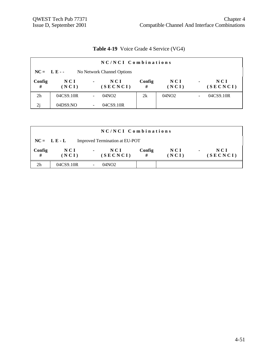| <b>Table 4-19</b> Voice Grade 4 Service (VG4) |  |  |  |  |
|-----------------------------------------------|--|--|--|--|
|-----------------------------------------------|--|--|--|--|

|                | NC/NCI Combinations                       |                                     |             |                   |                                       |  |  |  |  |
|----------------|-------------------------------------------|-------------------------------------|-------------|-------------------|---------------------------------------|--|--|--|--|
|                | $NC = LE -$<br>No Network Channel Options |                                     |             |                   |                                       |  |  |  |  |
| Config<br>#    | N C I<br>(NCI)                            | N C I<br>$\blacksquare$<br>(SECNCI) | Config<br># | N C I<br>(NCI)    | N C I<br>$\blacksquare$<br>(SECNCI)   |  |  |  |  |
| 2 <sub>h</sub> | 04CS9.10R                                 | 04NO <sub>2</sub>                   | 2k          | 04NO <sub>2</sub> | 04CS9.10R<br>$\overline{\phantom{a}}$ |  |  |  |  |
| 2j             | 04DS9.NO                                  | 04CS9.10R                           |             |                   |                                       |  |  |  |  |

|                | NC/NCI Combinations                              |                                   |             |                |                                   |  |  |  |  |  |
|----------------|--------------------------------------------------|-----------------------------------|-------------|----------------|-----------------------------------|--|--|--|--|--|
|                | Improved Termination at EU-POT<br>$NC = L E - L$ |                                   |             |                |                                   |  |  |  |  |  |
| Config<br>#    | NCI<br>(NCI)                                     | NCI<br>$\blacksquare$<br>(SECNCI) | Config<br># | N C I<br>(NCI) | NCI<br>$\blacksquare$<br>(SECNCI) |  |  |  |  |  |
| 2 <sub>h</sub> | 04CS9.10R                                        | 04NO <sub>2</sub>                 |             |                |                                   |  |  |  |  |  |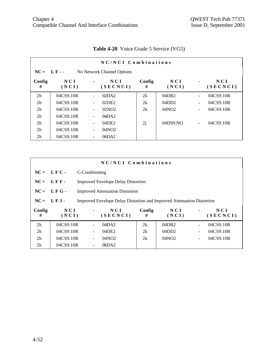|                | NC/NCI Combinations                       |                          |                 |             |              |                          |                 |  |  |  |  |
|----------------|-------------------------------------------|--------------------------|-----------------|-------------|--------------|--------------------------|-----------------|--|--|--|--|
|                | $NC = LF -$<br>No Network Channel Options |                          |                 |             |              |                          |                 |  |  |  |  |
| Config<br>#    | N C I<br>(NCI)                            | $\blacksquare$           | NCI<br>(SECNCI) | Config<br># | NCI<br>(NCI) | $\blacksquare$           | NCI<br>(SECNCI) |  |  |  |  |
| 2 <sub>h</sub> | 04CS9.10R                                 | $\blacksquare$           | 02DA2           | 2k          | 04DB2        | $\overline{\phantom{0}}$ | 04CS9.10R       |  |  |  |  |
| 2 <sub>h</sub> | 04CS9.10R                                 | $\overline{\phantom{a}}$ | 02DE2           | 2k          | 04DD2        | $\overline{\phantom{a}}$ | 04CS9.10R       |  |  |  |  |
| 2 <sub>h</sub> | 04CS9.10R                                 | $\overline{\phantom{a}}$ | 02NO2           | 2k          | 04NO2        | $\overline{\phantom{a}}$ | 04CS9.10R       |  |  |  |  |
| 2 <sub>h</sub> | 04CS9.10R                                 | $\overline{\phantom{a}}$ | 04DA2           |             |              |                          |                 |  |  |  |  |
| 2 <sub>h</sub> | 04CS9.10R                                 | $\overline{\phantom{a}}$ | 04DE2           | 2j          | 04DS9.NO     | $\overline{\phantom{a}}$ | 04CS9.10R       |  |  |  |  |
| 2 <sub>h</sub> | 04CS9.10R                                 | $\overline{\phantom{a}}$ | 04NO2           |             |              |                          |                 |  |  |  |  |
| 2 <sub>h</sub> | 04CS9.10R                                 | $\overline{\phantom{a}}$ | 06DA2           |             |              |                          |                 |  |  |  |  |

# **Table 4-20** Voice Grade 5 Service (VG5)

|                | NC/NCI Combinations                                                                           |                |                                           |             |              |                          |                 |  |
|----------------|-----------------------------------------------------------------------------------------------|----------------|-------------------------------------------|-------------|--------------|--------------------------|-----------------|--|
|                | $NC = LFC -$                                                                                  | C-Conditioning |                                           |             |              |                          |                 |  |
| $NC =$         | LFF-                                                                                          |                | <b>Improved Envelope Delay Distortion</b> |             |              |                          |                 |  |
| $NC =$         | LFG-                                                                                          |                | <b>Improved Attenuation Distortion</b>    |             |              |                          |                 |  |
|                | $NC = LFJ -$<br><b>Improved Envelope Delay Distortion and Improved Attenuation Distortion</b> |                |                                           |             |              |                          |                 |  |
| Config<br>#    | NCI<br>(NCI)                                                                                  | $\blacksquare$ | NCI<br>(SECNCI)                           | Config<br># | NCI<br>(NCI) | $\blacksquare$           | NCI<br>(SECNCI) |  |
| 2 <sub>h</sub> | 04CS9.10R                                                                                     |                | 04DA2                                     | 2k          | 04DB2        | $\blacksquare$           | 04CS9.10R       |  |
| 2 <sub>h</sub> | 04CS9.10R                                                                                     |                | 04DE2                                     | 2k          | 04DD2        | $\blacksquare$           | 04CS9.10R       |  |
| 2 <sub>h</sub> | 04CS9.10R                                                                                     |                | 04NO2                                     | 2k          | 04NO2        | $\overline{\phantom{a}}$ | 04CS9.10R       |  |
| 2 <sub>h</sub> | 04CS9.10R                                                                                     |                | 06DA2                                     |             |              |                          |                 |  |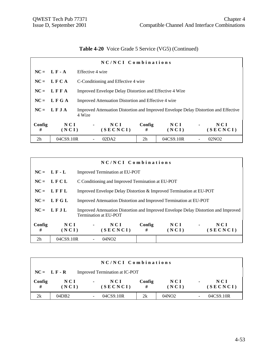# **Table 4-20** Voice Grade 5 Service (VG5) (Continued)

| NC/NCI Combinations |               |                                                                                                |                                                         |                |                |                 |  |
|---------------------|---------------|------------------------------------------------------------------------------------------------|---------------------------------------------------------|----------------|----------------|-----------------|--|
|                     | $NC = LF - A$ | Effective 4 wire                                                                               |                                                         |                |                |                 |  |
|                     | $NC = LFCA$   |                                                                                                | C-Conditioning and Effective 4 wire                     |                |                |                 |  |
|                     | $NC = LFFA$   |                                                                                                | Improved Envelope Delay Distortion and Effective 4 Wire |                |                |                 |  |
|                     | $NC = LFGA$   | Improved Attenuation Distortion and Effective 4 wire                                           |                                                         |                |                |                 |  |
|                     | $NC = LFJA$   | Improved Attenuation Distortion and Improved Envelope Delay Distortion and Effective<br>4 Wire |                                                         |                |                |                 |  |
| Config<br>#         | NCI<br>(NCI)  | NCI<br>$\blacksquare$<br>(SECNCI)                                                              | Config<br>#                                             | N C I<br>(NCI) | $\blacksquare$ | NCI<br>(SECNCI) |  |
| 2h                  | 04CS9.10R     | 02DA2                                                                                          | 2 <sub>h</sub>                                          | 04CS9.10R      |                | 02NO2           |  |

|                | NC/NCI Combinations |                       |                                                   |             |                                                                     |                |                                                                                     |  |
|----------------|---------------------|-----------------------|---------------------------------------------------|-------------|---------------------------------------------------------------------|----------------|-------------------------------------------------------------------------------------|--|
|                | $NC = LF - L$       |                       | Improved Termination at EU-POT                    |             |                                                                     |                |                                                                                     |  |
|                | $NC = LFCL$         |                       | C Conditioning and Improved Termination at EU-POT |             |                                                                     |                |                                                                                     |  |
|                | $NC = LFFL$         |                       |                                                   |             | Improved Envelope Delay Distortion & Improved Termination at EU-POT |                |                                                                                     |  |
|                | $NC = LFGL$         |                       |                                                   |             | Improved Attenuation Distortion and Improved Termination at EU-POT  |                |                                                                                     |  |
|                | $NC = LFJL$         | Termination at EU-POT |                                                   |             |                                                                     |                | Improved Attenuation Distortion and Improved Envelope Delay Distortion and Improved |  |
| Config<br>#    | NCI<br>(NCI)        | $\blacksquare$        | NCI<br>(SECNCI)                                   | Config<br># | NCI<br>(NCI)                                                        | $\blacksquare$ | NCI<br>(SECNCI)                                                                     |  |
| 2 <sub>h</sub> | 04CS9.10R           |                       | 04NO2                                             |             |                                                                     |                |                                                                                     |  |

|             | NC/NCI Combinations                             |                           |             |                |                |                 |  |  |
|-------------|-------------------------------------------------|---------------------------|-------------|----------------|----------------|-----------------|--|--|
|             | Improved Termination at IC-POT<br>$NC = LF - R$ |                           |             |                |                |                 |  |  |
| Config<br># | N C I<br>(NCI)                                  | NCI<br>$\sim$<br>(SECNCI) | Config<br># | N C I<br>(NCI) | $\blacksquare$ | NCI<br>(SECNCI) |  |  |
| 2k          | 04DB2                                           | 04CS9.10R                 | 2k          | 04NO2          |                | 04CS9.10R       |  |  |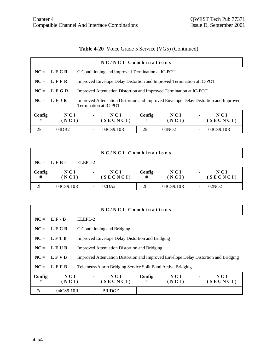# **Table 4-20** Voice Grade 5 Service (VG5) (Continued)

| NC/NCI Combinations |              |                       |                                                                       |             |              |                |                                                                                     |  |
|---------------------|--------------|-----------------------|-----------------------------------------------------------------------|-------------|--------------|----------------|-------------------------------------------------------------------------------------|--|
|                     | $NC = LFCR$  |                       | C Conditioning and Improved Termination at IC-POT                     |             |              |                |                                                                                     |  |
|                     | $NC = LFFR$  |                       | Improved Envelope Delay Distortion and Improved Termination at IC-POT |             |              |                |                                                                                     |  |
|                     | $NC = LFGR$  |                       | Improved Attenuation Distortion and Improved Termination at IC-POT    |             |              |                |                                                                                     |  |
|                     | $NC = LFJR$  | Termination at IC-POT |                                                                       |             |              |                | Improved Attenuation Distortion and Improved Envelope Delay Distortion and Improved |  |
| Config<br>#         | NCI<br>(NCI) | $\blacksquare$        | NCI<br>(SECNCI)                                                       | Config<br># | NCI<br>(NCI) | $\blacksquare$ | NCI<br>(SECNCI)                                                                     |  |
| 2k                  | 04DB2        |                       | 04CS9.10R                                                             | 2k          | 04NO2        |                | 04CS9.10R                                                                           |  |

|                | NC/NCI Combinations |                |                        |                |                |                |                   |  |
|----------------|---------------------|----------------|------------------------|----------------|----------------|----------------|-------------------|--|
| $NC = LFB -$   |                     | $ELEPI - 2$    |                        |                |                |                |                   |  |
| Config<br>#    | NCI<br>(NCI)        | $\blacksquare$ | <b>NCI</b><br>(SECNCI) | Config<br>#    | N C I<br>(NCI) | $\blacksquare$ | N C I<br>(SECNCI) |  |
| 2 <sub>h</sub> | 04CS9.10R           |                | 02DA2                  | 2 <sub>h</sub> | 04CS9.10R      |                | 02NO2             |  |

| NC/NCI Combinations |                |                                                                                     |                                                     |              |                                   |  |  |
|---------------------|----------------|-------------------------------------------------------------------------------------|-----------------------------------------------------|--------------|-----------------------------------|--|--|
|                     | $NC = L F - B$ | ELEPL-2                                                                             |                                                     |              |                                   |  |  |
|                     | $NC = LFCB$    | C Conditioning and Bridging                                                         |                                                     |              |                                   |  |  |
| $NC =$              | LFTB           | <b>Improved Envelope Delay Distortion and Bridging</b>                              |                                                     |              |                                   |  |  |
| $NC =$              | LFUB           |                                                                                     | <b>Improved Attenuation Distortion and Bridging</b> |              |                                   |  |  |
|                     | $NC = L F V B$ | Improved Attenuation Distortion and Improved Envelope Delay Distortion and Bridging |                                                     |              |                                   |  |  |
|                     | $NC = LFFB$    | Telemetry/Alarm Bridging Service Split Band Active Bridging                         |                                                     |              |                                   |  |  |
| Config<br>#         | NCI<br>(NCI)   | NCI<br>$\blacksquare$<br>(SECNCI)                                                   | Config<br>#                                         | NCI<br>(NCI) | NCI<br>$\blacksquare$<br>(SECNCI) |  |  |
| 7c                  | 04CS9.10R      | <b>BRIDGE</b>                                                                       |                                                     |              |                                   |  |  |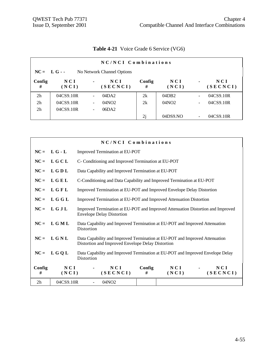|                                            | NC/NCI Combinations |                          |                 |             |              |                          |                   |  |  |
|--------------------------------------------|---------------------|--------------------------|-----------------|-------------|--------------|--------------------------|-------------------|--|--|
| $NC = L G -$<br>No Network Channel Options |                     |                          |                 |             |              |                          |                   |  |  |
| Config<br>#                                | N C I<br>(NCI)      | $\blacksquare$           | NCI<br>(SECNCI) | Config<br># | NCI<br>(NCI) | $\blacksquare$           | N C I<br>(SECNCI) |  |  |
| 2 <sub>h</sub>                             | 04CS9.10R           |                          | 04DA2           | 2k          | 04DB2        | ÷,                       | 04CS9.10R         |  |  |
| 2 <sub>h</sub>                             | 04CS9.10R           | $\overline{\phantom{a}}$ | 04NO2           | 2k          | 04NO2        | $\overline{\phantom{a}}$ | 04CS9.10R         |  |  |
| 2 <sub>h</sub>                             | 04CS9.10R           |                          | 06DA2           |             |              |                          |                   |  |  |
|                                            |                     |                          |                 | 2j          | 04DS9.NO     | ۰                        | 04CS9.10R         |  |  |

# **Table 4-21** Voice Grade 6 Service (VG6)

|                |              | NC/NCI Combinations                                                                                                              |  |  |  |  |  |
|----------------|--------------|----------------------------------------------------------------------------------------------------------------------------------|--|--|--|--|--|
| $NC =$         | $L G - L$    | Improved Termination at EU-POT                                                                                                   |  |  |  |  |  |
| $NC =$         | LGCL         | C- Conditioning and Improved Termination at EU-POT                                                                               |  |  |  |  |  |
| $NC =$         | L G D L      | Data Capability and Improved Termination at EU-POT                                                                               |  |  |  |  |  |
| $NC =$         | LGEL         | C-Conditioning and Data Capability and Improved Termination at EU-POT                                                            |  |  |  |  |  |
| $NC =$         | LGFL         | Improved Termination at EU-POT and Improved Envelope Delay Distortion                                                            |  |  |  |  |  |
| $NC =$         | L G G L      | Improved Termination at EU-POT and Improved Attenuation Distortion                                                               |  |  |  |  |  |
| $NC =$         | LGJL         | Improved Termination at EU-POT and Improved Attenuation Distortion and Improved<br><b>Envelope Delay Distortion</b>              |  |  |  |  |  |
| $NC =$         | LGML         | Data Capability and Improved Termination at EU-POT and Improved Attenuation<br>Distortion                                        |  |  |  |  |  |
| $NC =$         | LGNL         | Data Capability and Improved Termination at EU-POT and Improved Attenuation<br>Distortion and Improved Envelope Delay Distortion |  |  |  |  |  |
| $NC =$         | L G Q L      | Data Capability and Improved Termination at EU-POT and Improved Envelope Delay<br>Distortion                                     |  |  |  |  |  |
| Config<br>#    | NCI<br>(NCI) | Config<br>N C I<br>NCI<br>N C I<br>(SECNCI)<br>(SECNCI)<br>#<br>(NCI)                                                            |  |  |  |  |  |
| 2 <sub>h</sub> | 04CS9.10R    | 04NO <sub>2</sub><br>$\blacksquare$                                                                                              |  |  |  |  |  |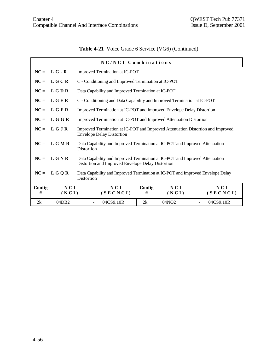# **Table 4-21** Voice Grade 6 Service (VG6) (Continued)

|             |              | NC/NCI Combinations                                                                                                              |                                                                    |                   |  |                 |  |  |
|-------------|--------------|----------------------------------------------------------------------------------------------------------------------------------|--------------------------------------------------------------------|-------------------|--|-----------------|--|--|
| $NC =$      | $L G - R$    |                                                                                                                                  | Improved Termination at IC-POT                                     |                   |  |                 |  |  |
| $NC =$      | L G C R      | C - Conditioning and Improved Termination at IC-POT                                                                              |                                                                    |                   |  |                 |  |  |
| $NC =$      | <b>LGDR</b>  | Data Capability and Improved Termination at IC-POT                                                                               |                                                                    |                   |  |                 |  |  |
| $NC =$      | LGER         | C - Conditioning and Data Capability and Improved Termination at IC-POT                                                          |                                                                    |                   |  |                 |  |  |
| $NC =$      | LGFR         | Improved Termination at IC-POT and Improved Envelope Delay Distortion                                                            |                                                                    |                   |  |                 |  |  |
| $NC =$      | L G G R      |                                                                                                                                  | Improved Termination at IC-POT and Improved Attenuation Distortion |                   |  |                 |  |  |
| $NC =$      | L G J R      | Improved Termination at IC-POT and Improved Attenuation Distortion and Improved<br><b>Envelope Delay Distortion</b>              |                                                                    |                   |  |                 |  |  |
| $NC =$      | L G M R      | Data Capability and Improved Termination at IC-POT and Improved Attenuation<br>Distortion                                        |                                                                    |                   |  |                 |  |  |
| $NC =$      | LGNR         | Data Capability and Improved Termination at IC-POT and Improved Attenuation<br>Distortion and Improved Envelope Delay Distortion |                                                                    |                   |  |                 |  |  |
| $NC =$      | L G Q R      | Data Capability and Improved Termination at IC-POT and Improved Envelope Delay<br>Distortion                                     |                                                                    |                   |  |                 |  |  |
| Config<br># | NCI<br>(NCI) | NCI<br>(SECNCI)                                                                                                                  | Config<br>#                                                        | NCI<br>(NCI)      |  | NCI<br>(SECNCI) |  |  |
| 2k          | 04DB2        | 04CS9.10R                                                                                                                        | 2k                                                                 | 04NO <sub>2</sub> |  | 04CS9.10R       |  |  |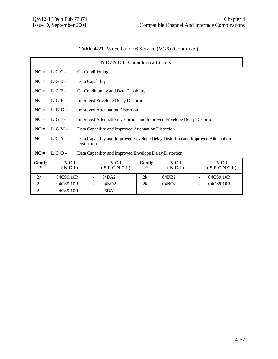|  | Table 4-21 Voice Grade 6 Service (VG6) (Continued) |  |  |  |
|--|----------------------------------------------------|--|--|--|
|--|----------------------------------------------------|--|--|--|

|                | NC/NCI Combinations |                  |                                                                                 |             |                   |  |                 |  |
|----------------|---------------------|------------------|---------------------------------------------------------------------------------|-------------|-------------------|--|-----------------|--|
|                | $NC = L G C -$      | C - Conditioning |                                                                                 |             |                   |  |                 |  |
| $NC =$         | LGD-                | Data Capability  |                                                                                 |             |                   |  |                 |  |
|                | $NC = LGE$          |                  | C - Conditioning and Data Capability                                            |             |                   |  |                 |  |
|                | $NC = LGF -$        |                  | <b>Improved Envelope Delay Distortion</b>                                       |             |                   |  |                 |  |
|                | $NC = L G G$ .      |                  | <b>Improved Attenuation Distortion</b>                                          |             |                   |  |                 |  |
| $NC =$         | LGJ-                |                  | Improved Attenuation Distortion and Improved Envelope Delay Distortion          |             |                   |  |                 |  |
|                | $NC = L G M$        |                  | Data Capability and Improved Attenuation Distortion                             |             |                   |  |                 |  |
| $NC =$         | LGN-                | Distortion       | Data Capability and Improved Envelope Delay Distortion and Improved Attenuation |             |                   |  |                 |  |
| $NC =$         | $LGO -$             |                  | Data Capability and Improved Envelope Delay Distortion                          |             |                   |  |                 |  |
| Config<br>#    | NCI<br>(NCI)        |                  | NCI<br>(SECNCI)                                                                 | Config<br># | NCI<br>(NCI)      |  | NCI<br>(SECNCI) |  |
| 2h             | 04CS9.10R           |                  | 04DA2                                                                           | 2k          | 04DB2             |  | 04CS9.10R       |  |
| 2 <sub>h</sub> | 04CS9.10R           |                  | 04NO <sub>2</sub>                                                               | 2k          | 04NO <sub>2</sub> |  | 04CS9.10R       |  |
| 2 <sub>h</sub> | 04CS9.10R           | $\blacksquare$   | 06DA2                                                                           |             |                   |  |                 |  |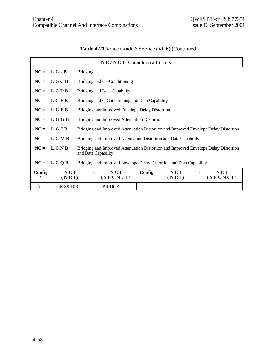| <b>Table 4-21</b> Voice Grade 6 Service (VG6) (Continued) |  |  |  |  |  |
|-----------------------------------------------------------|--|--|--|--|--|
|-----------------------------------------------------------|--|--|--|--|--|

|             | NC/NCI Combinations |                                                                                                            |  |  |  |  |  |
|-------------|---------------------|------------------------------------------------------------------------------------------------------------|--|--|--|--|--|
|             | $NC = L G - B$      | <b>Bridging</b>                                                                                            |  |  |  |  |  |
|             | $NC = L G C B$      | Bridging and C - Conditioning                                                                              |  |  |  |  |  |
| $NC =$      | L G D B             | Bridging and Data Capability                                                                               |  |  |  |  |  |
|             | $NC = LGEB$         | Bridging and C-Conditioning and Data Capability                                                            |  |  |  |  |  |
|             | $NC = L G F B$      | Bridging and Improved Envelope Delay Distortion                                                            |  |  |  |  |  |
| $NC =$      | L G G B             | Bridging and Improved Attenuation Distortion                                                               |  |  |  |  |  |
|             | $NC = L G J B$      | Bridging and Improved Attenuation Distortion and Improved Envelope Delay Distortion                        |  |  |  |  |  |
|             | $NC = L G M B$      | Bridging and Improved Attenuation Distortion and Data Capability                                           |  |  |  |  |  |
|             | $NC = L G N B$      | Bridging and Improved Attenuation Distortion and Improved Envelope Delay Distortion<br>and Data Capability |  |  |  |  |  |
| $NC =$      | L G Q B             | Bridging and Improved Envelope Delay Distortion and Data Capability                                        |  |  |  |  |  |
| Config<br># | NCI<br>(NCI)        | NCI<br>Config<br>NCI<br>NCI<br>(SECNCI)<br>(SECNCI)<br>#<br>(NCI)                                          |  |  |  |  |  |
| 7c          | 04CS9.10R           | <b>BRIDGE</b>                                                                                              |  |  |  |  |  |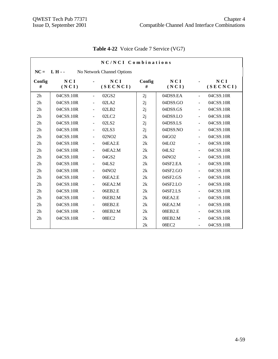|                | NC/NCI Combinations |                          |                            |             |                   |                          |                 |  |
|----------------|---------------------|--------------------------|----------------------------|-------------|-------------------|--------------------------|-----------------|--|
| $NC =$         | $LH -$              |                          | No Network Channel Options |             |                   |                          |                 |  |
| Config<br>#    | NCI<br>(NCI)        |                          | <b>NCI</b><br>(SECNCI)     | Config<br># | NCI<br>(NCI)      |                          | NCI<br>(SECNCI) |  |
| 2 <sub>h</sub> | 04CS9.10R           | ä,                       | 02GS2                      | 2j          | 04DS9.EA          | $\equiv$                 | 04CS9.10R       |  |
| 2h             | 04CS9.10R           | $\overline{a}$           | 02LA2                      | 2j          | 04DS9.GO          | $\overline{a}$           | 04CS9.10R       |  |
| 2h             | 04CS9.10R           | $\overline{\phantom{a}}$ | 02LB2                      | 2j          | 04DS9.GS          | $\overline{\phantom{a}}$ | 04CS9.10R       |  |
| 2h             | 04CS9.10R           | $\blacksquare$           | 02LC2                      | 2j          | 04DS9.LO          | $\blacksquare$           | 04CS9.10R       |  |
| 2h             | 04CS9.10R           | $\blacksquare$           | 02LS2                      | 2j          | 04DS9.LS          | $\equiv$                 | 04CS9.10R       |  |
| 2h             | 04CS9.10R           | $\blacksquare$           | 02LS3                      | 2j          | 04DS9.NO          | $\blacksquare$           | 04CS9.10R       |  |
| 2h             | 04CS9.10R           | $\blacksquare$           | 02NO <sub>2</sub>          | 2k          | 04GO2             | $\blacksquare$           | 04CS9.10R       |  |
| 2h             | 04CS9.10R           | $\overline{\phantom{a}}$ | 04EA2.E                    | 2k          | 04LO <sub>2</sub> | $\blacksquare$           | 04CS9.10R       |  |
| 2 <sub>h</sub> | 04CS9.10R           | $\blacksquare$           | 04EA2.M                    | 2k          | 04LS2             | $\blacksquare$           | 04CS9.10R       |  |
| 2 <sub>h</sub> | 04CS9.10R           | $\overline{\phantom{a}}$ | 04GS2                      | 2k          | 04NO2             | $\blacksquare$           | 04CS9.10R       |  |
| 2h             | 04CS9.10R           | $\blacksquare$           | 04LS2                      | 2k          | 04SF2.EA          | $\blacksquare$           | 04CS9.10R       |  |
| 2h             | 04CS9.10R           | $\overline{\phantom{a}}$ | 04NO <sub>2</sub>          | 2k          | 04SF2.GO          | $\blacksquare$           | 04CS9.10R       |  |
| 2h             | 04CS9.10R           | $\blacksquare$           | 06EA2.E                    | 2k          | 04SF2.GS          | $\blacksquare$           | 04CS9.10R       |  |
| 2h             | 04CS9.10R           | $\blacksquare$           | 06EA2.M                    | 2k          | 04SF2.LO          | $\blacksquare$           | 04CS9.10R       |  |
| 2h             | 04CS9.10R           | $\overline{\phantom{a}}$ | 06EB2.E                    | 2k          | 04SF2.LS          | $\blacksquare$           | 04CS9.10R       |  |
| 2h             | 04CS9.10R           | $\overline{\phantom{a}}$ | 06EB2.M                    | 2k          | 06EA2.E           | $\overline{\phantom{a}}$ | 04CS9.10R       |  |
| 2h             | 04CS9.10R           | $\overline{\phantom{a}}$ | 08EB2.E                    | 2k          | 06EA2.M           | $\overline{\phantom{a}}$ | 04CS9.10R       |  |
| 2 <sub>h</sub> | 04CS9.10R           | $\frac{1}{2}$            | 08EB2.M                    | 2k          | 08EB2.E           | $\frac{1}{2}$            | 04CS9.10R       |  |
| 2h             | 04CS9.10R           | $\blacksquare$           | 08EC2                      | 2k          | 08EB2.M           | $\overline{\phantom{a}}$ | 04CS9.10R       |  |
|                |                     |                          |                            | 2k          | 08EC2             | ÷,                       | 04CS9.10R       |  |

# **Table 4-22** Voice Grade 7 Service (VG7)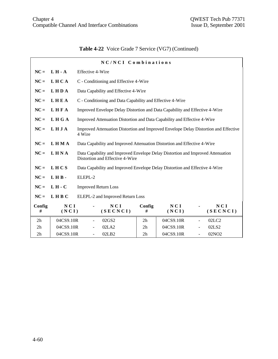# **Table 4-22** Voice Grade 7 Service (VG7) (Continued)

|                |                     |                              | NC/NCI Combinations                                                                                                |                |              |                          |                   |
|----------------|---------------------|------------------------------|--------------------------------------------------------------------------------------------------------------------|----------------|--------------|--------------------------|-------------------|
| $NC =$         | $L H - A$           | <b>Effective 4-Wire</b>      |                                                                                                                    |                |              |                          |                   |
| $NC =$         | LHCA                |                              | C - Conditioning and Effective 4-Wire                                                                              |                |              |                          |                   |
| $NC =$         | <b>LHDA</b>         |                              | Data Capability and Effective 4-Wire                                                                               |                |              |                          |                   |
| $NC =$         | LHEA                |                              | C - Conditioning and Data Capability and Effective 4-Wire                                                          |                |              |                          |                   |
| $NC =$         | LHFA                |                              | Improved Envelope Delay Distortion and Data Capability and Effective 4-Wire                                        |                |              |                          |                   |
| $NC =$         | LHGA                |                              | Improved Attenuation Distortion and Data Capability and Effective 4-Wire                                           |                |              |                          |                   |
| $NC =$         | LHJA                | 4 Wire                       | Improved Attenuation Distortion and Improved Envelope Delay Distortion and Effective                               |                |              |                          |                   |
| $NC =$         | <b>LHMA</b>         |                              | Data Capability and Improved Attenuation Distortion and Effective 4-Wire                                           |                |              |                          |                   |
| $NC =$         | LHNA                |                              | Data Capability and Improved Envelope Delay Distortion and Improved Attenuation<br>Distortion and Effective 4-Wire |                |              |                          |                   |
| $NC =$         | LHCS                |                              | Data Capability and Improved Envelope Delay Distortion and Effective 4-Wire                                        |                |              |                          |                   |
| $NC =$         | LHB-                | ELEPL-2                      |                                                                                                                    |                |              |                          |                   |
| $NC =$         | $L H - C$           | <b>Improved Return Loss</b>  |                                                                                                                    |                |              |                          |                   |
| $NC =$         | LHBC                |                              | ELEPL-2 and Improved Return Loss                                                                                   |                |              |                          |                   |
| Config<br>#    | <b>NCI</b><br>(NCI) |                              | NCI<br>(SECNCI)                                                                                                    | Config<br>#    | NCI<br>(NCI) |                          | NCI<br>(SECNCI)   |
| 2 <sub>h</sub> | 04CS9.10R           | $\blacksquare$               | 02GS2                                                                                                              | 2 <sub>h</sub> | 04CS9.10R    | $\blacksquare$           | 02LC2             |
| 2h             | 04CS9.10R           | $\qquad \qquad \blacksquare$ | 02LA2                                                                                                              | 2h             | 04CS9.10R    | $\overline{\phantom{0}}$ | 02LS2             |
| 2h             | 04CS9.10R           |                              | 02LB2                                                                                                              | 2h             | 04CS9.10R    |                          | 02NO <sub>2</sub> |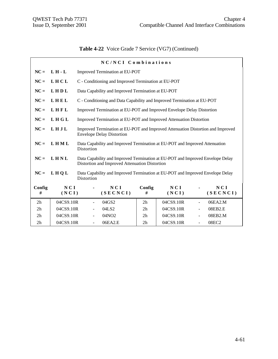# **Table 4-22** Voice Grade 7 Service (VG7) (Continued)

|                |              |                | NC/NCI Combinations                                                                                                              |                |              |                |                 |
|----------------|--------------|----------------|----------------------------------------------------------------------------------------------------------------------------------|----------------|--------------|----------------|-----------------|
| $NC =$         | $L H - L$    |                | Improved Termination at EU-POT                                                                                                   |                |              |                |                 |
| $NC =$         | LHCL         |                | C - Conditioning and Improved Termination at EU-POT                                                                              |                |              |                |                 |
| $NC =$         | LHDL         |                | Data Capability and Improved Termination at EU-POT                                                                               |                |              |                |                 |
| $NC =$         | LHEL         |                | C - Conditioning and Data Capability and Improved Termination at EU-POT                                                          |                |              |                |                 |
| $NC =$         | LHFL         |                | Improved Termination at EU-POT and Improved Envelope Delay Distortion                                                            |                |              |                |                 |
| $NC =$         | LHGL         |                | Improved Termination at EU-POT and Improved Attenuation Distortion                                                               |                |              |                |                 |
| $NC =$         | LHJL         |                | Improved Termination at EU-POT and Improved Attenuation Distortion and Improved<br><b>Envelope Delay Distortion</b>              |                |              |                |                 |
| $NC =$         | LHML         | Distortion     | Data Capability and Improved Termination at EU-POT and Improved Attenuation                                                      |                |              |                |                 |
| $NC =$         | LHNL         |                | Data Capability and Improved Termination at EU-POT and Improved Envelope Delay<br>Distortion and Improved Attenuation Distortion |                |              |                |                 |
| $NC =$         | LHQL         | Distortion     | Data Capability and Improved Termination at EU-POT and Improved Envelope Delay                                                   |                |              |                |                 |
| Config<br>#    | NCI<br>(NCI) |                | NCI<br>(SECNCI)                                                                                                                  | Config<br>#    | NCI<br>(NCI) |                | NCI<br>(SECNCI) |
| 2h             | 04CS9.10R    |                | 04GS2                                                                                                                            | 2h             | 04CS9.10R    | $\mathbf{r}$   | 06EA2.M         |
| 2 <sub>h</sub> | 04CS9.10R    |                | 04LS2                                                                                                                            | 2 <sub>h</sub> | 04CS9.10R    | $\blacksquare$ | 08EB2.E         |
| 2h             | 04CS9.10R    | $\blacksquare$ | 04NO <sub>2</sub>                                                                                                                | 2 <sub>h</sub> | 04CS9.10R    | $\blacksquare$ | 08EB2.M         |
| 2h             | 04CS9.10R    | $\blacksquare$ | 06EA2.E                                                                                                                          | 2h             | 04CS9.10R    | $\blacksquare$ | 08EC2           |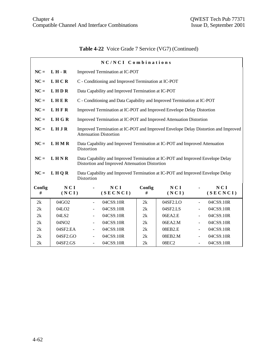# **Table 4-22** Voice Grade 7 Service (VG7) (Continued)

|             |                   |                          | NC/NCI Combinations                                                                                                              |             |              |                          |                 |
|-------------|-------------------|--------------------------|----------------------------------------------------------------------------------------------------------------------------------|-------------|--------------|--------------------------|-----------------|
| $NC =$      | $L H - R$         |                          | Improved Termination at IC-POT                                                                                                   |             |              |                          |                 |
| $NC =$      | LHCR              |                          | C - Conditioning and Improved Termination at IC-POT                                                                              |             |              |                          |                 |
| $NC =$      | LHDR              |                          | Data Capability and Improved Termination at IC-POT                                                                               |             |              |                          |                 |
| $NC =$      | LHER              |                          | C - Conditioning and Data Capability and Improved Termination at IC-POT                                                          |             |              |                          |                 |
| $NC =$      | LHFR              |                          | Improved Termination at IC-POT and Improved Envelope Delay Distortion                                                            |             |              |                          |                 |
| $NC =$      | LHGR              |                          | Improved Termination at IC-POT and Improved Attenuation Distortion                                                               |             |              |                          |                 |
|             |                   |                          |                                                                                                                                  |             |              |                          |                 |
| $NC =$      | LHJR              |                          | Improved Termination at IC-POT and Improved Envelope Delay Distortion and Improved<br><b>Attenuation Distortion</b>              |             |              |                          |                 |
| $NC =$      | <b>LHMR</b>       | Distortion               | Data Capability and Improved Termination at IC-POT and Improved Attenuation                                                      |             |              |                          |                 |
| $NC =$      | LHNR              |                          | Data Capability and Improved Termination at IC-POT and Improved Envelope Delay<br>Distortion and Improved Attenuation Distortion |             |              |                          |                 |
| $NC =$      | LHQR              | Distortion               | Data Capability and Improved Termination at IC-POT and Improved Envelope Delay                                                   |             |              |                          |                 |
| Config<br># | NCI<br>(NCI)      |                          | NCI<br>(SECNCI)                                                                                                                  | Config<br># | NCI<br>(NCI) |                          | NCI<br>(SECNCI) |
| 2k          | 04GO2             |                          | 04CS9.10R                                                                                                                        | 2k          | 04SF2.LO     | $\overline{\phantom{a}}$ | 04CS9.10R       |
| 2k          | 04LO <sub>2</sub> |                          | 04CS9.10R                                                                                                                        | 2k          | 04SF2.LS     |                          | 04CS9.10R       |
| 2k          | 04LS2             |                          | 04CS9.10R                                                                                                                        | 2k          | 06EA2.E      |                          | 04CS9.10R       |
| 2k          | 04NO2             | $\overline{\phantom{a}}$ | 04CS9.10R                                                                                                                        | 2k          | 06EA2.M      | $\blacksquare$           | 04CS9.10R       |
| 2k          | 04SF2.EA          | $\blacksquare$           | 04CS9.10R                                                                                                                        | 2k          | 08EB2.E      | ÷.                       | 04CS9.10R       |
| 2k          | 04SF2.GO          |                          | 04CS9.10R                                                                                                                        | 2k          | 08EB2.M      |                          | 04CS9.10R       |
| 2k          | 04SF2.GS          | $\blacksquare$           | 04CS9.10R                                                                                                                        | 2k          | 08EC2        | $\equiv$                 | 04CS9.10R       |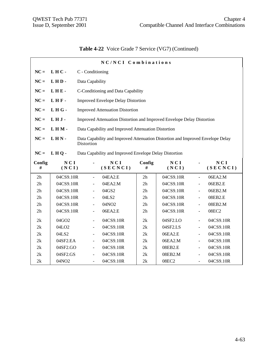|  | Table 4-22 Voice Grade 7 Service (VG7) (Continued) |  |  |  |
|--|----------------------------------------------------|--|--|--|
|--|----------------------------------------------------|--|--|--|

|        | NC/NCI Combinations |                          |                                                                                 |             |              |                |                        |
|--------|---------------------|--------------------------|---------------------------------------------------------------------------------|-------------|--------------|----------------|------------------------|
| $NC =$ | LHC-                | C - Conditioning         |                                                                                 |             |              |                |                        |
| $NC =$ | LHD-                | Data Capability          |                                                                                 |             |              |                |                        |
| $NC =$ | LHE-                |                          | C-Conditioning and Data Capability                                              |             |              |                |                        |
| $NC =$ | LHF-                |                          | <b>Improved Envelope Delay Distortion</b>                                       |             |              |                |                        |
|        |                     |                          |                                                                                 |             |              |                |                        |
| $NC =$ | LHG-                |                          | <b>Improved Attenuation Distortion</b>                                          |             |              |                |                        |
| $NC =$ | LHJ-                |                          | Improved Attenuation Distortion and Improved Envelope Delay Distortion          |             |              |                |                        |
| $NC =$ | LHM-                |                          | Data Capability and Improved Attenuation Distortion                             |             |              |                |                        |
| $NC =$ | LHN-                |                          | Data Capability and Improved Attenuation Distortion and Improved Envelope Delay |             |              |                |                        |
|        |                     | Distortion               |                                                                                 |             |              |                |                        |
| $NC =$ | LHQ-                |                          | Data Capability and Improved Envelope Delay Distortion                          |             |              |                |                        |
| Config | NCI                 |                          |                                                                                 |             |              |                |                        |
| #      | (NCI)               | ä,                       | NCI<br>(SECNCI)                                                                 | Config<br># | NCI<br>(NCI) |                | <b>NCI</b><br>(SECNCI) |
| 2h     | 04CS9.10R           | $\blacksquare$           | 04EA2.E                                                                         | 2h          | 04CS9.10R    | $\blacksquare$ | 06EA2.M                |
| 2h     | 04CS9.10R           | $\overline{\phantom{a}}$ | 04EA2.M                                                                         | 2h          | 04CS9.10R    | $\blacksquare$ | 06EB2.E                |
| 2h     | 04CS9.10R           | $\blacksquare$           | 04GS2                                                                           | 2h          | 04CS9.10R    | $\frac{1}{2}$  | 06EB2.M                |
| 2h     | 04CS9.10R           | $\overline{\phantom{a}}$ | 04LS2                                                                           | 2h          | 04CS9.10R    | $\blacksquare$ | 08EB2.E                |
| 2h     | 04CS9.10R           | $\frac{1}{2}$            | 04NO2                                                                           | 2h          | 04CS9.10R    | ÷,             | 08EB2.M                |
| 2h     | 04CS9.10R           | $\overline{\phantom{0}}$ | 06EA2.E                                                                         | 2h          | 04CS9.10R    | ÷,             | 08EC2                  |
| 2k     | 04GO2               | ÷,                       | 04CS9.10R                                                                       | 2k          | 04SF2.LO     | ÷,             | 04CS9.10R              |
| 2k     | 04LO <sub>2</sub>   | ÷,                       | 04CS9.10R                                                                       | 2k          | 04SF2.LS     | ÷,             | 04CS9.10R              |
| 2k     | 04LS2               | $\overline{\phantom{a}}$ | 04CS9.10R                                                                       | 2k          | 06EA2.E      | $\blacksquare$ | 04CS9.10R              |
| 2k     | 04SF2.EA            | $\blacksquare$           | 04CS9.10R                                                                       | 2k          | 06EA2.M      | $\blacksquare$ | 04CS9.10R              |
| 2k     | 04SF2.GO            | $\equiv$                 | 04CS9.10R                                                                       | 2k          | 08EB2.E      | $\overline{a}$ | 04CS9.10R              |
| 2k     | 04SF2.GS            | $\blacksquare$           | 04CS9.10R                                                                       | 2k          | 08EB2.M      | $\blacksquare$ | 04CS9.10R              |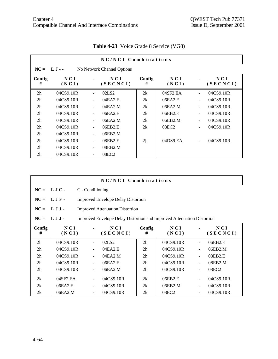|                |              |                          | NC/NCI Combinations        |             |                          |                              |                   |
|----------------|--------------|--------------------------|----------------------------|-------------|--------------------------|------------------------------|-------------------|
| $NC = LJ -$    |              |                          | No Network Channel Options |             |                          |                              |                   |
| Config<br>#    | NCI<br>(NCI) |                          | NCI<br>(SECNCI)            | Config<br># | N C I<br>(NCI)           |                              | N C I<br>(SECNCI) |
| 2 <sub>h</sub> | 04CS9.10R    | $\blacksquare$           | 02LS <sub>2</sub>          | 2k          | $04$ SF <sub>2</sub> .EA | ÷,                           | 04CS9.10R         |
| 2 <sub>h</sub> | 04CS9.10R    | $\overline{\phantom{a}}$ | 04EA2.E                    | 2k          | 06EA2.E                  | $\qquad \qquad \blacksquare$ | 04CS9.10R         |
| 2 <sub>h</sub> | 04CS9.10R    | $\blacksquare$           | 04EA2.M                    | 2k          | 06EA2.M                  | ÷,                           | 04CS9.10R         |
| 2 <sub>h</sub> | 04CS9.10R    |                          | 06EA2.E                    | 2k          | 06EB2.E                  | ÷,                           | 04CS9.10R         |
| 2 <sub>h</sub> | 04CS9.10R    | $\blacksquare$           | 06EA2.M                    | 2k          | 06EB2.M                  | $\qquad \qquad \blacksquare$ | 04CS9.10R         |
| 2 <sub>h</sub> | 04CS9.10R    | $\overline{\phantom{a}}$ | 06EB2.E                    | 2k          | 08EC <sub>2</sub>        | $\qquad \qquad \blacksquare$ | 04CS9.10R         |
| 2 <sub>h</sub> | 04CS9.10R    | $\blacksquare$           | 06EB2.M                    |             |                          |                              |                   |
| 2 <sub>h</sub> | 04CS9.10R    | $\blacksquare$           | 08EB2.E                    | 2j          | 04DS9.EA                 | $\overline{a}$               | 04CS9.10R         |
| 2 <sub>h</sub> | 04CS9.10R    | $\overline{\phantom{a}}$ | 08EB2.M                    |             |                          |                              |                   |
| 2 <sub>h</sub> | 04CS9.10R    |                          | 08EC <sub>2</sub>          |             |                          |                              |                   |

# **Table 4-23** Voice Grade 8 Service (VG8)

|                |              |                          | NC/NCI Combinations                                                           |                |              |                |                   |
|----------------|--------------|--------------------------|-------------------------------------------------------------------------------|----------------|--------------|----------------|-------------------|
| $NC =$         | LJC-         | C - Conditioning         |                                                                               |                |              |                |                   |
| $NC =$         | LJF-         |                          | <b>Improved Envelope Delay Distortion</b>                                     |                |              |                |                   |
| $NC =$         | $LJJ$ -      |                          | <b>Improved Attenuation Distortion</b>                                        |                |              |                |                   |
| $NC =$         | $LJJ$ .      |                          | <b>Improved Envelope Delay Distortion and Improved Attenuation Distortion</b> |                |              |                |                   |
| Config<br>#    | NCI<br>(NCI) |                          | NCI<br>(SECNCI)                                                               | Config<br>#    | NCI<br>(NCI) |                | N C I<br>(SECNCI) |
| 2h             | 04CS9.10R    | $\blacksquare$           | 02LS <sub>2</sub>                                                             | 2 <sub>h</sub> | 04CS9.10R    |                | 06EB2.E           |
| 2 <sub>h</sub> | 04CS9.10R    |                          | 04EA2.E                                                                       | 2 <sub>h</sub> | 04CS9.10R    |                | 06EB2.M           |
| 2 <sub>h</sub> | 04CS9.10R    |                          | 04EA2.M                                                                       | 2 <sub>h</sub> | 04CS9.10R    |                | 08EB2.E           |
| 2 <sub>h</sub> | 04CS9.10R    |                          | 06EA2.E                                                                       | 2 <sub>h</sub> | 04CS9.10R    |                | 08EB2.M           |
| 2 <sub>h</sub> | 04CS9.10R    | $\blacksquare$           | 06EA2.M                                                                       | 2 <sub>h</sub> | 04CS9.10R    | $\blacksquare$ | 08EC2             |
| 2k             | 04SF2.EA     |                          | 04CS9.10R                                                                     | 2k             | 06EB2.E      |                | 04CS9.10R         |
| 2k             | 06EA2.E      |                          | 04CS9.10R                                                                     | 2k             | 06EB2.M      |                | 04CS9.10R         |
| 2k             | 06EA2.M      | $\overline{\phantom{a}}$ | 04CS9.10R                                                                     | 2k             | 08EC2        |                | 04CS9.10R         |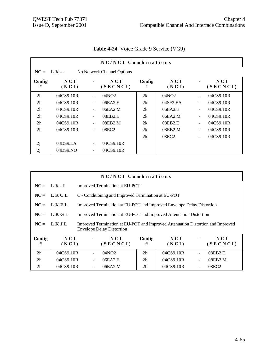|                |              |                          | NC/NCI Combinations        |             |                          |                |                 |
|----------------|--------------|--------------------------|----------------------------|-------------|--------------------------|----------------|-----------------|
| $NC = LK -$    |              |                          | No Network Channel Options |             |                          |                |                 |
| Config<br>#    | NCI<br>(NCI) |                          | NCI<br>(SECNCI)            | Config<br># | N C I<br>(NCI)           |                | NCI<br>(SECNCI) |
| 2 <sub>h</sub> | 04CS9.10R    | $\blacksquare$           | 04NO2                      | 2k          | 04NO2                    | $\blacksquare$ | 04CS9.10R       |
| 2 <sub>h</sub> | 04CS9.10R    | $\overline{\phantom{a}}$ | 06EA2.E                    | 2k          | $04$ SF <sub>2</sub> .EA | $\blacksquare$ | 04CS9.10R       |
| 2 <sub>h</sub> | 04CS9.10R    |                          | 06EA2.M                    | 2k          | 06EA2.E                  | $\blacksquare$ | 04CS9.10R       |
| 2 <sub>h</sub> | 04CS9.10R    |                          | 08EB2.E                    | 2k          | 06EA2.M                  | $\blacksquare$ | 04CS9.10R       |
| 2 <sub>h</sub> | 04CS9.10R    |                          | 08EB2.M                    | 2k          | 08EB2.E                  | $\blacksquare$ | 04CS9.10R       |
| 2 <sub>h</sub> | 04CS9.10R    | $\overline{\phantom{a}}$ | 08EC <sub>2</sub>          | 2k          | 08EB2.M                  | $\blacksquare$ | 04CS9.10R       |
|                |              |                          |                            | 2k          | 08EC <sub>2</sub>        | $\blacksquare$ | 04CS9.10R       |
| 2j             | 04DS9.EA     | $\overline{\phantom{a}}$ | 04CS9.10R                  |             |                          |                |                 |
| 2j             | 04DS9.NO     |                          | 04CS9.10R                  |             |                          |                |                 |

**Table 4-24** Voice Grade 9 Service (VG9)

|                |               | NC/NCI Combinations                                                                                                 |                |              |  |                   |
|----------------|---------------|---------------------------------------------------------------------------------------------------------------------|----------------|--------------|--|-------------------|
|                | $NC = LK - L$ | Improved Termination at EU-POT                                                                                      |                |              |  |                   |
| $NC =$         | LKCL          | C - Conditioning and Improved Termination at EU-POT                                                                 |                |              |  |                   |
| $NC =$         | LKFL          | Improved Termination at EU-POT and Improved Envelope Delay Distortion                                               |                |              |  |                   |
| $NC =$         | LKGL          | Improved Termination at EU-POT and Improved Attenuation Distortion                                                  |                |              |  |                   |
| $NC =$         | LKJL          | Improved Termination at EU-POT and Improved Attenuation Distortion and Improved<br><b>Envelope Delay Distortion</b> |                |              |  |                   |
| Config<br>#    | NCI<br>(NCI)  | NCI<br>(SECNCI)                                                                                                     | Config<br>#    | NCI<br>(NCI) |  | N C I<br>(SECNCI) |
| 2 <sub>h</sub> | 04CS9.10R     | 04NO <sub>2</sub>                                                                                                   | 2 <sub>h</sub> | 04CS9.10R    |  | 08EB2.E           |
| 2h             | 04CS9.10R     | 06EA2.E                                                                                                             | 2 <sub>h</sub> | 04CS9.10R    |  | 08EB2.M           |
| 2 <sub>h</sub> | 04CS9.10R     | 06EA2.M                                                                                                             | 2 <sub>h</sub> | 04CS9.10R    |  | 08EC <sub>2</sub> |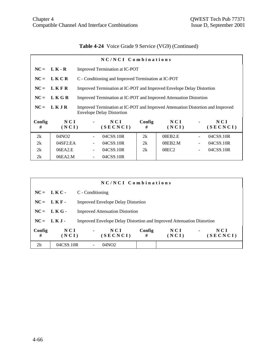# **Table 4-24** Voice Grade 9 Service (VG9) (Continued)

|             |                          | NC/NCI Combinations                                                                                                 |             |                   |   |                   |
|-------------|--------------------------|---------------------------------------------------------------------------------------------------------------------|-------------|-------------------|---|-------------------|
| $NC =$      | L K - R                  | Improved Termination at IC-POT                                                                                      |             |                   |   |                   |
| $NC =$      | LKCR                     | C - Conditioning and Improved Termination at IC-POT                                                                 |             |                   |   |                   |
| $NC =$      | LKFR                     | Improved Termination at IC-POT and Improved Envelope Delay Distortion                                               |             |                   |   |                   |
| $NC =$      | LKGR                     | Improved Termination at IC-POT and Improved Attenuation Distortion                                                  |             |                   |   |                   |
| $NC =$      | LKJR                     | Improved Termination at IC-POT and Improved Attenuation Distortion and Improved<br><b>Envelope Delay Distortion</b> |             |                   |   |                   |
| Config<br># | N C I<br>(NCI)           | N C I<br>(SECNCI)                                                                                                   | Config<br># | NCI<br>(NCI)      |   | N C I<br>(SECNCI) |
| 2k          | 04NO <sub>2</sub>        | 04CS9.10R                                                                                                           | 2k          | 08EB2.E           |   | 04CS9.10R         |
| 2k          | $04$ SF <sub>2</sub> .EA | 04CS9.10R                                                                                                           | 2k          | 08EB2.M           |   | 04CS9.10R         |
| 2k          | 06EA2.E                  | 04CS9.10R                                                                                                           | 2k          | 08EC <sub>2</sub> | ۰ | 04CS9.10R         |
| 2k          | 06EA2.M                  | 04CS9.10R                                                                                                           |             |                   |   |                   |

|                |                |                | NC/NCI Combinations                                                           |             |              |                |                 |
|----------------|----------------|----------------|-------------------------------------------------------------------------------|-------------|--------------|----------------|-----------------|
|                | $NC = LKC$     |                | C - Conditioning                                                              |             |              |                |                 |
|                | $NC = LKF -$   |                | <b>Improved Envelope Delay Distortion</b>                                     |             |              |                |                 |
|                | $NC = LKG$     |                | <b>Improved Attenuation Distortion</b>                                        |             |              |                |                 |
|                | $NC = L K J$   |                | <b>Improved Envelope Delay Distortion and Improved Attenuation Distortion</b> |             |              |                |                 |
| Config<br>#    | N C I<br>(NCI) | $\blacksquare$ | NCI<br>(SECNCI)                                                               | Config<br># | NCI<br>(NCI) | $\blacksquare$ | NCI<br>(SECNCI) |
| 2 <sub>h</sub> | 04CS9.10R      |                | 04NO2                                                                         |             |              |                |                 |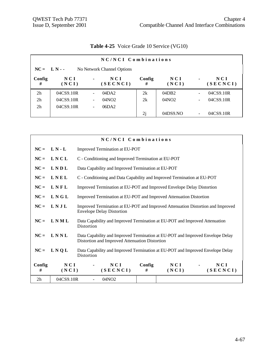|                | NC/NCI Combinations |                          |                            |             |              |                          |                 |
|----------------|---------------------|--------------------------|----------------------------|-------------|--------------|--------------------------|-----------------|
| $NC = L N -$   |                     |                          | No Network Channel Options |             |              |                          |                 |
| Config<br>#    | N C I<br>(NCI)      | $\blacksquare$           | N C I<br>(SECNCI)          | Config<br># | NCI<br>(NCI) | $\blacksquare$           | NCI<br>(SECNCI) |
| 2 <sub>h</sub> | 04CS9.10R           | $\overline{\phantom{0}}$ | 04DA2                      | 2k          | 04DB2        | $\overline{\phantom{a}}$ | 04CS9.10R       |
| 2 <sub>h</sub> | 04CS9.10R           | $\overline{\phantom{a}}$ | 04NO <sub>2</sub>          | 2k          | 04NO2        | $\overline{\phantom{a}}$ | 04CS9.10R       |
| 2 <sub>h</sub> | 04CS9.10R           | $\overline{\phantom{a}}$ | 06DA2                      |             |              |                          |                 |
|                |                     |                          |                            | 2j          | 04DS9.NO     | $\overline{\phantom{a}}$ | 04CS9.10R       |

# **Table 4-25** Voice Grade 10 Service (VG10)

|             |                     | NC/NCI Combinations                                                                                                              |  |  |  |
|-------------|---------------------|----------------------------------------------------------------------------------------------------------------------------------|--|--|--|
| $NC =$      | $L N - L$           | Improved Termination at EU-POT                                                                                                   |  |  |  |
| $NC =$      | LNCL                | C - Conditioning and Improved Termination at EU-POT                                                                              |  |  |  |
| $NC =$      | LNDL                | Data Capability and Improved Termination at EU-POT                                                                               |  |  |  |
| $NC =$      | LNEL                | C - Conditioning and Data Capability and Improved Termination at EU-POT                                                          |  |  |  |
| $NC =$      | LNFL                | Improved Termination at EU-POT and Improved Envelope Delay Distortion                                                            |  |  |  |
| $NC =$      | LNGL                | Improved Termination at EU-POT and Improved Attenuation Distortion                                                               |  |  |  |
| $NC =$      | LNJL                | Improved Termination at EU-POT and Improved Attenuation Distortion and Improved<br><b>Envelope Delay Distortion</b>              |  |  |  |
| $NC =$      | LNML                | Data Capability and Improved Termination at EU-POT and Improved Attenuation<br>Distortion                                        |  |  |  |
| $NC =$      | LNNL                | Data Capability and Improved Termination at EU-POT and Improved Envelope Delay<br>Distortion and Improved Attenuation Distortion |  |  |  |
| $NC =$      | LNQL                | Data Capability and Improved Termination at EU-POT and Improved Envelope Delay<br>Distortion                                     |  |  |  |
| Config<br># | <b>NCI</b><br>(NCI) | NCI<br>Config<br>NCI<br>NCI<br>(SECNCI)<br>(NCI)<br>(SECNCI)<br>#                                                                |  |  |  |
| 2h          | 04CS9.10R           | 04NO <sub>2</sub>                                                                                                                |  |  |  |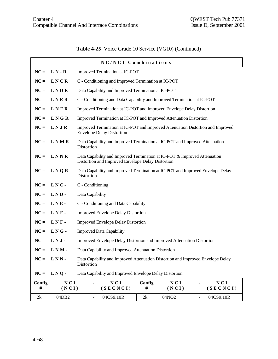# **Table 4-25** Voice Grade 10 Service (VG10) (Continued)

|             | NC/NCI Combinations |                                                                                                                     |                                                                                                                                |              |                            |  |  |  |  |
|-------------|---------------------|---------------------------------------------------------------------------------------------------------------------|--------------------------------------------------------------------------------------------------------------------------------|--------------|----------------------------|--|--|--|--|
| $NC =$      | $L N - R$           | Improved Termination at IC-POT                                                                                      |                                                                                                                                |              |                            |  |  |  |  |
| $NC =$      | LNCR                | C - Conditioning and Improved Termination at IC-POT                                                                 |                                                                                                                                |              |                            |  |  |  |  |
| $NC =$      | <b>LNDR</b>         | Data Capability and Improved Termination at IC-POT                                                                  |                                                                                                                                |              |                            |  |  |  |  |
| $NC =$      | LNER                | C - Conditioning and Data Capability and Improved Termination at IC-POT                                             |                                                                                                                                |              |                            |  |  |  |  |
| $NC =$      | LNFR                | Improved Termination at IC-POT and Improved Envelope Delay Distortion                                               |                                                                                                                                |              |                            |  |  |  |  |
| $NC =$      | LNGR                | Improved Termination at IC-POT and Improved Attenuation Distortion                                                  |                                                                                                                                |              |                            |  |  |  |  |
| $NC =$      | LNJR                | Improved Termination at IC-POT and Improved Attenuation Distortion and Improved<br><b>Envelope Delay Distortion</b> |                                                                                                                                |              |                            |  |  |  |  |
| $NC =$      | <b>LNMR</b>         | Data Capability and Improved Termination at IC-POT and Improved Attenuation<br>Distortion                           |                                                                                                                                |              |                            |  |  |  |  |
| $NC =$      | LNNR                |                                                                                                                     | Data Capability and Improved Termination at IC-POT & Improved Attenuation<br>Distortion and Improved Envelope Delay Distortion |              |                            |  |  |  |  |
| $NC =$      | L N Q R             | Data Capability and Improved Termination at IC-POT and Improved Envelope Delay<br>Distortion                        |                                                                                                                                |              |                            |  |  |  |  |
| $NC =$      | LNC-                | C - Conditioning                                                                                                    |                                                                                                                                |              |                            |  |  |  |  |
| $NC =$      | LND-                | Data Capability                                                                                                     |                                                                                                                                |              |                            |  |  |  |  |
| $NC =$      | LNE-                | C - Conditioning and Data Capability                                                                                |                                                                                                                                |              |                            |  |  |  |  |
| $NC =$      | LNF-                | <b>Improved Envelope Delay Distortion</b>                                                                           |                                                                                                                                |              |                            |  |  |  |  |
| $NC =$      | LNF-                | <b>Improved Envelope Delay Distortion</b>                                                                           |                                                                                                                                |              |                            |  |  |  |  |
| $NC =$      | LNG-                | <b>Improved Data Capability</b>                                                                                     |                                                                                                                                |              |                            |  |  |  |  |
| $NC =$      | LNJ-                | Improved Envelope Delay Distortion and Improved Attenuation Distortion                                              |                                                                                                                                |              |                            |  |  |  |  |
| $NC =$      | LNM-                | Data Capability and Improved Attenuation Distortion                                                                 |                                                                                                                                |              |                            |  |  |  |  |
| $NC =$      | LNN-                | Data Capability and Improved Attenuation Distortion and Improved Envelope Delay<br>Distortion                       |                                                                                                                                |              |                            |  |  |  |  |
| $NC =$      | LNO-                | Data Capability and Improved Envelope Delay Distortion                                                              |                                                                                                                                |              |                            |  |  |  |  |
| Config<br># | NCI<br>(NCI)        | NCI<br>(SECNCI)                                                                                                     | Config<br>#                                                                                                                    | NCI<br>(NCI) | NCI<br>(SECNCI)            |  |  |  |  |
| 2k          | 04DB2               | 04CS9.10R<br>$\equiv$                                                                                               | 2k                                                                                                                             | 04NO2        | 04CS9.10R<br>$\frac{1}{2}$ |  |  |  |  |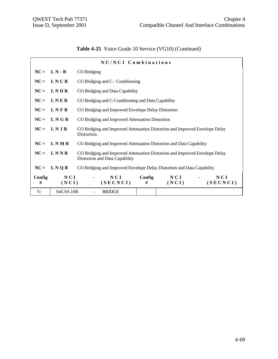# **Table 4-25** Voice Grade 10 Service (VG10) (Continued)

|             | NC/NCI Combinations |                                                                                                               |  |  |  |  |  |  |  |  |
|-------------|---------------------|---------------------------------------------------------------------------------------------------------------|--|--|--|--|--|--|--|--|
|             | $NC = L N - B$      | CO Bridging                                                                                                   |  |  |  |  |  |  |  |  |
| $NC =$      | <b>LNCB</b>         | CO Bridging and C - Conditioning                                                                              |  |  |  |  |  |  |  |  |
| $NC =$      | LNDB                | CO Bridging and Data Capability                                                                               |  |  |  |  |  |  |  |  |
|             | $NC = LMEB$         | CO Bridging and C-Conditioning and Data Capability                                                            |  |  |  |  |  |  |  |  |
| $NC =$      | LNFB                | CO Bridging and Improved Envelope Delay Distortion                                                            |  |  |  |  |  |  |  |  |
|             | $NC = L N G B$      | CO Bridging and Improved Attenuation Distortion                                                               |  |  |  |  |  |  |  |  |
| $NC =$      | LNJB                | CO Bridging and Improved Attenuation Distortion and Improved Envelope Delay<br>Distortion                     |  |  |  |  |  |  |  |  |
| $NC =$      | <b>LNMB</b>         | CO Bridging and Improved Attenuation Distortion and Data Capability                                           |  |  |  |  |  |  |  |  |
| $NC =$      | LNNB                | CO Bridging and Improved Attenuation Distortion and Improved Envelope Delay<br>Distortion and Data Capability |  |  |  |  |  |  |  |  |
| $NC =$      | L N Q B             | CO Bridging and Improved Envelope Delay Distortion and Data Capability                                        |  |  |  |  |  |  |  |  |
| Config<br># | NCI<br>(NCI)        | NCI<br>Config<br>NCI<br>NCI<br>(SECNCI)<br>(SECNCI)<br>#<br>(NCI)                                             |  |  |  |  |  |  |  |  |
| 7c          | 04CS9.10R           | <b>BRIDGE</b>                                                                                                 |  |  |  |  |  |  |  |  |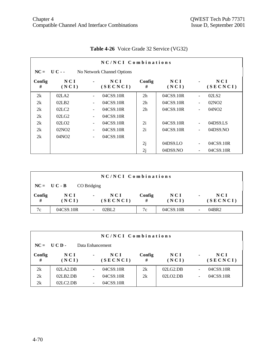|             | NC/NCI Combinations            |                          |                            |                |                     |                          |                   |  |  |  |  |
|-------------|--------------------------------|--------------------------|----------------------------|----------------|---------------------|--------------------------|-------------------|--|--|--|--|
|             | $NC = U C -$                   |                          | No Network Channel Options |                |                     |                          |                   |  |  |  |  |
| Config<br># | N C I<br>(NCI)                 | $\blacksquare$           | NCI<br>(SECNCI)            | Config<br>#    | NCI<br>(NCI)        |                          | N C I<br>(SECNCI) |  |  |  |  |
| 2k          | 02LA2                          | $\blacksquare$           | 04CS9.10R                  | 2 <sub>h</sub> | 04CS9.10R           | $\ddot{\phantom{1}}$     | 02LS <sub>2</sub> |  |  |  |  |
| 2k          | 02LB2                          | $\blacksquare$           | 04CS9.10R                  | 2 <sub>h</sub> | 04CS9.10R           | $\overline{\phantom{a}}$ | 02NO2             |  |  |  |  |
| 2k          | 02 <sub>L</sub> C <sub>2</sub> | ۰                        | 04CS9.10R                  | 2 <sub>h</sub> | 04CS9.10R           | $\overline{a}$           | 04NO <sub>2</sub> |  |  |  |  |
| 2k          | 02LG2                          | $\overline{\phantom{a}}$ | 04CS9.10R                  |                |                     |                          |                   |  |  |  |  |
| 2k          | 02LO2                          | $\overline{\phantom{a}}$ | 04CS9.10R                  | 2i             | 04CS9.10R           | $\ddot{\phantom{1}}$     | 04DS9.LS          |  |  |  |  |
| 2k          | 02NO <sub>2</sub>              |                          | 04CS9.10R                  | 2i             | 04CS9.10R           | ÷,                       | 04DS9.NO          |  |  |  |  |
| 2k          | 04NO2                          | $\overline{\phantom{a}}$ | 04CS9.10R                  |                |                     |                          |                   |  |  |  |  |
|             |                                |                          |                            | 2j             | 04DS9 <sub>LO</sub> | $\ddot{\phantom{1}}$     | 04CS9.10R         |  |  |  |  |
|             |                                |                          |                            | 2j             | 04DS9.NO            |                          | 04CS9.10R         |  |  |  |  |

# **Table 4-26** Voice Grade 32 Service (VG32)

|             | NC/NCI Combinations |                                   |             |              |        |                 |  |  |  |  |
|-------------|---------------------|-----------------------------------|-------------|--------------|--------|-----------------|--|--|--|--|
|             | $NC = U C - B$      | CO Bridging                       |             |              |        |                 |  |  |  |  |
| Config<br># | NCI<br>(NCI)        | NCI<br>$\blacksquare$<br>(SECNCI) | Config<br># | NCI<br>(NCI) | $\sim$ | NCI<br>(SECNCI) |  |  |  |  |
| 7c          | 04CS9.10R           | 02BL2                             | 7c          | 04CS9.10R    |        | 04BR2           |  |  |  |  |

|             | NC/NCI Combinations |                          |                  |             |                |                          |                   |  |  |  |
|-------------|---------------------|--------------------------|------------------|-------------|----------------|--------------------------|-------------------|--|--|--|
|             | $NC = UCD$          |                          | Data Enhancement |             |                |                          |                   |  |  |  |
| Config<br># | NCI<br>(NCI)        | ٠                        | NCI<br>(SECNCI)  | Config<br># | N C I<br>(NCI) | $\blacksquare$           | N C I<br>(SECNCI) |  |  |  |
| 2k          | 02LA2.DB            |                          | 04CS9.10R        | 2k          | 02LG2.DB       | ٠                        | 04CS9.10R         |  |  |  |
| 2k          | 02LB2.DB            | $\overline{\phantom{0}}$ | 04CS9.10R        | 2k          | 02LO2.DB       | $\overline{\phantom{a}}$ | 04CS9.10R         |  |  |  |
| 2k          | 02LC2.DB            | $\overline{\phantom{a}}$ | 04CS9.10R        |             |                |                          |                   |  |  |  |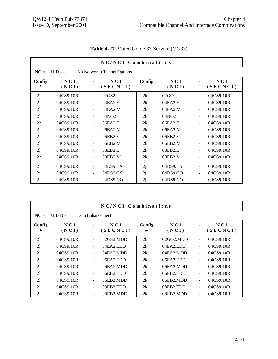|                | NC/NCI Combinations |                |                            |             |                   |                          |                 |  |  |  |
|----------------|---------------------|----------------|----------------------------|-------------|-------------------|--------------------------|-----------------|--|--|--|
| $NC =$         | $UD - -$            |                | No Network Channel Options |             |                   |                          |                 |  |  |  |
| Config<br>#    | NCI<br>(NCI)        |                | NCI<br>(SECNCI)            | Config<br># | NCI<br>(NCI)      |                          | NCI<br>(SECNCI) |  |  |  |
| 2h             | 04CS9.10R           | $\blacksquare$ | 02GS2                      | 2k          | 02GO <sub>2</sub> | $\blacksquare$           | 04CS9.10R       |  |  |  |
| 2 <sub>h</sub> | 04CS9.10R           | $\blacksquare$ | 04EA2.E                    | 2k          | 04EA2.E           | $\blacksquare$           | 04CS9.10R       |  |  |  |
| 2 <sub>h</sub> | 04CS9.10R           | $\blacksquare$ | 04EA2.M                    | 2k          | 04EA2.M           | $\overline{\phantom{a}}$ | 04CS9.10R       |  |  |  |
| 2 <sub>h</sub> | 04CS9.10R           | $\blacksquare$ | 04NO <sub>2</sub>          | 2k          | 04NO <sub>2</sub> | $\blacksquare$           | 04CS9.10R       |  |  |  |
| 2 <sub>h</sub> | 04CS9.10R           | $\blacksquare$ | 06EA2.E                    | 2k          | 06EA2.E           | $\frac{1}{2}$            | 04CS9.10R       |  |  |  |
| 2 <sub>h</sub> | 04CS9.10R           | $\frac{1}{2}$  | 06EA2.M                    | 2k          | 06EA2.M           | $\blacksquare$           | 04CS9.10R       |  |  |  |
| 2 <sub>h</sub> | 04CS9.10R           | $\frac{1}{2}$  | 06EB2.E                    | 2k          | 06EB2.E           | $\frac{1}{2}$            | 04CS9.10R       |  |  |  |
| 2 <sub>h</sub> | 04CS9.10R           | $\blacksquare$ | 06EB2.M                    | 2k          | 06EB2.M           | $\overline{a}$           | 04CS9.10R       |  |  |  |
| 2 <sub>h</sub> | 04CS9.10R           | $\blacksquare$ | 08EB2.E                    | 2k          | 08EB2.E           | $\overline{a}$           | 04CS9.10R       |  |  |  |
| 2 <sub>h</sub> | 04CS9.10R           | ÷,             | 08EB2.M                    | 2k          | 08EB2.M           | $\ddot{\phantom{1}}$     | 04CS9.10R       |  |  |  |
| 2i             | 04CS9.10R           | $\blacksquare$ | 04DS9.EA                   | 2j          | 04DS9.EA          | $\overline{\phantom{a}}$ | 04CS9.10R       |  |  |  |
| 2i             | 04CS9.10R           | $\blacksquare$ | 04DS9.GS                   | 2j          | 04DS9.GO          | $\frac{1}{2}$            | 04CS9.10R       |  |  |  |
| 2i             | 04CS9.10R           | $\blacksquare$ | 04DS9.NO                   | 2j          | 04DS9.NO          | $\frac{1}{2}$            | 04CS9.10R       |  |  |  |

# **Table 4-27** Voice Grade 33 Service (VG33)

|                                      | NC/NCI Combinations |                          |                 |             |                  |                          |                 |  |  |  |
|--------------------------------------|---------------------|--------------------------|-----------------|-------------|------------------|--------------------------|-----------------|--|--|--|
| $UDD-$<br>$NC =$<br>Data Enhancement |                     |                          |                 |             |                  |                          |                 |  |  |  |
| Config<br>#                          | NCI<br>(NCI)        |                          | NCI<br>(SECNCI) | Config<br># | NCI<br>(NCI)     |                          | NCI<br>(SECNCI) |  |  |  |
| 2 <sub>h</sub>                       | 04CS9.10R           | ÷                        | 02GS2.MDD       | 2k          | $02$ GO $2$ .MDD |                          | 04CS9.10R       |  |  |  |
| 2 <sub>h</sub>                       | 04CS9.10R           |                          | 04EA2EDD        | 2k          | 04EA2EDD         |                          | 04CS9.10R       |  |  |  |
| 2 <sub>h</sub>                       | 04CS9.10R           |                          | 04EA2.MDD       | 2k          | 04EA2.MDD        | $\overline{\phantom{0}}$ | 04CS9.10R       |  |  |  |
| 2 <sub>h</sub>                       | 04CS9.10R           | $\overline{\phantom{0}}$ | 06EA2EDD        | 2k          | 06EA2EDD         | ÷                        | 04CS9.10R       |  |  |  |
| 2 <sub>h</sub>                       | 04CS9.10R           | $\overline{\phantom{0}}$ | 06EA2.MDD       | 2k          | 06EA2.MDD        | ÷                        | 04CS9.10R       |  |  |  |
| 2 <sub>h</sub>                       | 04CS9.10R           | ٠                        | 06EB2.EDD       | 2k          | 06EB2.EDD        | ÷                        | 04CS9.10R       |  |  |  |
| 2 <sub>h</sub>                       | 04CS9.10R           | $\overline{\phantom{0}}$ | 06EB2.MDD       | 2k          | 06EB2.MDD        | L                        | 04CS9.10R       |  |  |  |
| 2 <sub>h</sub>                       | 04CS9.10R           | $\overline{\phantom{0}}$ | 08EB2.EDD       | 2k          | 08EB2.EDD        |                          | 04CS9.10R       |  |  |  |
| 2 <sub>h</sub>                       | 04CS9.10R           | $\overline{\phantom{0}}$ | 08EB2.MDD       | 2k          | 08EB2.MDD        |                          | 04CS9.10R       |  |  |  |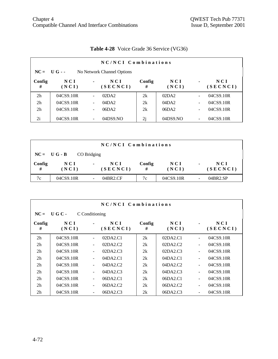|                                           | NC/NCI Combinations |                          |                 |             |              |                          |                   |  |  |  |
|-------------------------------------------|---------------------|--------------------------|-----------------|-------------|--------------|--------------------------|-------------------|--|--|--|
| $NC = UG -$<br>No Network Channel Options |                     |                          |                 |             |              |                          |                   |  |  |  |
| Config<br>#                               | NCI<br>(NCI)        | $\blacksquare$           | NCI<br>(SECNCI) | Config<br># | NCI<br>(NCI) | $\blacksquare$           | N C I<br>(SECNCI) |  |  |  |
| 2 <sub>h</sub>                            | 04CS9.10R           | $\overline{\phantom{a}}$ | 02DA2           | 2k          | 02DA2        | $\blacksquare$           | 04CS9.10R         |  |  |  |
| 2 <sub>h</sub>                            | 04CS9.10R           | $\overline{\phantom{a}}$ | 04DA2           | 2k          | 04DA2        | $\blacksquare$           | 04CS9.10R         |  |  |  |
| 2 <sub>h</sub>                            | 04CS9.10R           | ٠                        | 06DA2           | 2k          | 06DA2        | $\overline{\phantom{a}}$ | 04CS9.10R         |  |  |  |
| 2i                                        | 04CS9.10R           | $\overline{\phantom{a}}$ | 04DS9.NO        | 2j          | 04DS9.NO     | $\overline{\phantom{a}}$ | 04CS9.10R         |  |  |  |

# **Table 4-28** Voice Grade 36 Service (VG36)

| NC/NCI Combinations |                |             |                   |             |                     |                |                 |  |
|---------------------|----------------|-------------|-------------------|-------------|---------------------|----------------|-----------------|--|
|                     | $NC = U G - B$ | CO Bridging |                   |             |                     |                |                 |  |
| Config<br>#         | N C I<br>(NCI) | $\sim$      | N C I<br>(SECNCI) | Config<br># | <b>NCI</b><br>(NCI) | $\blacksquare$ | NCI<br>(SECNCI) |  |
| 7c                  | 04CS9.10R      |             | 04BR2.CF          | 7c          | 04CS9.10R           | ۰              | 04BR2.SP        |  |

|                                  | NC/NCI Combinations |                          |                   |             |                |                |                   |  |  |  |
|----------------------------------|---------------------|--------------------------|-------------------|-------------|----------------|----------------|-------------------|--|--|--|
| $NC =$<br>UGC-<br>C Conditioning |                     |                          |                   |             |                |                |                   |  |  |  |
| Config<br>#                      | NCI<br>(NCI)        |                          | N C I<br>(SECNCI) | Config<br># | N C I<br>(NCI) |                | N C I<br>(SECNCI) |  |  |  |
| 2 <sub>h</sub>                   | 04CS9.10R           | ÷                        | 02DA2.C1          | 2k          | 02DA2.C1       | ÷              | 04CS9.10R         |  |  |  |
| 2 <sub>h</sub>                   | 04CS9.10R           |                          | 02DA2.C2          | 2k          | 02DA2.C2       | $\blacksquare$ | 04CS9.10R         |  |  |  |
| 2 <sub>h</sub>                   | 04CS9.10R           |                          | 02DA2.C3          | 2k          | 02DA2.C3       | $\blacksquare$ | 04CS9.10R         |  |  |  |
| 2 <sub>h</sub>                   | 04CS9.10R           | ۰                        | 04DA2.C1          | 2k          | 04DA2.C1       | $\blacksquare$ | 04CS9.10R         |  |  |  |
| 2 <sub>h</sub>                   | 04CS9.10R           | ۰                        | 04DA2.C2          | 2k          | 04DA2.C2       | $\blacksquare$ | 04CS9.10R         |  |  |  |
| 2 <sub>h</sub>                   | 04CS9.10R           | $\overline{\phantom{0}}$ | 04DA2.C3          | 2k          | 04DA2.C3       | $\overline{a}$ | 04CS9.10R         |  |  |  |
| 2 <sub>h</sub>                   | 04CS9.10R           | ٠                        | 06DA2.C1          | 2k          | 06DA2.C1       | $\blacksquare$ | 04CS9.10R         |  |  |  |
| 2 <sub>h</sub>                   | 04CS9.10R           |                          | 06DA2.C2          | 2k          | 06DA2.C2       | $\blacksquare$ | 04CS9.10R         |  |  |  |
| 2 <sub>h</sub>                   | 04CS9.10R           |                          | 06DA2.C3          | 2k          | 06DA2.C3       |                | 04CS9.10R         |  |  |  |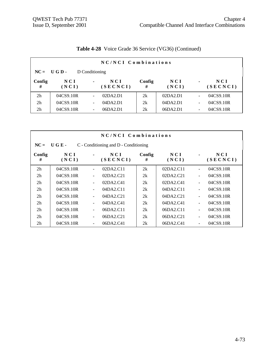|                                | NC/NCI Combinations |   |                   |             |              |                          |                 |  |  |  |
|--------------------------------|---------------------|---|-------------------|-------------|--------------|--------------------------|-----------------|--|--|--|
| $NC = UGD -$<br>D Conditioning |                     |   |                   |             |              |                          |                 |  |  |  |
| Config<br>#                    | NCI<br>(NCI)        | ۰ | N C I<br>(SECNCI) | Config<br># | NCI<br>(NCI) | $\blacksquare$           | NCI<br>(SECNCI) |  |  |  |
| 2 <sub>h</sub>                 | 04CS9.10R           |   | 02DA2.D1          | 2k          | 02DA2.D1     | $\overline{\phantom{0}}$ | 04CS9.10R       |  |  |  |
| 2 <sub>h</sub>                 | 04CS9.10R           |   | 04DA2.D1          | 2k          | 04DA2.D1     | $\overline{\phantom{0}}$ | 04CS9.10R       |  |  |  |
| 2 <sub>h</sub>                 | 04CS9.10R           |   | 06DA2.D1          | 2k          | 06DA2.D1     | $\overline{\phantom{a}}$ | 04CS9.10R       |  |  |  |

# **Table 4-28** Voice Grade 36 Service (VG36) (Continued)

|                | NC/NCI Combinations                           |                          |                 |             |              |                              |                   |  |  |  |
|----------------|-----------------------------------------------|--------------------------|-----------------|-------------|--------------|------------------------------|-------------------|--|--|--|
| $NC =$         | UGE-<br>C - Conditioning and D - Conditioning |                          |                 |             |              |                              |                   |  |  |  |
| Config<br>#    | N C I<br>(NCI)                                | $\blacksquare$           | NCI<br>(SECNCI) | Config<br># | NCI<br>(NCI) | ۰                            | N C I<br>(SECNCI) |  |  |  |
| 2 <sub>h</sub> | 04CS9.10R                                     |                          | 02DA2.C11       | 2k          | 02DA2.C11    | ÷,                           | 04CS9.10R         |  |  |  |
| 2 <sub>h</sub> | 04CS9.10R                                     | -                        | 02DA2.C21       | 2k          | 02DA2.C21    | $\overline{\phantom{0}}$     | 04CS9.10R         |  |  |  |
| 2 <sub>h</sub> | 04CS9.10R                                     | ٠                        | 02DA2.C41       | 2k          | 02DA2.C41    | ÷,                           | 04CS9.10R         |  |  |  |
| 2 <sub>h</sub> | 04CS9.10R                                     | ٠                        | 04DA2.C11       | 2k          | 04DA2.C11    | $\overline{\phantom{0}}$     | 04CS9.10R         |  |  |  |
| 2 <sub>h</sub> | 04CS9.10R                                     |                          | 04DA2.C21       | 2k          | 04DA2.C21    | $\overline{\phantom{0}}$     | 04CS9.10R         |  |  |  |
| 2 <sub>h</sub> | 04CS9.10R                                     | ٠                        | 04DA2.C41       | 2k          | 04DA2.C41    | $\overline{\phantom{0}}$     | 04CS9.10R         |  |  |  |
| 2 <sub>h</sub> | 04CS9.10R                                     | ٠                        | 06DA2.C11       | 2k          | 06DA2.C11    | $\qquad \qquad \blacksquare$ | 04CS9.10R         |  |  |  |
| 2 <sub>h</sub> | 04CS9.10R                                     | $\overline{\phantom{0}}$ | 06DA2.C21       | 2k          | 06DA2.C21    | $\overline{\phantom{0}}$     | 04CS9.10R         |  |  |  |
| 2 <sub>h</sub> | 04CS9.10R                                     |                          | 06DA2.C41       | 2k          | 06DA2.C41    |                              | 04CS9.10R         |  |  |  |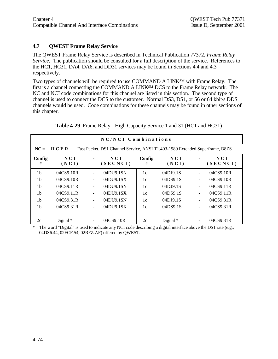## **4.7 QWEST Frame Relay Service**

The QWEST Frame Relay Service is described in Technical Publication 77372, *Frame Relay Service.* The publication should be consulted for a full description of the service. References to the HC1, HC31, DA4, DA6, and DD31 services may be found in Sections 4.4 and 4.3 respectively.

Two types of channels will be required to use COMMAND A LINKSM with Frame Relay. The first is a channel connecting the COMMAND A LINKSM DCS to the Frame Relay network. The NC and NCI code combinations for this channel are listed in this section. The second type of channel is used to connect the DCS to the customer. Normal DS3, DS1, or 56 or 64 kbit/s DDS channels would be used. Code combinations for these channels may be found in other sections of this chapter.

|                |                                                                                             |  | NC/NCI Combinations |             |              |                          |                   |  |  |
|----------------|---------------------------------------------------------------------------------------------|--|---------------------|-------------|--------------|--------------------------|-------------------|--|--|
| $NC =$         | <b>HCER</b><br>Fast Packet, DS1 Channel Service, ANSI T1.403-1989 Extended Superframe, B8ZS |  |                     |             |              |                          |                   |  |  |
| Config<br>#    | NCI<br>(NCI)                                                                                |  | NCI<br>(SECNCI)     | Config<br># | NCI<br>(NCI) |                          | N C I<br>(SECNCI) |  |  |
| 1 <sub>b</sub> | 04CS9.10R                                                                                   |  | 04DU9.1SN           | 1c          | 04DJ9.1S     | $\blacksquare$           | 04CS9.10R         |  |  |
| 1 <sub>b</sub> | 04CS9.10R                                                                                   |  | 04DU9.1SX           | 1c          | 04DS9.1S     |                          | 04CS9.10R         |  |  |
| 1 <sub>b</sub> | 04CS9.11R                                                                                   |  | 04DU9.1SN           | 1c          | 04DJ9.1S     | $\overline{\phantom{a}}$ | 04CS9.11R         |  |  |
| 1 <sub>b</sub> | 04CS9.11R                                                                                   |  | 04DU9.1SX           | 1c          | 04DS9.1S     | $\overline{\phantom{a}}$ | 04CS9.11R         |  |  |
| 1 <sub>b</sub> | 04CS9.31R                                                                                   |  | 04DU9.1SN           | 1c          | 04DJ9.1S     | $\overline{\phantom{a}}$ | 04CS9.31R         |  |  |
| 1 <sub>b</sub> | 04CS9.31R                                                                                   |  | 04DU9.1SX           | 1c          | 04DS9.1S     | $\overline{\phantom{a}}$ | 04CS9.31R         |  |  |
|                |                                                                                             |  |                     |             |              |                          |                   |  |  |
| 2c             | Digital $*$                                                                                 |  | 04CS9.10R           | 2c          | Digital *    |                          | 04CS9.31R         |  |  |

**Table 4-29** Frame Relay - High Capacity Service 1 and 31 (HC1 and HC31)

The word "Digital" is used to indicate any NCI code describing a digital interface above the DS1 rate (e.g., 04DS6.44, 02FCF.54, 02RFZ.AF) offered by QWEST.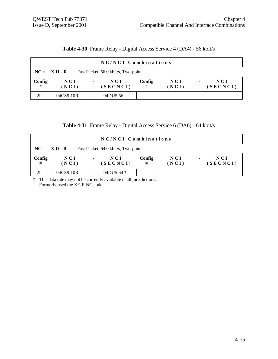**Table 4-30** Frame Relay - Digital Access Service 4 (DA4) - 56 kbit/s

|                | NC/NCI Combinations                                                                  |                                   |             |                |                                     |  |  |  |  |
|----------------|--------------------------------------------------------------------------------------|-----------------------------------|-------------|----------------|-------------------------------------|--|--|--|--|
|                | Fast Packet, 56.0 kbit/s, Two-point<br>$NC = \mathbf{X} \mathbf{H} \cdot \mathbf{R}$ |                                   |             |                |                                     |  |  |  |  |
| Config<br>#    | N C I<br>(NCI)                                                                       | NCI<br>$\blacksquare$<br>(SECNCI) | Config<br># | N C I<br>(NCI) | N C I<br>$\blacksquare$<br>(SECNCI) |  |  |  |  |
| 2 <sub>h</sub> | 04CS9.10R                                                                            | 04DU5.56                          |             |                |                                     |  |  |  |  |

| Table 4-31 Frame Relay - Digital Access Service 6 (DA6) - 64 kbit/s |  |  |  |
|---------------------------------------------------------------------|--|--|--|
|                                                                     |  |  |  |

|                | NC/NCI Combinations |                                     |             |                |                                     |  |  |  |  |
|----------------|---------------------|-------------------------------------|-------------|----------------|-------------------------------------|--|--|--|--|
|                | $NC = XD - R$       | Fast Packet, 64.0 kbit/s, Two-point |             |                |                                     |  |  |  |  |
| Config<br>#    | N C I<br>(NCI)      | NCI<br>$\blacksquare$<br>(SECNCI)   | Config<br># | N C I<br>(NCI) | N C I<br>$\blacksquare$<br>(SECNCI) |  |  |  |  |
| 2 <sub>h</sub> | 04CS9.10R           | 04DU5.64 *                          |             |                |                                     |  |  |  |  |

\* This data rate may not be currently available in all jurisdictions. Formerly used the XE-R NC code.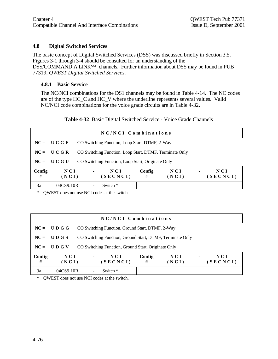#### **4.8 Digital Switched Services**

The basic concept of Digital Switched Services (DSS) was discussed briefly in Section 3.5. Figures 3-1 through 3-4 should be consulted for an understanding of the DSS/COMMAND A LINKSM channels. Further information about DSS may be found in PUB 77319, *QWEST Digital Switched Services*.

#### **4.8.1 Basic Service**

The NC/NCI combinations for the DS1 channels may be found in Table 4-14. The NC codes are of the type HC\_C and HC\_V where the underline represents several values. Valid NC/NCI code combinations for the voice grade circuits are in Table 4-32.

**Table 4-32** Basic Digital Switched Service - Voice Grade Channels

| NC/NCI Combinations |                |                |                                                         |             |              |                |                   |  |  |
|---------------------|----------------|----------------|---------------------------------------------------------|-------------|--------------|----------------|-------------------|--|--|
|                     | $NC = U C G F$ |                | CO Switching Function, Loop Start, DTMF, 2-Way          |             |              |                |                   |  |  |
| $NC =$              | UCGR           |                | CO Switching Function, Loop Start, DTMF, Terminate Only |             |              |                |                   |  |  |
| $NC =$              | U C G U        |                | CO Switching Function, Loop Start, Originate Only       |             |              |                |                   |  |  |
| Config<br>#         | NCI<br>(NCI)   | $\blacksquare$ | N C I<br>(SECNCI)                                       | Config<br># | NCI<br>(NCI) | $\blacksquare$ | N C I<br>(SECNCI) |  |  |
| 3a                  | 04CS9.10R      |                | Switch *                                                |             |              |                |                   |  |  |

\* QWEST does not use NCI codes at the switch.

| NC/NCI Combinations |                     |                |                                                           |             |                     |                |                 |  |  |
|---------------------|---------------------|----------------|-----------------------------------------------------------|-------------|---------------------|----------------|-----------------|--|--|
|                     | $NC = U D G G$      |                | CO Switching Function, Ground Start, DTMF, 2-Way          |             |                     |                |                 |  |  |
|                     | $NC =$ UDGS         |                | CO Switching Function, Ground Start, DTMF, Terminate Only |             |                     |                |                 |  |  |
| $NC =$              | UDGV                |                | CO Switching Function, Ground Start, Originate Only       |             |                     |                |                 |  |  |
| Config<br>#         | <b>NCI</b><br>(NCI) | $\blacksquare$ | NCI<br>(SECNCI)                                           | Config<br># | <b>NCI</b><br>(NCI) | $\blacksquare$ | NCI<br>(SECNCI) |  |  |
| 3a                  | 04CS9.10R           |                | Switch *                                                  |             |                     |                |                 |  |  |

\* QWEST does not use NCI codes at the switch.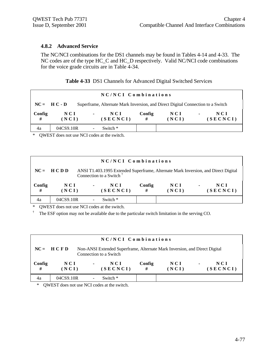#### **4.8.2 Advanced Service**

The NC/NCI combinations for the DS1 channels may be found in Tables 4-14 and 4-33. The NC codes are of the type HC\_C and HC\_D respectively. Valid NC/NCI code combinations for the voice grade circuits are in Table 4-34.

|  |  | Table 4-33 DS1 Channels for Advanced Digital Switched Services |  |  |  |  |
|--|--|----------------------------------------------------------------|--|--|--|--|
|--|--|----------------------------------------------------------------|--|--|--|--|

| NC/NCI Combinations |                                                                                                   |                                   |             |              |                                   |  |  |  |
|---------------------|---------------------------------------------------------------------------------------------------|-----------------------------------|-------------|--------------|-----------------------------------|--|--|--|
|                     | Superframe, Alternate Mark Inversion, and Direct Digital Connection to a Switch<br>$NC = H C - D$ |                                   |             |              |                                   |  |  |  |
| Config<br>#         | N C I<br>(NCI)                                                                                    | NCI<br>$\blacksquare$<br>(SECNCI) | Config<br># | NCI<br>(NCI) | NCI<br>$\blacksquare$<br>(SECNCI) |  |  |  |
| 4a                  | 04CS9.10R                                                                                         | Switch *                          |             |              |                                   |  |  |  |

\* QWEST does not use NCI codes at the switch.

| NC/NCI Combinations |                                                                                                                                          |                |                 |             |                |                                   |  |  |
|---------------------|------------------------------------------------------------------------------------------------------------------------------------------|----------------|-----------------|-------------|----------------|-----------------------------------|--|--|
|                     | $NC = HCDD$<br>ANSI T1.403.1995 Extended Superframe, Alternate Mark Inversion, and Direct Digital<br>Connection to a Switch <sup>†</sup> |                |                 |             |                |                                   |  |  |
| Config<br>#         | N C I<br>(NCI)                                                                                                                           | $\blacksquare$ | NCI<br>(SECNCI) | Config<br># | N C I<br>(NCI) | NCI<br>$\blacksquare$<br>(SECNCI) |  |  |
| 4a                  | 04CS9.10R                                                                                                                                |                | Switch *        |             |                |                                   |  |  |

\* QWEST does not use NCI codes at the switch.

† The ESF option may not be available due to the particular switch limitation in the serving CO.

| NC/NCI Combinations |                                                                                                                     |                |                 |             |                     |                |                   |  |
|---------------------|---------------------------------------------------------------------------------------------------------------------|----------------|-----------------|-------------|---------------------|----------------|-------------------|--|
|                     | $NC = HCFD$<br>Non-ANSI Extended Superframe, Alternate Mark Inversion, and Direct Digital<br>Connection to a Switch |                |                 |             |                     |                |                   |  |
| Config<br>#         | N C I<br>(NCI)                                                                                                      | $\blacksquare$ | NCI<br>(SECNCI) | Config<br># | <b>NCI</b><br>(NCI) | $\blacksquare$ | N C I<br>(SECNCI) |  |
| 4a                  | 04CS9.10R                                                                                                           |                | Switch $*$      |             |                     |                |                   |  |

\* QWEST does not use NCI codes at the switch.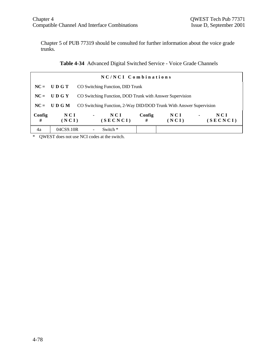Chapter 5 of PUB 77319 should be consulted for further information about the voice grade trunks.

| NC/NCI Combinations |                |                                             |                                                                    |             |              |                |                 |  |
|---------------------|----------------|---------------------------------------------|--------------------------------------------------------------------|-------------|--------------|----------------|-----------------|--|
|                     | $NC = U D G T$ |                                             | CO Switching Function, DID Trunk                                   |             |              |                |                 |  |
|                     | $NC = U D G Y$ |                                             | CO Switching Function, DOD Trunk with Answer Supervision           |             |              |                |                 |  |
|                     | $NC = U D G M$ |                                             | CO Switching Function, 2-Way DID/DOD Trunk With Answer Supervision |             |              |                |                 |  |
| Config<br>#         | NCI<br>(NCI)   | $\mathbf{m} = \mathbf{m} \times \mathbf{m}$ | NCI<br>(SECNCI)                                                    | Config<br># | NCI<br>(NCI) | $\blacksquare$ | NCI<br>(SECNCI) |  |
| 4a                  | 04CS9.10R      |                                             | Switch *                                                           |             |              |                |                 |  |

\* QWEST does not use NCI codes at the switch.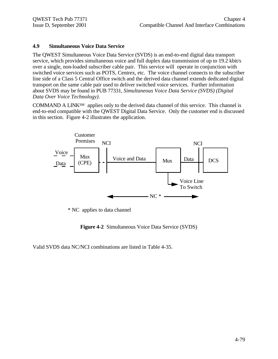#### **4.9 Simultaneous Voice Data Service**

The QWEST Simultaneous Voice Data Service (SVDS) is an end-to-end digital data transport service, which provides simultaneous voice and full duplex data transmission of up to 19.2 kbit/s over a single, non-loaded subscriber cable pair. This service will operate in conjunction with switched voice services such as POTS, Centrex, etc. The voice channel connects to the subscriber line side of a Class 5 Central Office switch and the derived data channel extends dedicated digital transport on the same cable pair used to deliver switched voice services. Further information about SVDS may be found in PUB 77331, *Simultaneous Voice Data Service (SVDS) (Digital Data Over Voice Technology)*.

COMMAND A LINKSM applies only to the derived data channel of this service. This channel is end-to-end compatible with the QWEST Digital Data Service. Only the customer end is discussed in this section. Figure 4-2 illustrates the application.



\* NC applies to data channel

**Figure 4-2** Simultaneous Voice Data Service (SVDS)

Valid SVDS data NC/NCI combinations are listed in Table 4-35.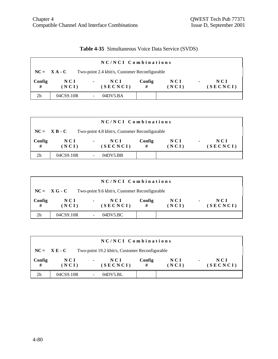# **Table 4-35** Simultaneous Voice Data Service (SVDS)

|                |                | NC/NCI Combinations                           |             |                |                                     |
|----------------|----------------|-----------------------------------------------|-------------|----------------|-------------------------------------|
|                | $NC = X A - C$ | Two-point 2.4 kbit/s, Customer Reconfigurable |             |                |                                     |
| Config<br>#    | N C I<br>(NCI) | NCI<br>$\sim$<br>(SECNCI)                     | Config<br># | N C I<br>(NCI) | N C I<br>$\blacksquare$<br>(SECNCI) |
| 2 <sub>h</sub> | 04CS9.10R      | 04DY5.BA                                      |             |                |                                     |

|                |                     |                | NC/NCI Combinations                           |             |                |                |                 |
|----------------|---------------------|----------------|-----------------------------------------------|-------------|----------------|----------------|-----------------|
|                | $NC = X B - C$      |                | Two-point 4.8 kbit/s, Customer Reconfigurable |             |                |                |                 |
| Config<br>#    | <b>NCI</b><br>(NCI) | $\blacksquare$ | NCI<br>(SECNCI)                               | Config<br># | N C I<br>(NCI) | $\blacksquare$ | NCI<br>(SECNCI) |
| 2 <sub>h</sub> | 04CS9.10R           |                | 04DV5.BB                                      |             |                |                |                 |

|                |                     | NC/NCI Combinations                           |             |              |                                   |
|----------------|---------------------|-----------------------------------------------|-------------|--------------|-----------------------------------|
|                | $NC = XG - C$       | Two-point 9.6 kbit/s, Customer Reconfigurable |             |              |                                   |
| Config<br>#    | <b>NCI</b><br>(NCI) | NCI<br>$\blacksquare$<br>(SECNCI)             | Config<br># | NCI<br>(NCI) | NCI<br>$\blacksquare$<br>(SECNCI) |
| 2 <sub>h</sub> | 04CS9.10R           | 04DV5.BC                                      |             |              |                                   |

|             |                | NC/NCI Combinations                            |             |                |                                   |
|-------------|----------------|------------------------------------------------|-------------|----------------|-----------------------------------|
|             | $NC = X E - C$ | Two-point 19.2 kbit/s, Customer Reconfigurable |             |                |                                   |
| Config<br># | N C I<br>(NCI) | NCI<br>$\blacksquare$<br>(SECNCI)              | Config<br># | N C I<br>(NCI) | NCI<br>$\blacksquare$<br>(SECNCI) |
| 2h          | 04CS9.10R      | 04DV5.BL                                       |             |                |                                   |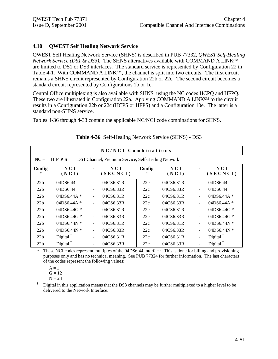## **4.10 QWEST Self Healing Network Service**

QWEST Self Healing Network Service (SHNS) is described in PUB 77332, *QWEST Self-Healing Network Service (DS1 & DS3).* The SHNS alternatives available with COMMAND A LINKSM are limited to DS1 or DS3 interfaces. The standard service is represented by Configuration 22 in Table 4-1. With COMMAND A LINK<sup>SM</sup>, the channel is split into two circuits. The first circuit remains a SHNS circuit represented by Configuration 22b or 22c. The second circuit becomes a standard circuit represented by Configurations 1b or 1c.

Central Office multiplexing is also available with SHNS using the NC codes HCPQ and HFPQ. These two are illustrated in Configuration 22a. Applying COMMAND A LINK<sup>SM</sup> to the circuit results in a Configuration 22b or 22c (HCPS or HFPS) and a Configuration 10e. The latter is a standard non-SHNS service.

Tables 4-36 through 4-38 contain the applicable NC/NCI code combinations for SHNS.

|                 | NC/NCI Combinations  |                          |                                                    |             |              |                          |                      |  |
|-----------------|----------------------|--------------------------|----------------------------------------------------|-------------|--------------|--------------------------|----------------------|--|
| $NC =$          | HFPS                 |                          | DS1 Channel, Premium Service, Self-Healing Network |             |              |                          |                      |  |
| Config<br>#     | NCI<br>(NCI)         |                          | NCI<br>(SECNCI)                                    | Config<br># | NCI<br>(NCI) |                          | NCI<br>(SECNCI)      |  |
| 22b             | 04DS6.44             |                          | 04CS6.31R                                          | 22c         | 04CS6.31R    | $\blacksquare$           | 04DS6.44             |  |
| 22 <sub>b</sub> | 04DS6.44             |                          | 04CS6.33R                                          | 22c         | 04CS6.33R    | $\blacksquare$           | 04DS6.44             |  |
| 22 <sub>b</sub> | 04DS6.44A $*$        | $\blacksquare$           | 04CS6.31R                                          | 22c         | 04CS6.31R    | ÷,                       | 04DS6.44A $*$        |  |
| 22 <sub>b</sub> | $04DS6.44A*$         | ۰                        | 04CS6.33R                                          | 22c         | 04CS6.33R    | $\blacksquare$           | 04DS6.44A*           |  |
| 22 <sub>b</sub> | 04DS6.44G $*$        | ÷                        | 04CS6.31R                                          | 22c         | 04CS6.31R    | $\blacksquare$           | 04DS6.44G *          |  |
| 22 <sub>b</sub> | 04DS6.44G $*$        | ÷.                       | 04CS6.33R                                          | 22c         | 04CS6.33R    | $\blacksquare$           | 04DS6.44G *          |  |
| 22b             | 04DS6.44N $*$        | ÷                        | 04CS6.31R                                          | 22c         | 04CS6.31R    |                          | 04DS6.44N $*$        |  |
| 22 <sub>b</sub> | $04DS6.44N*$         | Ξ.                       | 04CS6.33R                                          | 22c         | 04CS6.33R    | $\blacksquare$           | 04DS6.44N $*$        |  |
| 22b             | Digital $^{\dagger}$ | $\overline{\phantom{a}}$ | 04CS6.31R                                          | 22c         | 04CS6.31R    | $\overline{\phantom{a}}$ | Digital $†$          |  |
| 22b             | Digital $†$          | $\overline{\phantom{a}}$ | 04CS6.33R                                          | 22c         | 04CS6.33R    |                          | Digital $^{\dagger}$ |  |

## **Table 4-36** Self-Healing Network Service (SHNS) - DS3

\* These NCI codes represent multiples of the 04DS6.44 interface. This is done for billing and provisioning purposes only and has no technical meaning. See PUB 77324 for further information. The last characters of the codes represent the following values:

$$
A = 1
$$

$$
G=12
$$

$$
N=24
$$

† Digital in this application means that the DS3 channels may be further multiplexed to a higher level to be delivered to the Network Interface.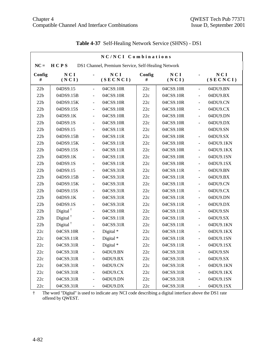|             | NC/NCI Combinations  |                |                                                    |             |              |                |                 |  |
|-------------|----------------------|----------------|----------------------------------------------------|-------------|--------------|----------------|-----------------|--|
| $NC =$      | HCPS                 |                | DS1 Channel, Premium Service, Self-Healing Network |             |              |                |                 |  |
| Config<br># | NCI<br>(NCI)         |                | NCI<br>(SECNCI)                                    | Config<br># | NCI<br>(NCI) | $\blacksquare$ | NCI<br>(SECNCI) |  |
| 22b         | 04DS9.15             | $\blacksquare$ | 04CS9.10R                                          | 22c         | 04CS9.10R    | $\Box$         | 04DU9.BN        |  |
| 22b         | 04DS9.15B            | Ξ              | 04CS9.10R                                          | 22c         | 04CS9.10R    | $\overline{a}$ | 04DU9.BX        |  |
| 22b         | 04DS9.15K            | $\frac{1}{2}$  | 04CS9.10R                                          | 22c         | 04CS9.10R    | $\blacksquare$ | 04DU9.CN        |  |
| 22b         | 04DS9.15S            | $\blacksquare$ | 04CS9.10R                                          | 22c         | 04CS9.10R    | $\overline{a}$ | 04DU9.CX        |  |
| 22b         | 04DS9.1K             | $\overline{a}$ | 04CS9.10R                                          | 22c         | 04CS9.10R    | $\frac{1}{2}$  | 04DU9.DN        |  |
| 22b         | 04DS9.1S             | $\frac{1}{2}$  | 04CS9.10R                                          | 22c         | 04CS9.10R    | $\frac{1}{2}$  | 04DU9.DX        |  |
| 22b         | 04DS9.15             | $\overline{a}$ | 04CS9.11R                                          | 22c         | 04CS9.10R    |                | 04DU9.SN        |  |
| 22b         | 04DS9.15B            | $\blacksquare$ | 04CS9.11R                                          | 22c         | 04CS9.10R    | $\Box$         | 04DU9.SX        |  |
| 22b         | 04DS9.15K            | $\blacksquare$ | 04CS9.11R                                          | 22c         | 04CS9.10R    | $\frac{1}{2}$  | 04DU9.1KN       |  |
| 22b         | 04DS9.15S            | $\frac{1}{2}$  | 04CS9.11R                                          | 22c         | 04CS9.10R    | $\blacksquare$ | 04DU9.1KX       |  |
| 22b         | 04DS9.1K             | $\overline{a}$ | 04CS9.11R                                          | 22c         | 04CS9.10R    | $\blacksquare$ | 04DU9.1SN       |  |
| 22b         | 04DS9.1S             | $\overline{a}$ | 04CS9.11R                                          | 22c         | 04CS9.10R    | $\frac{1}{2}$  | 04DU9.1SX       |  |
| 22b         | 04DS9.15             | $\blacksquare$ | 04CS9.31R                                          | 22c         | 04CS9.11R    | $\frac{1}{2}$  | 04DU9.BN        |  |
| 22b         | 04DS9.15B            | $\blacksquare$ | 04CS9.31R                                          | 22c         | 04CS9.11R    | $\overline{a}$ | 04DU9.BX        |  |
| 22b         | 04DS9.15K            | $\blacksquare$ | 04CS9.31R                                          | 22c         | 04CS9.11R    | $\overline{a}$ | 04DU9.CN        |  |
| 22b         | 04DS9.15S            | $\frac{1}{2}$  | 04CS9.31R                                          | 22c         | 04CS9.11R    | $\frac{1}{2}$  | 04DU9.CX        |  |
| 22b         | 04DS9.1K             | $\blacksquare$ | 04CS9.31R                                          | 22c         | 04CS9.11R    | $\overline{a}$ | 04DU9.DN        |  |
| 22b         | 04DS9.1S             | $\frac{1}{2}$  | 04CS9.31R                                          | 22c         | 04CS9.11R    | $\frac{1}{2}$  | 04DU9.DX        |  |
| 22b         | Digital $†$          | $\frac{1}{2}$  | 04CS9.10R                                          | 22c         | 04CS9.11R    | $\overline{a}$ | 04DU9.SN        |  |
| 22b         | Digital <sup>†</sup> | $\overline{a}$ | 04CS9.11R                                          | 22c         | 04CS9.11R    | $\overline{a}$ | 04DU9.SX        |  |
| 22b         | Digital $†$          | $\frac{1}{2}$  | 04CS9.31R                                          | 22c         | 04CS9.11R    | $\overline{a}$ | 04DU9.1KN       |  |
| 22c         | 04CS9.10R            | $\frac{1}{2}$  | Digital*                                           | 22c         | 04CS9.11R    | $\overline{a}$ | 04DU9.1KX       |  |
| 22c         | 04CS9.11R            | $\blacksquare$ | Digital *                                          | 22c         | 04CS9.11R    | $\blacksquare$ | 04DU9.1SN       |  |
| 22c         | 04CS9.31R            | $\blacksquare$ | Digital*                                           | 22c         | 04CS9.11R    | $\blacksquare$ | 04DU9.1SX       |  |
| 22c         | 04CS9.31R            | $\blacksquare$ | 04DU9.BN                                           | 22c         | 04CS9.31R    | $\overline{a}$ | 04DU9.SN        |  |
| 22c         | 04CS9.31R            | $\overline{a}$ | 04DU9.BX                                           | 22c         | 04CS9.31R    | $\frac{1}{2}$  | 04DU9.SX        |  |
| 22c         | 04CS9.31R            | $\blacksquare$ | 04DU9.CN                                           | 22c         | 04CS9.31R    | $\overline{a}$ | 04DU9.1KN       |  |
| 22c         | 04CS9.31R            | $\blacksquare$ | 04DU9.CX                                           | 22c         | 04CS9.31R    | $\frac{1}{2}$  | 04DU9.1KX       |  |
| 22c         | 04CS9.31R            | ä,             | 04DU9.DN                                           | 22c         | 04CS9.31R    | ÷,             | 04DU9.1SN       |  |
| 22c         | 04CS9.31R            | $\blacksquare$ | 04DU9.DX                                           | 22c         | 04CS9.31R    | $\blacksquare$ | 04DU9.1SX       |  |

# **Table 4-37** Self-Healing Network Service (SHNS) - DS1

† The word "Digital" is used to indicate any NCI code describing a digital interface above the DS1 rate offered by QWEST.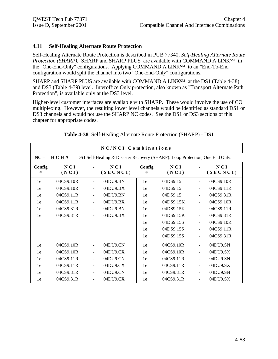#### **4.11 Self-Healing Alternate Route Protection**

Self-Healing Alternate Route Protection is described in PUB 77340, *Self-Healing Alternate Route Protection (SHARP).* SHARP and SHARP PLUS are available with COMMAND A LINKSM in the "One-End-Only" configurations. Applying COMMAND A LINKSM to an "End-To-End" configuration would split the channel into two "One-End-Only" configurations.

SHARP and SHARP PLUS are available with COMMAND A LINK<sup>SM</sup> at the DS1 (Table 4-38) and DS3 (Table 4-39) level. Interoffice Only protection, also known as "Transport Alternate Path Protection", is available only at the DS3 level.

Higher-level customer interfaces are available with SHARP. These would involve the use of CO multiplexing. However, the resulting lower level channels would be identified as standard DS1 or DS3 channels and would not use the SHARP NC codes. See the DS1 or DS3 sections of this chapter for appropriate codes.

|             |              |                          | NC/NCI Combinations                                                          |             |              |                          |                 |
|-------------|--------------|--------------------------|------------------------------------------------------------------------------|-------------|--------------|--------------------------|-----------------|
| $NC =$      | HCHA         |                          | DS1 Self-Healing & Disaster Recovery (SHARP): Loop Protection, One End Only. |             |              |                          |                 |
| Config<br># | NCI<br>(NCI) |                          | NCI<br>(SECNCI)                                                              | Config<br># | NCI<br>(NCI) |                          | NCI<br>(SECNCI) |
| 1e          | 04CS9.10R    | $\overline{\phantom{0}}$ | 04DU9.BN                                                                     | 1e          | 04DS9.15     | ÷                        | 04CS9.10R       |
| 1e          | 04CS9.10R    |                          | 04DU9.BX                                                                     | 1e          | 04DS9.15     | $\ddot{\phantom{1}}$     | 04CS9.11R       |
| 1e          | 04CS9.11R    |                          | 04DU9.BN                                                                     | 1e          | 04DS9.15     | $\overline{a}$           | 04CS9.31R       |
| 1e          | 04CS9.11R    | ÷                        | 04DU9.BX                                                                     | 1e          | 04DS9.15K    | $\frac{1}{2}$            | 04CS9.10R       |
| 1e          | 04CS9.31R    | ÷                        | 04DU9.BN                                                                     | 1e          | 04DS9.15K    | $\overline{a}$           | 04CS9.11R       |
| 1e          | 04CS9.31R    |                          | 04DU9.BX                                                                     | 1e          | 04DS9.15K    | ÷,                       | 04CS9.31R       |
|             |              |                          |                                                                              | 1e          | 04DS9.15S    | $\overline{\phantom{a}}$ | 04CS9.10R       |
|             |              |                          |                                                                              | 1e          | 04DS9.15S    | $\overline{a}$           | 04CS9.11R       |
|             |              |                          |                                                                              | 1e          | 04DS9.15S    |                          | 04CS9.31R       |
| 1e          | 04CS9.10R    |                          | 04DU9.CN                                                                     | 1e          | 04CS9.10R    | $\overline{a}$           | 04DU9.SN        |
| 1e          | 04CS9.10R    | $\overline{\phantom{a}}$ | 04DU9.CX                                                                     | 1e          | 04CS9.10R    | $\frac{1}{2}$            | 04DU9.SX        |
| 1e          | 04CS9.11R    | $\frac{1}{2}$            | 04DU9.CN                                                                     | 1e          | 04CS9.11R    | $\overline{a}$           | 04DU9.SN        |
| 1e          | 04CS9.11R    |                          | 04DU9.CX                                                                     | 1e          | 04CS9.11R    |                          | 04DU9.SX        |
| 1e          | 04CS9.31R    | $\blacksquare$           | 04DU9.CN                                                                     | 1e          | 04CS9.31R    | $\overline{\phantom{0}}$ | 04DU9.SN        |
| 1e          | 04CS9.31R    |                          | 04DU9.CX                                                                     | 1e          | 04CS9.31R    |                          | 04DU9.SX        |

|  | Table 4-38 Self-Healing Alternate Route Protection (SHARP) - DS1 |  |
|--|------------------------------------------------------------------|--|
|  |                                                                  |  |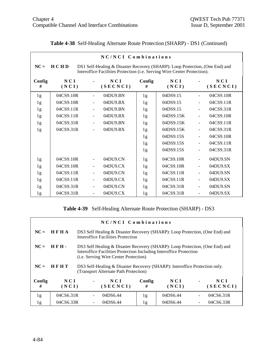|             |              |                          | NC/NCI Combinations                                                                                                                                      |                |              |                       |                 |
|-------------|--------------|--------------------------|----------------------------------------------------------------------------------------------------------------------------------------------------------|----------------|--------------|-----------------------|-----------------|
| $NC =$      | <b>HCHD</b>  |                          | DS1 Self-Healing & Disaster Recovery (SHARP): Loop Protection, (One End) and<br>Interoffice Facilities Protection (i.e. Serving Wire Center Protection). |                |              |                       |                 |
| Config<br># | NCI<br>(NCI) |                          | NCI<br>(SECNCI)                                                                                                                                          | Config<br>#    | NCI<br>(NCI) |                       | NCI<br>(SECNCI) |
| 1g          | 04CS9.10R    |                          | 04DU9.BN                                                                                                                                                 | 1g             | 04DS9.15     | $\blacksquare$        | 04CS9.10R       |
| 1g          | 04CS9.10R    | $\blacksquare$           | 04DU9.BX                                                                                                                                                 | 1g             | 04DS9.15     | $\blacksquare$        | 04CS9.11R       |
| 1g          | 04CS9.11R    | $\blacksquare$           | 04DU9.BN                                                                                                                                                 | 1g             | 04DS9.15     | ÷,                    | 04CS9.31R       |
| 1g          | 04CS9.11R    | $\blacksquare$           | 04DU9.BX                                                                                                                                                 | 1g             | 04DS9.15K    | $\blacksquare$        | 04CS9.10R       |
| 1g          | 04CS9.31R    |                          | 04DU9.BN                                                                                                                                                 | 1g             | 04DS9.15K    | ÷,                    | 04CS9.11R       |
| 1g          | 04CS9.31R    | $\blacksquare$           | 04DU9.BX                                                                                                                                                 | 1 <sub>g</sub> | 04DS9.15K    | $\blacksquare$        | 04CS9.31R       |
|             |              |                          |                                                                                                                                                          | 1 <sub>g</sub> | 04DS9.15S    | ÷,                    | 04CS9.10R       |
|             |              |                          |                                                                                                                                                          | 1g             | 04DS9.15S    | $\tilde{\phantom{a}}$ | 04CS9.11R       |
|             |              |                          |                                                                                                                                                          | 1g             | 04DS9.15S    | $\overline{a}$        | 04CS9.31R       |
| 1g          | 04CS9.10R    |                          | 04DU9.CN                                                                                                                                                 | 1g             | 04CS9.10R    | $\blacksquare$        | 04DU9.SN        |
| 1g          | 04CS9.10R    | $\blacksquare$           | 04DU9.CX                                                                                                                                                 | 1g             | 04CS9.10R    | $\blacksquare$        | 04DU9.SX        |
| 1g          | 04CS9.11R    |                          | 04DU9.CN                                                                                                                                                 | 1g             | 04CS9.11R    | $\blacksquare$        | 04DU9.SN        |
| 1g          | 04CS9.11R    | $\overline{\phantom{a}}$ | 04DU9.CX                                                                                                                                                 | 1g             | 04CS9.11R    | $\blacksquare$        | 04DU9.SX        |
| 1g          | 04CS9.31R    | $\blacksquare$           | 04DU9.CN                                                                                                                                                 | 1g             | 04CS9.31R    | $\blacksquare$        | 04DU9.SN        |
| 1g          | 04CS9.31R    | $\overline{\phantom{a}}$ | 04DU9.CX                                                                                                                                                 | 1g             | 04CS9.31R    | $\frac{1}{2}$         | 04DU9.SX        |

# **Table 4-38** Self-Healing Alternate Route Protection (SHARP) - DS1 (Continued)

## **Table 4-39** Self-Healing Alternate Route Protection (SHARP) - DS3

|        | NC/NCI Combinations |  |                                                                                                                                                                                                     |        |          |    |           |  |  |
|--------|---------------------|--|-----------------------------------------------------------------------------------------------------------------------------------------------------------------------------------------------------|--------|----------|----|-----------|--|--|
| $NC =$ | <b>HFHA</b>         |  | DS3 Self Healing & Disaster Recovery (SHARP): Loop Protection, (One End) and<br>Interoffice Facilities Protection                                                                                   |        |          |    |           |  |  |
| $NC =$ | <b>HFH.</b>         |  | DS3 Self Healing & Disaster Recovery (SHARP): Loop Protection, (One End) and<br>Interoffice Facilities Protection Including Interoffice Protection<br>( <i>i.e.</i> Serving Wire Center Protection) |        |          |    |           |  |  |
| $NC =$ | HFHT                |  | DS3 Self-Healing & Disaster Recovery (SHARP): Interoffice Protection only.<br>(Transport Alternate Path Protection)                                                                                 |        |          |    |           |  |  |
| Config | NCI                 |  | NCI                                                                                                                                                                                                 | Config | NCI      |    | NCI       |  |  |
| #      | (NCI)               |  | (SECNCI)                                                                                                                                                                                            | #      | (NCI)    |    | (SECNCI)  |  |  |
| 1g     | 04CS6.31R           |  | 04DS6.44                                                                                                                                                                                            | 1g     | 04DS6.44 | ÷, | 04CS6.31R |  |  |
| 1g     | 04CS6.33R           |  | 04DS6.44                                                                                                                                                                                            | 1g     | 04DS6.44 |    | 04CS6.33R |  |  |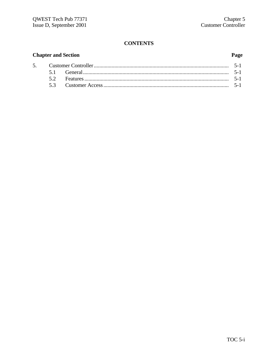# **CONTENTS**

# **Chapter and Section**

5.

## Page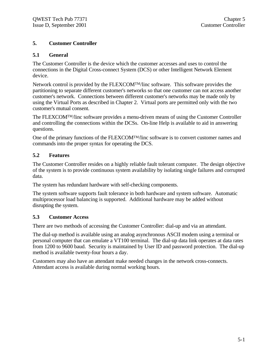## **5. Customer Controller**

## **5.1 General**

The Customer Controller is the device which the customer accesses and uses to control the connections in the Digital Cross-connect System (DCS) or other Intelligent Network Element device.

Network control is provided by the FLEXCOMTM/linc software. This software provides the partitioning to separate different customer's networks so that one customer can not access another customer's network. Connections between different customer's networks may be made only by using the Virtual Ports as described in Chapter 2. Virtual ports are permitted only with the two customer's mutual consent.

The FLEXCOMTM/linc software provides a menu-driven means of using the Customer Controller and controlling the connections within the DCSs. On-line Help is available to aid in answering questions.

One of the primary functions of the FLEXCOMTM/linc software is to convert customer names and commands into the proper syntax for operating the DCS.

## **5.2 Features**

The Customer Controller resides on a highly reliable fault tolerant computer. The design objective of the system is to provide continuous system availability by isolating single failures and corrupted data.

The system has redundant hardware with self-checking components.

The system software supports fault tolerance in both hardware and system software. Automatic multiprocessor load balancing is supported. Additional hardware may be added without disrupting the system.

## **5.3 Customer Access**

There are two methods of accessing the Customer Controller: dial-up and via an attendant.

The dial-up method is available using an analog asynchronous ASCII modem using a terminal or personal computer that can emulate a VT100 terminal. The dial-up data link operates at data rates from 1200 to 9600 baud. Security is maintained by User ID and password protection. The dial-up method is available twenty-four hours a day.

Customers may also have an attendant make needed changes in the network cross-connects. Attendant access is available during normal working hours.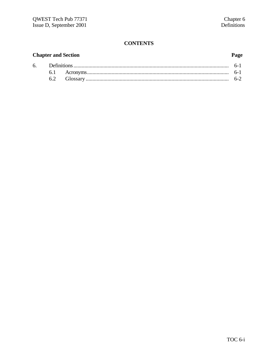# **CONTENTS**

## **Chapter and Section**

6.

## Page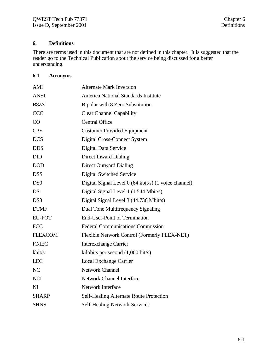# **6. Definitions**

There are terms used in this document that are not defined in this chapter. It is suggested that the reader go to the Technical Publication about the service being discussed for a better understanding.

# **6.1 Acronyms**

| AMI                         | <b>Alternate Mark Inversion</b>                      |
|-----------------------------|------------------------------------------------------|
| <b>ANSI</b>                 | America National Standards Institute                 |
| B8ZS                        | Bipolar with 8 Zero Substitution                     |
| <b>CCC</b>                  | <b>Clear Channel Capability</b>                      |
| CO                          | <b>Central Office</b>                                |
| <b>CPE</b>                  | <b>Customer Provided Equipment</b>                   |
| <b>DCS</b>                  | Digital Cross-Connect System                         |
| <b>DDS</b>                  | Digital Data Service                                 |
| <b>DID</b>                  | Direct Inward Dialing                                |
| <b>DOD</b>                  | <b>Direct Outward Dialing</b>                        |
| <b>DSS</b>                  | <b>Digital Switched Service</b>                      |
| D <sub>S</sub> <sup>0</sup> | Digital Signal Level 0 (64 kbit/s) (1 voice channel) |
| DS1                         | Digital Signal Level 1 (1.544 Mbit/s)                |
| DS3                         | Digital Signal Level 3 (44.736 Mbit/s)               |
| <b>DTMF</b>                 | Dual Tone Multifrequency Signaling                   |
| <b>EU-POT</b>               | <b>End-User-Point of Termination</b>                 |
| <b>FCC</b>                  | <b>Federal Communications Commission</b>             |
| <b>FLEXCOM</b>              | Flexible Network Control (Formerly FLEX-NET)         |
| <b>IC/IEC</b>               | <b>Interexchange Carrier</b>                         |
| kbit/s                      | kilobits per second $(1,000 \text{ bit/s})$          |
| <b>LEC</b>                  | <b>Local Exchange Carrier</b>                        |
| NC                          | Network Channel                                      |
| <b>NCI</b>                  | <b>Network Channel Interface</b>                     |
| NI                          | <b>Network Interface</b>                             |
| <b>SHARP</b>                | <b>Self-Healing Alternate Route Protection</b>       |
| <b>SHNS</b>                 | <b>Self-Healing Network Services</b>                 |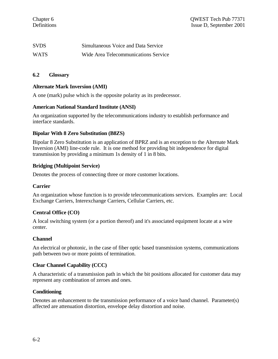| <b>SVDS</b> | Simultaneous Voice and Data Service  |
|-------------|--------------------------------------|
| <b>WATS</b> | Wide Area Telecommunications Service |

#### **6.2 Glossary**

#### **Alternate Mark Inversion (AMI)**

A one (mark) pulse which is the opposite polarity as its predecessor.

#### **American National Standard Institute (ANSI)**

An organization supported by the telecommunications industry to establish performance and interface standards.

#### **Bipolar With 8 Zero Substitution (B8ZS)**

Bipolar 8 Zero Substitution is an application of BPRZ and is an exception to the Alternate Mark Inversion (AMI) line-code rule. It is one method for providing bit independence for digital transmission by providing a minimum 1s density of 1 in 8 bits.

#### **Bridging (Multipoint Service)**

Denotes the process of connecting three or more customer locations.

#### **Carrier**

An organization whose function is to provide telecommunications services. Examples are: Local Exchange Carriers, Interexchange Carriers, Cellular Carriers, etc.

#### **Central Office (CO)**

A local switching system (or a portion thereof) and it's associated equipment locate at a wire center.

#### **Channel**

An electrical or photonic, in the case of fiber optic based transmission systems, communications path between two or more points of termination.

#### **Clear Channel Capability (CCC)**

A characteristic of a transmission path in which the bit positions allocated for customer data may represent any combination of zeroes and ones.

#### **Conditioning**

Denotes an enhancement to the transmission performance of a voice band channel. Parameter(s) affected are attenuation distortion, envelope delay distortion and noise.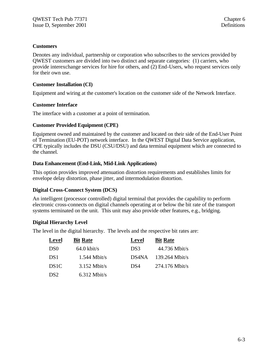#### **Customers**

Denotes any individual, partnership or corporation who subscribes to the services provided by QWEST customers are divided into two distinct and separate categories: (1) carriers, who provide interexchange services for hire for others, and (2) End-Users, who request services only for their own use.

#### **Customer Installation (CI)**

Equipment and wiring at the customer's location on the customer side of the Network Interface.

#### **Customer Interface**

The interface with a customer at a point of termination.

#### **Customer Provided Equipment (CPE)**

Equipment owned and maintained by the customer and located on their side of the End-User Point of Termination (EU-POT) network interface. In the QWEST Digital Data Service application, CPE typically includes the DSU (CSU/DSU) and data terminal equipment which are connected to the channel.

## **Data Enhancement (End-Link, Mid-Link Applications)**

This option provides improved attenuation distortion requirements and establishes limits for envelope delay distortion, phase jitter, and intermodulation distortion.

## **Digital Cross-Connect System (DCS)**

An intelligent (processor controlled) digital terminal that provides the capability to perform electronic cross-connects on digital channels operating at or below the bit rate of the transport systems terminated on the unit. This unit may also provide other features, e.g., bridging.

## **Digital Hierarchy Level**

The level in the digital hierarchy. The levels and the respective bit rates are:

| Level             | <b>Bit Rate</b>       | Level | <b>Bit Rate</b>  |
|-------------------|-----------------------|-------|------------------|
| D <sub>S0</sub>   | $64.0 \text{ kbit/s}$ | DS3   | $44.736$ Mbit/s  |
| DS <sub>1</sub>   | $1.544$ Mbit/s        | DS4NA | $139.264$ Mbit/s |
| DS <sub>1</sub> C | $3.152$ Mbit/s        | DS4   | $274.176$ Mbit/s |
| DS <sub>2</sub>   | $6.312$ Mbit/s        |       |                  |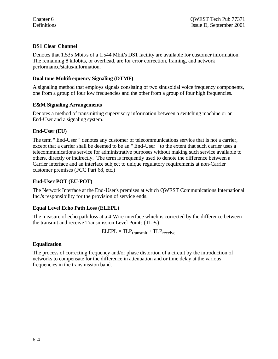## **DS1 Clear Channel**

Denotes that 1.535 Mbit/s of a 1.544 Mbit/s DS1 facility are available for customer information. The remaining 8 kilobits, or overhead, are for error correction, framing, and network performance/status/information.

## **Dual tone Multifrequency Signaling (DTMF)**

A signaling method that employs signals consisting of two sinusoidal voice frequency components, one from a group of four low frequencies and the other from a group of four high frequencies.

## **E&M Signaling Arrangements**

Denotes a method of transmitting supervisory information between a switching machine or an End-User and a signaling system.

## **End-User (EU)**

The term " End-User " denotes any customer of telecommunications service that is not a carrier, except that a carrier shall be deemed to be an " End-User " to the extent that such carrier uses a telecommunications service for administrative purposes without making such service available to others, directly or indirectly. The term is frequently used to denote the difference between a Carrier interface and an interface subject to unique regulatory requirements at non-Carrier customer premises (FCC Part 68, etc.)

## **End-User POT (EU-POT)**

The Network Interface at the End-User's premises at which QWEST Communications International Inc.'s responsibility for the provision of service ends.

## **Equal Level Echo Path Loss (ELEPL)**

The measure of echo path loss at a 4-Wire interface which is corrected by the difference between the transmit and receive Transmission Level Points (TLPs).

$$
ELEPL = TLP_{transmit} + TLP_{receive}
$$

## **Equalization**

The process of correcting frequency and/or phase distortion of a circuit by the introduction of networks to compensate for the difference in attenuation and or time delay at the various frequencies in the transmission band.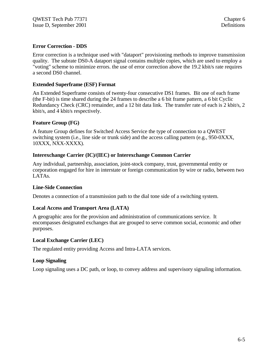## **Error Correction - DDS**

Error correction is a technique used with "dataport" provisioning methods to improve transmission quality. The subrate DS0-A dataport signal contains multiple copies, which are used to employ a "voting" scheme to minimize errors. the use of error correction above the 19.2 kbit/s rate requires a second DS0 channel.

#### **Extended Superframe (ESF) Format**

An Extended Superframe consists of twenty-four consecutive DS1 frames. Bit one of each frame (the F-bit) is time shared during the 24 frames to describe a 6 bit frame pattern, a 6 bit Cyclic Redundancy Check (CRC) remainder, and a 12 bit data link. The transfer rate of each is 2 kbit/s, 2 kbit/s, and 4 kbit/s respectively.

#### **Feature Group (FG)**

A feature Group defines for Switched Access Service the type of connection to a QWEST switching system (i.e., line side or trunk side) and the access calling pattern (e.g., 950-0XXX, 10XXX, NXX-XXXX).

#### **Interexchange Carrier (IC)/(IEC) or Interexchange Common Carrier**

Any individual, partnership, association, joint-stock company, trust, governmental entity or corporation engaged for hire in interstate or foreign communication by wire or radio, between two LATAs.

#### **Line-Side Connection**

Denotes a connection of a transmission path to the dial tone side of a switching system.

#### **Local Access and Transport Area (LATA)**

A geographic area for the provision and administration of communications service. It encompasses designated exchanges that are grouped to serve common social, economic and other purposes.

#### **Local Exchange Carrier (LEC)**

The regulated entity providing Access and Intra-LATA services.

#### **Loop Signaling**

Loop signaling uses a DC path, or loop, to convey address and supervisory signaling information.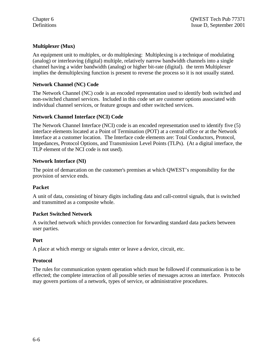## **Multiplexer (Mux)**

An equipment unit to multiplex, or do multiplexing: Multiplexing is a technique of modulating (analog) or interleaving (digital) multiple, relatively narrow bandwidth channels into a single channel having a wider bandwidth (analog) or higher bit-rate (digital). the term Multiplexer implies the demultiplexing function is present to reverse the process so it is not usually stated.

## **Network Channel (NC) Code**

The Network Channel (NC) code is an encoded representation used to identify both switched and non-switched channel services. Included in this code set are customer options associated with individual channel services, or feature groups and other switched services.

## **Network Channel Interface (NCI) Code**

The Network Channel Interface (NCI) code is an encoded representation used to identify five (5) interface elements located at a Point of Termination (POT) at a central office or at the Network Interface at a customer location. The Interface code elements are: Total Conductors, Protocol, Impedances, Protocol Options, and Transmission Level Points (TLPs). (At a digital interface, the TLP element of the NCI code is not used).

## **Network Interface (NI)**

The point of demarcation on the customer's premises at which QWEST's responsibility for the provision of service ends.

## **Packet**

A unit of data, consisting of binary digits including data and call-control signals, that is switched and transmitted as a composite whole.

## **Packet Switched Network**

A switched network which provides connection for forwarding standard data packets between user parties.

## **Port**

A place at which energy or signals enter or leave a device, circuit, etc.

## **Protocol**

The rules for communication system operation which must be followed if communication is to be effected; the complete interaction of all possible series of messages across an interface. Protocols may govern portions of a network, types of service, or administrative procedures.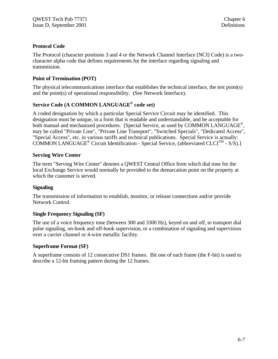## **Protocol Code**

The Protocol (character positions 3 and 4 or the Network Channel Interface [NCI] Code) is a twocharacter alpha code that defines requirements for the interface regarding signaling and transmission.

## **Point of Termination (POT)**

The physical telecommunications interface that establishes the technical interface, the test point(s) and the point(s) of operational responsibility. (See Network Interface).

# **Service Code (A COMMON LANGUAGE® code set)**

A coded designation by which a particular Special Service Circuit may be identified. This designation must be unique, in a form that is readable and understandable, and be acceptable for both manual and mechanized procedures. [Special Service, as used by COMMON LANGUAGE®, may be called "Private Line", "Private Line Transport", "Switched Specials", "Dedicated Access", "Special Access", etc. in various tariffs and technical publications. Special Service is actually: COMMON LANGUAGE<sup>®</sup> Circuit Identification - Special Service, (abbreviated CLCI<sup>TM</sup> - S/S).]

## **Serving Wire Center**

The term "Serving Wire Center" denotes a QWEST Central Office from which dial tone for the local Exchange Service would normally be provided to the demarcation point on the property at which the customer is served.

## **Signaling**

The transmission of information to establish, monitor, or release connections and/or provide Network Control.

## **Single Frequency Signaling (SF)**

The use of a voice frequency tone (between 300 and 3300 Hz), keyed on and off, to transport dial pulse signaling, on-hook and off-hook supervision, or a combination of signaling and supervision over a carrier channel or 4-wire metallic facility.

## **Superframe Format (SF)**

A superframe consists of 12 consecutive DS1 frames. Bit one of each frame (the F-bit) is used to describe a 12-bit framing pattern during the 12 frames.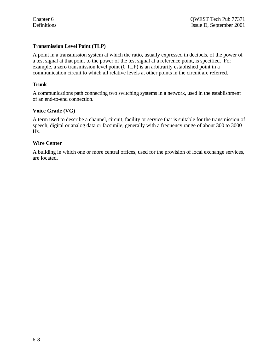## **Transmission Level Point (TLP)**

A point in a transmission system at which the ratio, usually expressed in decibels, of the power of a test signal at that point to the power of the test signal at a reference point, is specified. For example, a zero transmission level point (0 TLP) is an arbitrarily established point in a communication circuit to which all relative levels at other points in the circuit are referred.

#### **Trunk**

A communications path connecting two switching systems in a network, used in the establishment of an end-to-end connection.

#### **Voice Grade (VG)**

A term used to describe a channel, circuit, facility or service that is suitable for the transmission of speech, digital or analog data or facsimile, generally with a frequency range of about 300 to 3000 Hz.

#### **Wire Center**

A building in which one or more central offices, used for the provision of local exchange services, are located.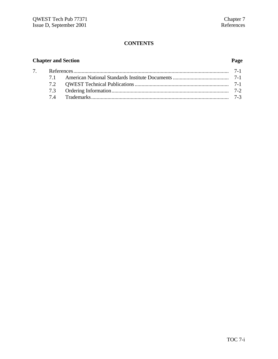# **CONTENTS**

# **Chapter and Section Page**

| $7\degree$ |  |  |
|------------|--|--|
|            |  |  |
|            |  |  |
|            |  |  |
|            |  |  |
|            |  |  |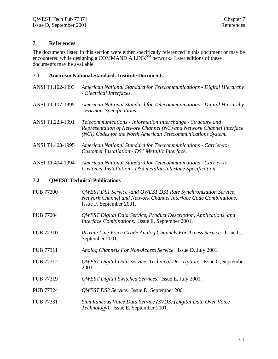## **7. References**

The documents listed in this section were either specifically referenced in this document or may be encountered while designing a COMMAND A  $\text{LINK}^{SM}$  network. Later editions of these documents may be available.

#### **7.1 American National Standards Institute Documents**

- ANSI T1.102-1993 *American National Standard for Telecommunications Digital Hierarchy - Electrical Interfaces.*
- ANSI T1.107-1995 *American National Standard for Telecommunications Digital Hierarchy - Formats Specifications.*
- ANSI T1.223-1991 *Telecommunications Information Interchange Structure and Representation of Network Channel (NC) and Network Channel Interface (NCI) Codes for the North American Telecommunications System.*
- ANSI T1.403-1995 *American National Standard for Telecommunications Carrier-to-Customer Installation - DS1 Metallic Interface.*

ANSI T1.404-1994 *American National Standard for Telecommunications - Carrier-to-Customer Installation - DS3 metallic Interface Specification.*

#### **7.2 QWEST Technical Publications**

- PUB 77200 *QWEST DS1 Service -and QWEST DS1 Rate Synchronization Service, Network Channel and Network Channel Interface Code Combinations.* Issue F, September 2001.
- PUB 77204 *QWEST Digital Data Service, Product Description, Applications, and Interface Combinations.* Issue E, September 2001.
- PUB 77310 *Private Line Voice Grade Analog Channels For Access Service.* Issue C, September 2001.
- PUB 77311 *Analog Channels For Non-Access Service.* Issue D, July 2001.
- PUB 77312 *QWEST Digital Data Service, Technical Description,* Issue G, September 2001.
- PUB 77319 *QWEST Digital Switched Services*. Issue E, July 2001.
- PUB 77324 *QWEST DS3 Service.* Issue D, September 2001.
- PUB 77331 *Simultaneous Voice Data Service (SVDS) (Digital Data Over Voice Technology).* Issue E, September 2001.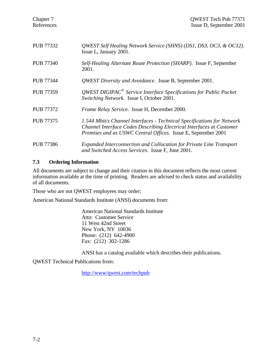| <b>PUB 77332</b> | QWEST Self Healing Network Service (SHNS) (DS1, DS3, OC3, & OC12).<br>Issue L, January 2001.                                                                                                                    |
|------------------|-----------------------------------------------------------------------------------------------------------------------------------------------------------------------------------------------------------------|
| <b>PUB 77340</b> | Self-Healing Alternate Route Protection (SHARP). Issue F, September<br>2001.                                                                                                                                    |
| <b>PUB 77344</b> | <i>QWEST Diversity and Avoidance.</i> Issue B, September 2001.                                                                                                                                                  |
| <b>PUB 77359</b> | $QWEST$ DIGIPAC <sup>®</sup> Service Interface Specifications for Public Packet<br>Switching Network. Issue I, October 2001.                                                                                    |
| <b>PUB 77372</b> | Frame Relay Service. Issue H, December 2000.                                                                                                                                                                    |
| <b>PUB 77375</b> | 1.544 Mbit/s Channel Interfaces - Technical Specifications for Network<br>Channel Interface Codes Describing Electrical Interfaces at Customer<br>Premises and as USWC Central Offices. Issue E, September 2001 |
| <b>PUB 77386</b> | Expanded Interconnection and Collocation for Private Line Transport<br>and Switched Access Services. Issue F, June 2001.                                                                                        |

## **7.3 Ordering Information**

All documents are subject to change and their citation in this document reflects the most current information available at the time of printing. Readers are advised to check status and availability of all documents.

Those who are not QWEST employees may order;

American National Standards Institute (ANSI) documents from:

American National Standards Institute Attn: Customer Service 11 West 42nd Street New York, NY 10036 Phone: (212) 642-4900 Fax: (212) 302-1286

ANSI has a catalog available which describes their publications.

QWEST Technical Publications from:

http://www/qwest.com/techpub